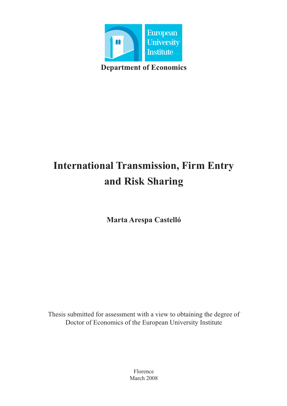

# **International Transmission, Firm Entry and Risk Sharing**

**Marta Arespa Castelló**

Thesis submitted for assessment with a view to obtaining the degree of Doctor of Economics of the European University Institute

> Florence March 2008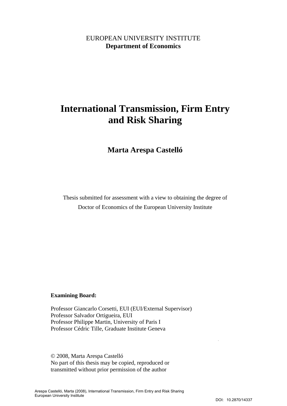### EUROPEAN UNIVERSITY INSTITUTE **Department of Economics**

## **International Transmission, Firm Entry and Risk Sharing**

**Marta Arespa Castelló** 

Thesis submitted for assessment with a view to obtaining the degree of Doctor of Economics of the European University Institute

#### **Examining Board:**

Professor Giancarlo Corsetti, EUI (EUI/External Supervisor) Professor Salvador Ortigueira, EUI Professor Philippe Martin, University of Paris I Professor Cédric Tille, Graduate Institute Geneva

© 2008, Marta Arespa Castelló No part of this thesis may be copied, reproduced or transmitted without prior permission of the author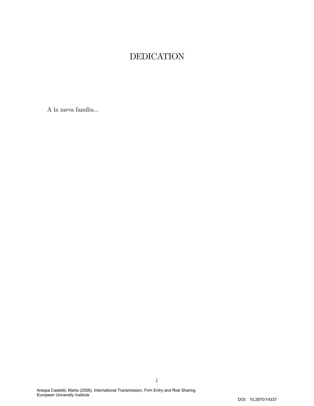### DEDICATION

 ${\bf A}$ la meva família...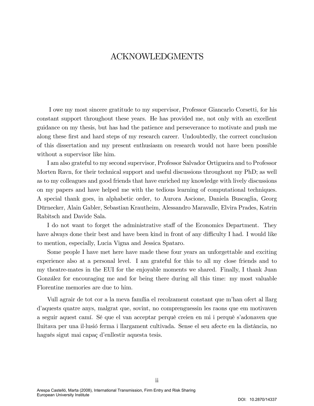### ACKNOWLEDGMENTS

I owe my most sincere gratitude to my supervisor, Professor Giancarlo Corsetti, for his constant support throughout these years. He has provided me, not only with an excellent guidance on my thesis, but has had the patience and perseverance to motivate and push me along these first and hard steps of my research career. Undoubtedly, the correct conclusion of this dissertation and my present enthusiasm on research would not have been possible without a supervisor like him.

I am also grateful to my second supervisor, Professor Salvador Ortigueira and to Professor Morten Ravn, for their technical support and useful discussions throughout my PhD; as well as to my colleagues and good friends that have enriched my knowledge with lively discussions on my papers and have helped me with the tedious learning of computational techniques. A special thank goes, in alphabetic order, to Aurora Ascione, Daniela Buscaglia, Georg Dürnecker, Alain Gabler, Sebastian Krautheim, Alessandro Maravalle, Elvira Prades, Katrin Rabitsch and Davide Sala.

I do not want to forget the administrative staff of the Economics Department. They have always done their best and have been kind in front of any difficulty I had. I would like to mention, especially, Lucia Vigna and Jessica Spataro.

Some people I have met here have made these four years an unforgettable and exciting experience also at a personal level. I am grateful for this to all my close friends and to my theatre-mates in the EUI for the enjoyable moments we shared. Finally, I thank Juan González for encouraging me and for being there during all this time: my most valuable Florentine memories are due to him.

Vull agrair de tot cor a la meva família el recolzament constant que m'han ofert al llarg d'aquests quatre anys, malgrat que, sovint, no comprenguessin les raons que em motivaven a seguir aquest camÌ. SÈ que el van acceptar perquË creien en mi i perquË síadonaven que lluitava per una il·lusió ferma i llargament cultivada. Sense el seu afecte en la distància, no hagués sigut mai capaç d'enllestir aquesta tesis.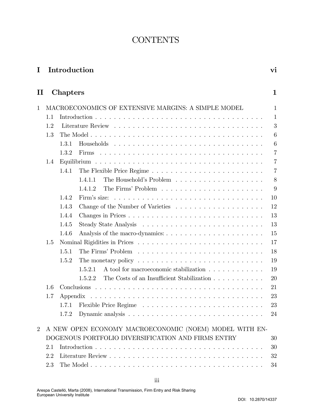### **CONTENTS**

| I Introduction |  |
|----------------|--|
|                |  |

| ×<br>۰ |  |
|--------|--|

| $\mathbf{I}$   |                                                        | Chapters                                            |                                                                                                                                     | $\mathbf{1}$   |  |  |  |
|----------------|--------------------------------------------------------|-----------------------------------------------------|-------------------------------------------------------------------------------------------------------------------------------------|----------------|--|--|--|
| $\mathbf{1}$   |                                                        | MACROECONOMICS OF EXTENSIVE MARGINS: A SIMPLE MODEL |                                                                                                                                     |                |  |  |  |
|                | 1.1                                                    |                                                     |                                                                                                                                     | $\mathbf 1$    |  |  |  |
| 1.2            |                                                        |                                                     |                                                                                                                                     | 3              |  |  |  |
|                | 1.3                                                    |                                                     |                                                                                                                                     | 6              |  |  |  |
|                |                                                        | 1.3.1                                               |                                                                                                                                     | 6              |  |  |  |
|                |                                                        | 1.3.2                                               |                                                                                                                                     | $\overline{7}$ |  |  |  |
|                | 1.4                                                    |                                                     |                                                                                                                                     | $\overline{7}$ |  |  |  |
|                |                                                        | 1.4.1                                               |                                                                                                                                     | $\overline{7}$ |  |  |  |
|                |                                                        |                                                     | 1.4.1.1                                                                                                                             | 8              |  |  |  |
|                |                                                        |                                                     | 1.4.1.2                                                                                                                             | 9              |  |  |  |
|                |                                                        | 1.4.2                                               | Firm's size: $\ldots$ , $\ldots$ , $\ldots$ , $\ldots$ , $\ldots$ , $\ldots$ , $\ldots$ , $\ldots$ , $\ldots$ , $\ldots$ , $\ldots$ | 10             |  |  |  |
|                |                                                        | 1.4.3                                               |                                                                                                                                     | 12             |  |  |  |
|                |                                                        | 1.4.4                                               |                                                                                                                                     | 13             |  |  |  |
|                |                                                        | 1.4.5                                               |                                                                                                                                     | 13             |  |  |  |
|                |                                                        | 1.4.6                                               |                                                                                                                                     | 15             |  |  |  |
|                | 1.5                                                    |                                                     |                                                                                                                                     | 17             |  |  |  |
|                |                                                        | 1.5.1                                               |                                                                                                                                     | 18             |  |  |  |
|                |                                                        | 1.5.2                                               |                                                                                                                                     | 19             |  |  |  |
|                |                                                        |                                                     | A tool for macroeconomic stabilization<br>1.5.2.1                                                                                   | 19             |  |  |  |
|                |                                                        |                                                     | The Costs of an Insufficient Stabilization<br>1.5.2.2                                                                               | 20             |  |  |  |
|                | 1.6                                                    |                                                     |                                                                                                                                     | 21             |  |  |  |
|                | 1.7                                                    |                                                     |                                                                                                                                     | 23             |  |  |  |
|                |                                                        | 1.7.1                                               |                                                                                                                                     | 23             |  |  |  |
|                |                                                        | 172                                                 | Dynamic analysis                                                                                                                    | 24             |  |  |  |
| $\overline{2}$ | A NEW OPEN ECONOMY MACROECONOMIC (NOEM) MODEL WITH EN- |                                                     |                                                                                                                                     |                |  |  |  |
|                | DOGENOUS PORTFOLIO DIVERSIFICATION AND FIRMS ENTRY     | 30                                                  |                                                                                                                                     |                |  |  |  |
| 2.1            |                                                        |                                                     |                                                                                                                                     | 30             |  |  |  |
| 2.2            |                                                        |                                                     |                                                                                                                                     | 32             |  |  |  |
|                | 2.3                                                    |                                                     |                                                                                                                                     |                |  |  |  |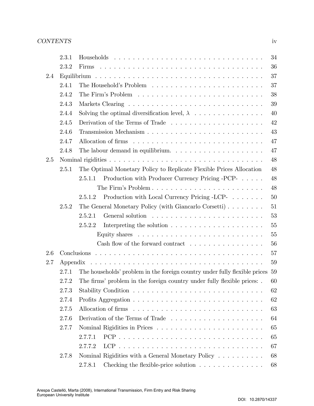|     | 2.3.1 |                                                                                         | 34 |
|-----|-------|-----------------------------------------------------------------------------------------|----|
|     | 2.3.2 |                                                                                         | 36 |
| 2.4 |       |                                                                                         | 37 |
|     | 2.4.1 |                                                                                         | 37 |
|     | 2.4.2 |                                                                                         | 38 |
|     | 2.4.3 |                                                                                         | 39 |
|     | 2.4.4 |                                                                                         | 40 |
|     | 2.4.5 | Derivation of the Terms of Trade                                                        | 42 |
|     | 2.4.6 |                                                                                         | 43 |
|     | 2.4.7 |                                                                                         | 47 |
|     | 2.4.8 | The labour demand in equilibrium. $\ldots \ldots \ldots \ldots \ldots \ldots$           | 47 |
| 2.5 |       |                                                                                         | 48 |
|     | 2.5.1 | The Optimal Monetary Policy to Replicate Flexible Prices Allocation                     | 48 |
|     |       | Production with Producer Currency Pricing -PCP-<br>2.5.1.1                              | 48 |
|     |       | The Firm's Problem                                                                      | 48 |
|     |       | Production with Local Currency Pricing -LCP-<br>2.5.1.2                                 | 50 |
|     | 2.5.2 | The General Monetary Policy (with Giancarlo Corsetti)                                   | 51 |
|     |       | 2.5.2.1                                                                                 | 53 |
|     |       | 2.5.2.2<br>Interpreting the solution $\ldots \ldots \ldots \ldots \ldots \ldots \ldots$ | 55 |
|     |       |                                                                                         | 55 |
|     |       | Cash flow of the forward contract $\dots \dots \dots \dots \dots \dots$                 | 56 |
| 2.6 |       |                                                                                         | 57 |
| 2.7 |       |                                                                                         | 59 |
|     | 2.7.1 | The households' problem in the foreign country under fully flexible prices              | 59 |
|     | 2.7.2 | The firms' problem in the foreign country under fully flexible prices:                  | 60 |
|     | 2.7.3 |                                                                                         | 62 |
|     | 2.7.4 |                                                                                         | 62 |
|     | 2.7.5 |                                                                                         | 63 |
|     | 2.7.6 | Derivation of the Terms of Trade                                                        | 64 |
|     | 2.7.7 |                                                                                         | 65 |
|     |       | 2.7.7.1                                                                                 | 65 |
|     |       | 2.7.7.2                                                                                 | 67 |
|     | 2.7.8 | Nominal Rigidities with a General Monetary Policy $\ldots \ldots \ldots$                | 68 |
|     |       | Checking the flexible-price solution $\ldots \ldots \ldots \ldots$<br>2.7.8.1           | 68 |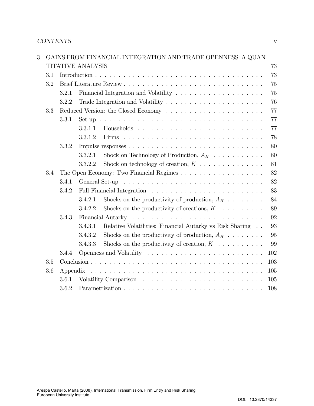| $\overline{3}$ |     | GAINS FROM FINANCIAL INTEGRATION AND TRADE OPENNESS: A QUAN- |                                                                                     |     |
|----------------|-----|--------------------------------------------------------------|-------------------------------------------------------------------------------------|-----|
|                |     | <b>TITATIVE ANALYSIS</b><br>73                               |                                                                                     |     |
|                | 3.1 |                                                              |                                                                                     | 73  |
|                | 3.2 |                                                              |                                                                                     | 75  |
|                |     | 3.2.1                                                        | Financial Integration and Volatility                                                | 75  |
|                |     | 3.2.2                                                        | Trade Integration and Volatility $\ldots \ldots \ldots \ldots \ldots \ldots \ldots$ | 76  |
|                | 3.3 |                                                              |                                                                                     | 77  |
|                |     | 3.3.1                                                        |                                                                                     | 77  |
|                |     |                                                              | 3.3.1.1                                                                             | 77  |
|                |     |                                                              | 3.3.1.2                                                                             | 78  |
|                |     | 3.3.2                                                        |                                                                                     | 80  |
|                |     |                                                              | Shock on Technology of Production, $A_H$<br>3.3.2.1                                 | 80  |
|                |     |                                                              | Shock on technology of creation, $K \dots \dots \dots \dots$<br>3.3.2.2             | 81  |
|                | 3.4 |                                                              |                                                                                     | 82  |
|                |     | 3.4.1                                                        |                                                                                     | 82  |
|                |     | 3.4.2                                                        |                                                                                     | 83  |
|                |     |                                                              | Shocks on the productivity of production, $A_H$<br>3.4.2.1                          | 84  |
|                |     |                                                              | 3.4.2.2<br>Shocks on the productivity of creations, $K \dots \dots \dots$           | 89  |
|                |     | 3.4.3                                                        |                                                                                     | 92  |
|                |     |                                                              | 3.4.3.1<br>Relative Volatilities: Financial Autarky vs Risk Sharing                 | 93  |
|                |     |                                                              | 3.4.3.2<br>Shocks on the productivity of production, $A_H$                          | 95  |
|                |     |                                                              | Shocks on the productivity of creation, $K$<br>3.4.3.3                              | 99  |
|                |     | 3.4.4                                                        |                                                                                     | 102 |
|                | 3.5 |                                                              |                                                                                     | 103 |
|                | 3.6 |                                                              |                                                                                     | 105 |
|                |     | 3.6.1                                                        |                                                                                     | 105 |
|                |     | 3.6.2                                                        |                                                                                     | 108 |

DOI: 10.2870/14337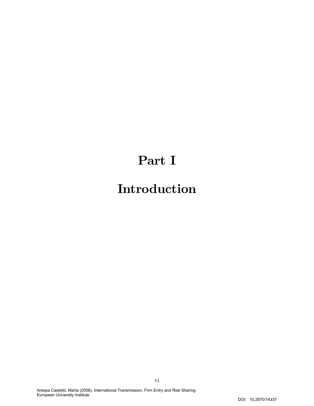## Part I

## Introduction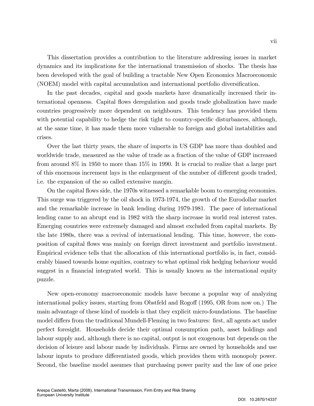This dissertation provides a contribution to the literature addressing issues in market dynamics and its implications for the international transmission of shocks. The thesis has been developed with the goal of building a tractable New Open Economics Macroeconomic (NOEM) model with capital accumulation and international portfolio diversification.

In the past decades, capital and goods markets have dramatically increased their international openness. Capital áows deregulation and goods trade globalization have made countries progressively more dependent on neighbours. This tendency has provided them with potential capability to hedge the risk tight to country-specific disturbances, although, at the same time, it has made them more vulnerable to foreign and global instabilities and crises.

Over the last thirty years, the share of imports in US GDP has more than doubled and worldwide trade, measured as the value of trade as a fraction of the value of GDP increased from around 8% in 1950 to more than 15% in 1990. It is crucial to realize that a large part of this enormous increment lays in the enlargement of the number of different goods traded, i.e. the expansion of the so called extensive margin.

On the capital áows side, the 1970s witnessed a remarkable boom to emerging economies. This surge was triggered by the oil shock in 1973-1974, the growth of the Eurodollar market and the remarkable increase in bank lending during 1979-1981. The pace of international lending came to an abrupt end in 1982 with the sharp increase in world real interest rates. Emerging countries were extremely damaged and almost excluded from capital markets. By the late 1980s, there was a revival of international lending. This time, however, the composition of capital áows was mainly on foreign direct investment and portfolio investment. Empirical evidence tells that the allocation of this international portfolio is, in fact, considerably biased towards home equities, contrary to what optimal risk hedging behaviour would suggest in a financial integrated world. This is usually known as the international equity puzzle.

New open-economy macroeconomic models have become a popular way of analyzing international policy issues, starting from Obstfeld and Rogoff (1995, OR from now on.) The main advantage of these kind of models is that they explicit micro-foundations. The baseline model differs from the traditional Mundell-Fleming in two features: first, all agents act under perfect foresight. Households decide their optimal consumption path, asset holdings and labour supply and, although there is no capital, output is not exogenous but depends on the decision of leisure and labour made by individuals. Firms are owned by households and use labour inputs to produce differentiated goods, which provides them with monopoly power. Second, the baseline model assumes that purchasing power parity and the law of one price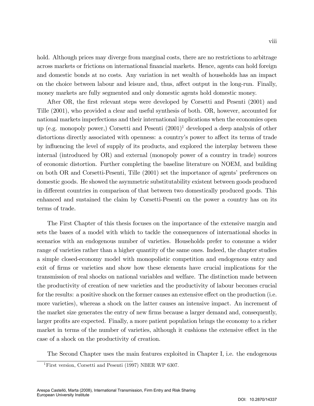hold. Although prices may diverge from marginal costs, there are no restrictions to arbitrage across markets or frictions on international financial markets. Hence, agents can hold foreign and domestic bonds at no costs. Any variation in net wealth of households has an impact on the choice between labour and leisure and, thus, affect output in the long-run. Finally, money markets are fully segmented and only domestic agents hold domestic money.

After OR, the first relevant steps were developed by Corsetti and Pesenti (2001) and Tille (2001), who provided a clear and useful synthesis of both. OR, however, accounted for national markets imperfections and their international implications when the economies open up (e.g. monopoly power,) Corsetti and Pesenti (2001)<sup>1</sup> developed a deep analysis of other distortions directly associated with openness: a country's power to affect its terms of trade by influencing the level of supply of its products, and explored the interplay between these internal (introduced by OR) and external (monopoly power of a country in trade) sources of economic distortion. Further completing the baseline literature on NOEM, and building on both OR and Corsetti-Pesenti, Tille (2001) set the importance of agents' preferences on domestic goods. He showed the asymmetric substitutability existent between goods produced in different countries in comparison of that between two domestically produced goods. This enhanced and sustained the claim by Corsetti-Pesenti on the power a country has on its terms of trade.

The First Chapter of this thesis focuses on the importance of the extensive margin and sets the bases of a model with which to tackle the consequences of international shocks in scenarios with an endogenous number of varieties. Households prefer to consume a wider range of varieties rather than a higher quantity of the same ones. Indeed, the chapter studies a simple closed-economy model with monopolistic competition and endogenous entry and exit of firms or varieties and show how these elements have crucial implications for the transmission of real shocks on national variables and welfare. The distinction made between the productivity of creation of new varieties and the productivity of labour becomes crucial for the results: a positive shock on the former causes an extensive effect on the production (i.e. more varieties), whereas a shock on the latter causes an intensive impact. An increment of the market size generates the entry of new firms because a larger demand and, consequently, larger profits are expected. Finally, a more patient population brings the economy to a richer market in terms of the number of varieties, although it cushions the extensive effect in the case of a shock on the productivity of creation.

The Second Chapter uses the main features exploited in Chapter I, i.e. the endogenous

<sup>&</sup>lt;sup>1</sup>First version, Corsetti and Pesenti (1997) NBER WP 6307.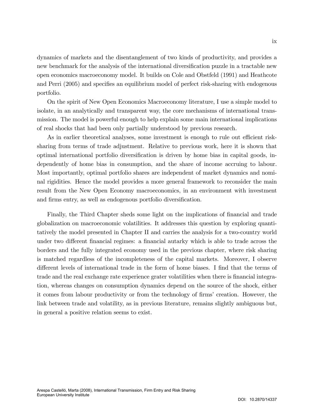dynamics of markets and the disentanglement of two kinds of productivity, and provides a new benchmark for the analysis of the international diversification puzzle in a tractable new open economics macroeconomy model. It builds on Cole and Obstfeld (1991) and Heathcote and Perri (2005) and specifies an equilibrium model of perfect risk-sharing with endogenous portfolio.

On the spirit of New Open Economics Macroeconomy literature, I use a simple model to isolate, in an analytically and transparent way, the core mechanisms of international transmission. The model is powerful enough to help explain some main international implications of real shocks that had been only partially understood by previous research.

As in earlier theoretical analyses, some investment is enough to rule out efficient risksharing from terms of trade adjustment. Relative to previous work, here it is shown that optimal international portfolio diversification is driven by home bias in capital goods, independently of home bias in consumption, and the share of income accruing to labour. Most importantly, optimal portfolio shares are independent of market dynamics and nominal rigidities. Hence the model provides a more general framework to reconsider the main result from the New Open Economy macroeconomics, in an environment with investment and firms entry, as well as endogenous portfolio diversification.

Finally, the Third Chapter sheds some light on the implications of financial and trade globalization on macroeconomic volatilities. It addresses this question by exploring quantitatively the model presented in Chapter II and carries the analysis for a two-country world under two different financial regimes: a financial autarky which is able to trade across the borders and the fully integrated economy used in the previous chapter, where risk sharing is matched regardless of the incompleteness of the capital markets. Moreover, I observe different levels of international trade in the form of home biases. I find that the terms of trade and the real exchange rate experience grater volatilities when there is financial integration, whereas changes on consumption dynamics depend on the source of the shock, either it comes from labour productivity or from the technology of firms' creation. However, the link between trade and volatility, as in previous literature, remains slightly ambiguous but, in general a positive relation seems to exist.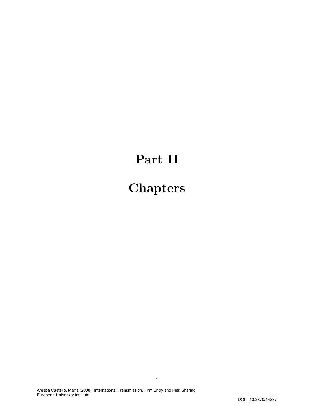## Part II

# **Chapters**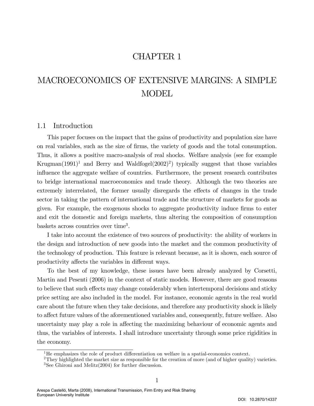### CHAPTER 1

## MACROECONOMICS OF EXTENSIVE MARGINS: A SIMPLE **MODEL**

#### 1.1 Introduction

This paper focuses on the impact that the gains of productivity and population size have on real variables, such as the size of Örms, the variety of goods and the total consumption. Thus, it allows a positive macro-analysis of real shocks. Welfare analysis (see for example Krugman $(1991)^1$  and Berry and Waldfogel $(2002)^2$ ) typically suggest that those variables influence the aggregate welfare of countries. Furthermore, the present research contributes to bridge international macroeconomics and trade theory. Although the two theories are extremely interrelated, the former usually disregards the effects of changes in the trade sector in taking the pattern of international trade and the structure of markets for goods as given. For example, the exogenous shocks to aggregate productivity induce firms to enter and exit the domestic and foreign markets, thus altering the composition of consumption baskets across countries over time<sup>3</sup>.

I take into account the existence of two sources of productivity: the ability of workers in the design and introduction of new goods into the market and the common productivity of the technology of production. This feature is relevant because, as it is shown, each source of productivity affects the variables in different ways.

To the best of my knowledge, these issues have been already analyzed by Corsetti, Martin and Pesenti (2006) in the context of static models. However, there are good reasons to believe that such effects may change considerably when intertemporal decisions and sticky price setting are also included in the model. For instance, economic agents in the real world care about the future when they take decisions, and therefore any productivity shock is likely to affect future values of the aforementioned variables and, consequently, future welfare. Also uncertainty may play a role in affecting the maximizing behaviour of economic agents and thus, the variables of interests. I shall introduce uncertainty through some price rigidities in the economy.

 $1$ <sup>1</sup>He emphasizes the role of product differentiation on welfare in a spatial-economics context.

<sup>&</sup>lt;sup>2</sup>They highlighted the market size as responsible for the creation of more (and of higher quality) varieties. <sup>3</sup>See Ghironi and Melitz $(2004)$  for further discussion.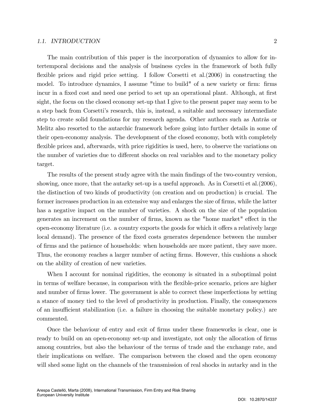#### 1.1. INTRODUCTION 2

target.

The main contribution of this paper is the incorporation of dynamics to allow for intertemporal decisions and the analysis of business cycles in the framework of both fully flexible prices and rigid price setting. I follow Corsetti et al. $(2006)$  in constructing the model. To introduce dynamics, I assume "time to build" of a new variety or firm: firms incur in a fixed cost and need one period to set up an operational plant. Although, at first sight, the focus on the closed economy set-up that I give to the present paper may seem to be a step back from Corsettiís research, this is, instead, a suitable and necessary intermediate step to create solid foundations for my research agenda. Other authors such as Antràs or Melitz also resorted to the autarchic framework before going into further details in some of their open-economy analysis. The development of the closed economy, both with completely flexible prices and, afterwards, with price rigidities is used, here, to observe the variations on the number of varieties due to different shocks on real variables and to the monetary policy

The results of the present study agree with the main findings of the two-country version, showing, once more, that the autarky set-up is a useful approach. As in Corsetti et al.(2006), the distinction of two kinds of productivity (on creation and on production) is crucial. The former increases production in an extensive way and enlarges the size of firms, while the latter has a negative impact on the number of varieties. A shock on the size of the population generates an increment on the number of firms, known as the "home market" effect in the open-economy literature (i.e. a country exports the goods for which it offers a relatively large local demand). The presence of the fixed costs generates dependence between the number of Örms and the patience of households: when households are more patient, they save more. Thus, the economy reaches a larger number of acting firms. However, this cushions a shock on the ability of creation of new varieties.

When I account for nominal rigidities, the economy is situated in a suboptimal point in terms of welfare because, in comparison with the flexible-price scenario, prices are higher and number of firms lower. The government is able to correct these imperfections by setting a stance of money tied to the level of productivity in production. Finally, the consequences of an insufficient stabilization (i.e. a failure in choosing the suitable monetary policy.) are commented.

Once the behaviour of entry and exit of Örms under these frameworks is clear, one is ready to build on an open-economy set-up and investigate, not only the allocation of firms among countries, but also the behaviour of the terms of trade and the exchange rate, and their implications on welfare. The comparison between the closed and the open economy will shed some light on the channels of the transmission of real shocks in autarky and in the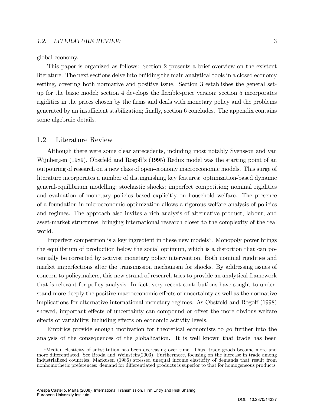#### 1.2. LITERATURE REVIEW 3

global economy.

This paper is organized as follows: Section 2 presents a brief overview on the existent literature. The next sections delve into building the main analytical tools in a closed economy setting, covering both normative and positive issue. Section 3 establishes the general setup for the basic model; section 4 develops the áexible-price version; section 5 incorporates rigidities in the prices chosen by the firms and deals with monetary policy and the problems generated by an insufficient stabilization; finally, section 6 concludes. The appendix contains some algebraic details.

#### 1.2 Literature Review

Although there were some clear antecedents, including most notably Svensson and van Wijnbergen (1989), Obstfeld and Rogoff's (1995) Redux model was the starting point of an outpouring of research on a new class of open-economy macroeconomic models. This surge of literature incorporates a number of distinguishing key features: optimization-based dynamic general-equilibrium modelling; stochastic shocks; imperfect competition; nominal rigidities and evaluation of monetary policies based explicitly on household welfare. The presence of a foundation in microeconomic optimization allows a rigorous welfare analysis of policies and regimes. The approach also invites a rich analysis of alternative product, labour, and asset-market structures, bringing international research closer to the complexity of the real world.

Imperfect competition is a key ingredient in these new models<sup>4</sup>. Monopoly power brings the equilibrium of production below the social optimum, which is a distortion that can potentially be corrected by activist monetary policy intervention. Both nominal rigidities and market imperfections alter the transmission mechanism for shocks. By addressing issues of concern to policymakers, this new strand of research tries to provide an analytical framework that is relevant for policy analysis. In fact, very recent contributions have sought to understand more deeply the positive macroeconomic effects of uncertainty as well as the normative implications for alternative international monetary regimes. As Obstfeld and Rogoff (1998) showed, important effects of uncertainty can compound or offset the more obvious welfare effects of variability, including effects on economic activity levels.

Empirics provide enough motivation for theoretical economists to go further into the analysis of the consequences of the globalization. It is well known that trade has been

<sup>&</sup>lt;sup>4</sup>Median elasticity of substitution has been decreasing over time. Thus, trade goods become more and more differentiated. See Broda and Weinstein(2003). Furthermore, focusing on the increase in trade among industrialized countries, Markusen (1986) stressed unequal income elasticity of demands that result from nonhomothetic preferences: demand for differentiated products is superior to that for homogeneous products.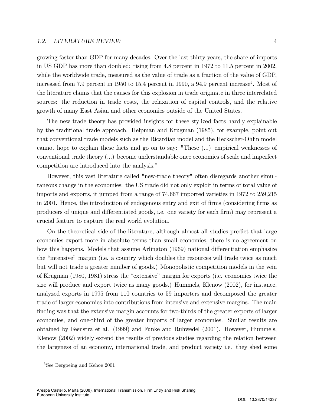growing faster than GDP for many decades. Over the last thirty years, the share of imports in US GDP has more than doubled: rising from 4.8 percent in 1972 to 11.5 percent in 2002, while the worldwide trade, measured as the value of trade as a fraction of the value of GDP, increased from 7.9 percent in 1950 to 15.4 percent in 1990, a 94.9 percent increase<sup>5</sup>. Most of the literature claims that the causes for this explosion in trade originate in three interrelated sources: the reduction in trade costs, the relaxation of capital controls, and the relative growth of many East Asian and other economies outside of the United States.

The new trade theory has provided insights for these stylized facts hardly explainable by the traditional trade approach. Helpman and Krugman (1985), for example, point out that conventional trade models such as the Ricardian model and the Heckscher-Ohlin model cannot hope to explain these facts and go on to say: "These (...) empirical weaknesses of conventional trade theory (...) become understandable once economies of scale and imperfect competition are introduced into the analysis."

However, this vast literature called "new-trade theory" often disregards another simultaneous change in the economies: the US trade did not only exploit in terms of total value of imports and exports, it jumped from a range of 74,667 imported varieties in 1972 to 259,215 in 2001. Hence, the introduction of endogenous entry and exit of firms (considering firms as producers of unique and differentiated goods, i.e. one variety for each firm) may represent a crucial feature to capture the real world evolution.

On the theoretical side of the literature, although almost all studies predict that large economies export more in absolute terms than small economies, there is no agreement on how this happens. Models that assume Arlington (1969) national differentiation emphasize the "intensive" margin (i.e. a country which doubles the resources will trade twice as much but will not trade a greater number of goods.) Monopolistic competition models in the vein of Krugman (1980, 1981) stress the "extensive" margin for exports (i.e. economies twice the size will produce and export twice as many goods.) Hummels, Klenow (2002), for instance, analyzed exports in 1995 from 110 countries to 59 importers and decomposed the greater trade of larger economies into contributions from intensive and extensive margins. The main finding was that the extensive margin accounts for two-thirds of the greater exports of larger economies, and one-third of the greater imports of larger economies. Similar results are obtained by Feenstra et al. (1999) and Funke and Ruhwedel (2001). However, Hummels, Klenow (2002) widely extend the results of previous studies regarding the relation between the largeness of an economy, international trade, and product variety i.e. they shed some

<sup>&</sup>lt;sup>5</sup>See Bergoeing and Kehoe 2001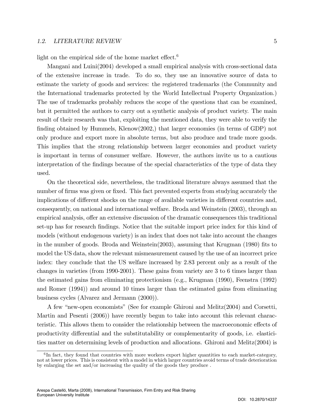#### 1.2. LITERATURE REVIEW 5

light on the empirical side of the home market effect.<sup>6</sup>

Mangani and Luini(2004) developed a small empirical analysis with cross-sectional data of the extensive increase in trade. To do so, they use an innovative source of data to estimate the variety of goods and services: the registered trademarks (the Community and the International trademarks protected by the World Intellectual Property Organization.) The use of trademarks probably reduces the scope of the questions that can be examined, but it permitted the authors to carry out a synthetic analysis of product variety. The main result of their research was that, exploiting the mentioned data, they were able to verify the finding obtained by Hummels, Klenow $(2002)$ , that larger economies (in terms of GDP) not only produce and export more in absolute terms, but also produce and trade more goods. This implies that the strong relationship between larger economies and product variety is important in terms of consumer welfare. However, the authors invite us to a cautious interpretation of the findings because of the special characteristics of the type of data they used.

On the theoretical side, nevertheless, the traditional literature always assumed that the number of firms was given or fixed. This fact prevented experts from studying accurately the implications of different shocks on the range of available varieties in different countries and, consequently, on national and international welfare. Broda and Weinstein (2003), through an empirical analysis, offer an extensive discussion of the dramatic consequences this traditional set-up has for research Öndings. Notice that the suitable import price index for this kind of models (without endogenous variety) is an index that does not take into account the changes in the number of goods. Broda and Weinstein $(2003)$ , assuming that Krugman  $(1980)$  fits to model the US data, show the relevant mismeasurement caused by the use of an incorrect price index: they conclude that the US welfare increased by 2.83 percent only as a result of the changes in varieties (from 1990-2001). These gains from variety are 3 to 6 times larger than the estimated gains from eliminating protectionism (e.g., Krugman (1990), Feenstra (1992) and Romer (1994)) and around 10 times larger than the estimated gains from eliminating business cycles (Alvarez and Jermann (2000)).

A few "new-open economists" (See for example Ghironi and Melitz $(2004)$  and Corsetti, Martin and Pesenti (2006)) have recently begun to take into account this relevant characteristic. This allows them to consider the relationship between the macroeconomic effects of productivity differential and the substitutability or complementarity of goods, i.e. elasticities matter on determining levels of production and allocations. Ghironi and Melitz(2004) is

 ${}^{6}$ In fact, they found that countries with more workers export higher quantities to each market-category, not at lower prices. This is consistent with a model in which larger countries avoid terms of trade deterioration by enlarging the set and/or increasing the quality of the goods they produce .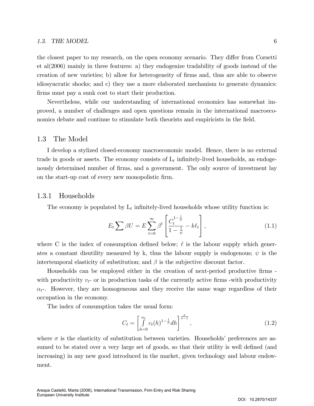#### 1.3. THE MODEL 6

the closest paper to my research, on the open economy scenario. They differ from Corsetti et al(2006) mainly in three features: a) they endogenize tradability of goods instead of the creation of new varieties; b) allow for heterogeneity of Örms and, thus are able to observe idiosyncratic shocks; and c) they use a more elaborated mechanism to generate dynamics: firms must pay a sunk cost to start their production.

Nevertheless, while our understanding of international economics has somewhat improved, a number of challenges and open questions remain in the international macroeconomics debate and continue to stimulate both theorists and empiricists in the field.

#### 1.3 The Model

I develop a stylized closed-economy macroeconomic model. Hence, there is no external trade in goods or assets. The economy consists of  $L_t$  infinitely-lived households, an endogenously determined number of firms, and a government. The only source of investment lay on the start-up cost of every new monopolistic Örm.

#### 1.3.1 Households

The economy is populated by  $L_t$  infinitely-lived households whose utility function is:

$$
E_t \sum \beta U = E \sum_{t=0}^{\infty} \beta^t \left[ \frac{C_t^{1-\frac{1}{\psi}}}{1-\frac{1}{\psi}} - k\ell_t \right],
$$
\n(1.1)

where C is the index of consumption defined below;  $\ell$  is the labour supply which generates a constant disutility measured by k, thus the labour supply is endogenous;  $\psi$  is the intertemporal elasticity of substitution; and  $\beta$  is the subjective discount factor.

Households can be employed either in the creation of next-period productive firms with productivity  $v_t$ - or in production tasks of the currently active firms -with productivity  $\alpha_{t}$ . However, they are homogeneous and they receive the same wage regardless of their occupation in the economy.

The index of consumption takes the usual form:

$$
C_t = \left[\int\limits_{h=0}^{n_t} c_t(h)^{1-\frac{1}{\sigma}} dh\right]^{\frac{\sigma}{\sigma-1}},
$$
\n(1.2)

where  $\sigma$  is the elasticity of substitution between varieties. Households' preferences are assumed to be stated over a very large set of goods, so that their utility is well defined (and increasing) in any new good introduced in the market, given technology and labour endowment.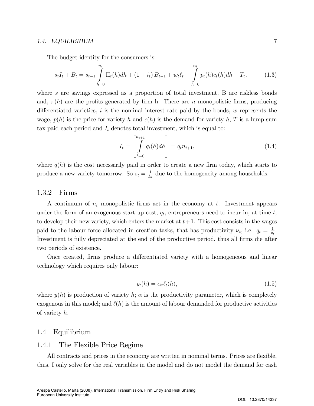The budget identity for the consumers is:

$$
s_t I_t + B_t = s_{t-1} \int\limits_{h=0}^{n_t} \Pi_t(h) dh + (1 + i_t) B_{t-1} + w_t \ell_t - \int\limits_{h=0}^{n_t} p_t(h) c_t(h) dh - T_t, \tag{1.3}
$$

where s are savings expressed as a proportion of total investment, B are riskless bonds and,  $\pi(h)$  are the profits generated by firm h. There are n monopolistic firms, producing differentiated varieties, i is the nominal interest rate paid by the bonds,  $w$  represents the wage,  $p(h)$  is the price for variety h and  $c(h)$  is the demand for variety h, T is a lump-sum tax paid each period and  $I_t$  denotes total investment, which is equal to:

$$
I_t = \left[ \int_{h=0}^{n_{t+1}} q_t(h) dh \right] = q_t n_{t+1}, \tag{1.4}
$$

where  $q(h)$  is the cost necessarily paid in order to create a new firm today, which starts to produce a new variety tomorrow. So  $s_t = \frac{1}{L}$  $\frac{1}{L_t}$  due to the homogeneity among households.

#### 1.3.2 Firms

A continuum of  $n_t$  monopolistic firms act in the economy at t. Investment appears under the form of an exogenous start-up cost,  $q_t$ , entrepreneurs need to incur in, at time t, to develop their new variety, which enters the market at  $t+1$ . This cost consists in the wages paid to the labour force allocated in creation tasks, that has productivity  $\nu_t$ , i.e.  $q_t = \frac{1}{n}$  $\frac{1}{v_t}$ . Investment is fully depreciated at the end of the productive period, thus all firms die after two periods of existence.

Once created, firms produce a differentiated variety with a homogeneous and linear technology which requires only labour:

$$
y_t(h) = \alpha_t \ell_t(h), \tag{1.5}
$$

where  $y(h)$  is production of variety h;  $\alpha$  is the productivity parameter, which is completely exogenous in this model; and  $\ell(h)$  is the amount of labour demanded for productive activities of variety h.

#### 1.4 Equilibrium

#### 1.4.1 The Flexible Price Regime

All contracts and prices in the economy are written in nominal terms. Prices are flexible, thus, I only solve for the real variables in the model and do not model the demand for cash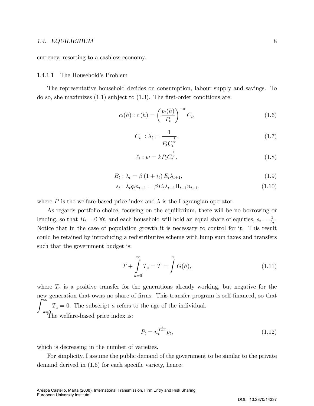currency, resorting to a cashless economy.

#### 1.4.1.1 The Household's Problem

The representative household decides on consumption, labour supply and savings. To do so, she maximizes  $(1.1)$  subject to  $(1.3)$ . The first-order conditions are:

$$
c_t(h) : c(h) = \left(\frac{p_t(h)}{P_t}\right)^{-\sigma} C_t,
$$
\n(1.6)

$$
C_t : \lambda_t = \frac{1}{P_t C_t^{\frac{1}{\psi}}},\tag{1.7}
$$

$$
\ell_t: w = k P_t C_t^{\frac{1}{\psi}}, \qquad (1.8)
$$

$$
B_t: \lambda_t = \beta \left(1 + i_t\right) E_t \lambda_{t+1},\tag{1.9}
$$

$$
s_t: \lambda_t q_t n_{t+1} = \beta E_t \lambda_{t+1} \Pi_{t+1} n_{t+1}, \tag{1.10}
$$

where P is the welfare-based price index and  $\lambda$  is the Lagrangian operator.

As regards portfolio choice, focusing on the equilibrium, there will be no borrowing or lending, so that  $B_t = 0$   $\forall t$ , and each household will hold an equal share of equities,  $s_t = \frac{1}{L}$  $\frac{1}{L_t}$ . Notice that in the case of population growth it is necessary to control for it. This result could be retained by introducing a redistributive scheme with lump sum taxes and transfers such that the government budget is:

$$
T + \int_{a=0}^{\infty} T_a = T = \int_{a=0}^{n} G(h), \qquad (1.11)
$$

where  $T_a$  is a positive transfer for the generations already working, but negative for the new generation that owns no share of firms. This transfer program is self-financed, so that  $\int_0^\infty$  $a=0$  $T_a = 0$ . The subscript a refers to the age of the individual. The welfare-based price index is:

$$
P_t = n_t^{\frac{1}{1-\sigma}} p_t,\tag{1.12}
$$

which is decreasing in the number of varieties.

For simplicity, I assume the public demand of the government to be similar to the private demand derived in  $(1.6)$  for each specific variety, hence: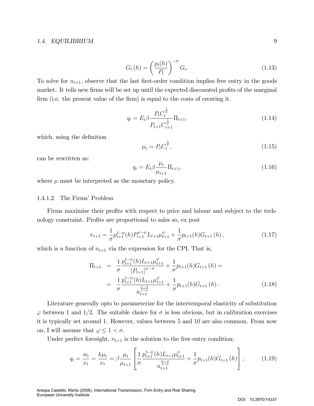$$
G_t(h) = \left(\frac{p_t(h)}{P_t}\right)^{-\sigma} G_t.
$$
\n(1.13)

To solve for  $n_{t+1}$ , observe that the last first-order condition implies free entry in the goods market. It tells new firms will be set up until the expected discounted profits of the marginal firm (i.e. the present value of the firm) is equal to the costs of creating it.

$$
q_t = E_t \beta \frac{P_t C_t^{\frac{1}{\psi}}}{P_{t+1} C_{t+1}^{\frac{1}{\psi}}} \Pi_{t+1},
$$
\n(1.14)

which, using the definition

$$
\mu_t = P_t C_t^{\frac{1}{\psi}},\tag{1.15}
$$

can be rewritten as:

$$
q_t = E_t \beta \frac{\mu_t}{\mu_{t+1}} \Pi_{t+1},
$$
\n(1.16)

where  $\mu$  must be interpreted as the monetary policy.

#### 1.4.1.2 The Firms' Problem

Firms maximise their profits with respect to price and labour and subject to the technology constraint. Profits are proportional to sales so, ex post

$$
\pi_{t+1} = \frac{1}{\sigma} p_{t+1}^{1-\sigma}(h) P_{t+1}^{\sigma-\psi} L_{t+1} \mu_{t+1}^{\psi} + \frac{1}{\sigma} p_{t+1}(h) G_{t+1}(h) , \qquad (1.17)
$$

which is a function of  $n_{t+1}$  via the expression for the CPI. That is,

$$
\Pi_{t+1} = \frac{1}{\sigma} \frac{p_{t+1}^{1-\sigma}(h)L_{t+1}\mu_{t+1}^{\psi}}{[P_{t+1}]^{\psi-\sigma}} + \frac{1}{\sigma} p_{t+1}(h)G_{t+1}(h) =
$$
\n
$$
= \frac{1}{\sigma} \frac{p_{t+1}^{1-\psi}(h)L_{t+1}\mu_{t+1}^{\psi}}{p_{t+1}^{\psi-\sigma}} + \frac{1}{\sigma} p_{t+1}(h)G_{t+1}(h).
$$
\n(1.18)

Literature generally opts to parameterize for the intertemporal elasticity of substitution  $\varphi$  between 1 and 1/2. The suitable choice for  $\sigma$  is less obvious, but in calibration exercises it is typically set around 1. However, values between 5 and 10 are also common. From now on, I will assume that  $\varphi \leq 1 < \sigma$ .

Under perfect foresight,  $n_{t+1}$  is the solution to the free entry condition:

$$
q_{t} = \frac{w_{t}}{\nu_{t}} = \frac{k\mu_{t}}{\nu_{t}} = \beta \frac{\mu_{t}}{\mu_{t+1}} \left[ \frac{1}{\sigma} \frac{p_{t+1}^{1-\psi}(h)L_{t+1}\mu_{t+1}^{\psi}}{n_{t+1}^{\frac{\psi-\sigma}{1-\sigma}}} + \frac{1}{\sigma} p_{t+1}(h) G_{t+1}(h) \right],
$$
 (1.19)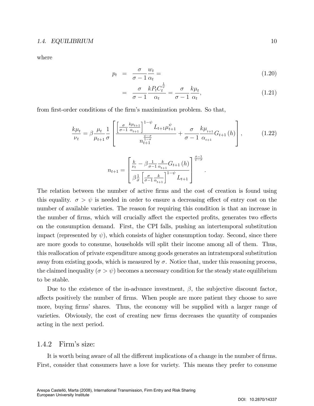where

$$
p_t = \frac{\sigma}{\sigma - 1} \frac{w_t}{\alpha_t} = \tag{1.20}
$$

$$
= \frac{\sigma}{\sigma - 1} \frac{k P_t C_t^{\frac{1}{\psi}}}{\alpha_t} = \frac{\sigma}{\sigma - 1} \frac{k \mu_t}{\alpha_t},
$$
\n(1.21)

:

from first-order conditions of the firm's maximization problem. So that,

$$
\frac{k\mu_{t}}{\nu_{t}} = \beta \frac{\mu_{t}}{\mu_{t+1}} \frac{1}{\sigma} \left[ \frac{\left[ \frac{\sigma}{\sigma-1} \frac{k\mu_{t+1}}{\alpha_{t+1}} \right]^{1-\psi} L_{t+1} \mu_{t+1}^{\psi}}{n_{t+1}^{\frac{\psi-\sigma}{1-\sigma}}} + \frac{\sigma}{\sigma-1} \frac{k\mu_{t+1}}{\alpha_{t+1}} G_{t+1}(h) \right],
$$
(1.22)

$$
n_{t+1} = \left[ \frac{\frac{k}{\nu_t} - \beta \frac{1}{\sigma - 1} \frac{k}{\alpha_{t+1}} G_{t+1}(h)}{\beta \frac{1}{\sigma} \left[ \frac{\sigma}{\sigma - 1} \frac{k}{\alpha_{t+1}} \right]^{1 - \psi} L_{t+1}} \right]^{\frac{\sigma - 1}{\psi - \sigma}}
$$

The relation between the number of active firms and the cost of creation is found using this equality.  $\sigma > \psi$  is needed in order to ensure a decreasing effect of entry cost on the number of available varieties. The reason for requiring this condition is that an increase in the number of firms, which will crucially affect the expected profits, generates two effects on the consumption demand. First, the CPI falls, pushing an intertemporal substitution impact (represented by  $\psi$ ), which consists of higher consumption today. Second, since there are more goods to consume, households will split their income among all of them. Thus, this reallocation of private expenditure among goods generates an intratemporal substitution away from existing goods, which is measured by  $\sigma$ . Notice that, under this reasoning process, the claimed inequality ( $\sigma > \psi$ ) becomes a necessary condition for the steady state equilibrium to be stable.

Due to the existence of the in-advance investment,  $\beta$ , the subjective discount factor, affects positively the number of firms. When people are more patient they choose to save more, buying firms' shares. Thus, the economy will be supplied with a larger range of varieties. Obviously, the cost of creating new firms decreases the quantity of companies acting in the next period.

#### 1.4.2 Firm's size:

It is worth being aware of all the different implications of a change in the number of firms. First, consider that consumers have a love for variety. This means they prefer to consume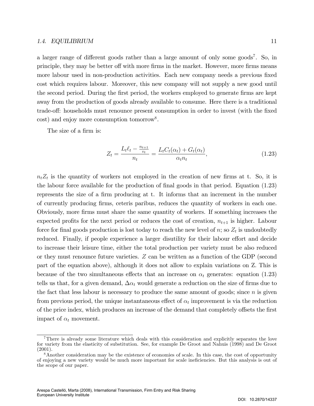a larger range of different goods rather than a large amount of only some goods<sup>7</sup>. So, in principle, they may be better off with more firms in the market. However, more firms means more labour used in non-production activities. Each new company needs a previous fixed cost which requires labour. Moreover, this new company will not supply a new good until the second period. During the first period, the workers employed to generate firms are kept away from the production of goods already available to consume. Here there is a traditional trade-off: households must renounce present consumption in order to invest (with the fixed cost) and enjoy more consumption tomorrow<sup>8</sup>.

The size of a firm is:

$$
Z_{t} = \frac{L_{t}\ell_{t} - \frac{n_{t+1}}{v_{t}}}{n_{t}} = \frac{L_{t}C_{t}(\alpha_{t}) + G_{t}(\alpha_{t})}{\alpha_{t}n_{t}},
$$
\n(1.23)

 $n_t Z_t$  is the quantity of workers not employed in the creation of new firms at t. So, it is the labour force available for the production of final goods in that period. Equation (1.23) represents the size of a firm producing at t. It informs that an increment in the number of currently producing Örms, ceteris paribus, reduces the quantity of workers in each one. Obviously, more Örms must share the same quantity of workers. If something increases the expected profits for the next period or reduces the cost of creation,  $n_{t+1}$  is higher. Labour force for final goods production is lost today to reach the new level of  $n$ ; so  $Z_t$  is undoubtedly reduced. Finally, if people experience a larger disutility for their labour effort and decide to increase their leisure time, either the total production per variety must be also reduced or they must renounce future varieties. Z can be written as a function of the GDP (second part of the equation above), although it does not allow to explain variations on Z. This is because of the two simultaneous effects that an increase on  $\alpha_t$  generates: equation (1.23) tells us that, for a given demand,  $\Delta \alpha_t$  would generate a reduction on the size of firms due to the fact that less labour is necessary to produce the same amount of goods; since  $n$  is given from previous period, the unique instantaneous effect of  $\alpha_t$  improvement is via the reduction of the price index, which produces an increase of the demand that completely offsets the first impact of  $\alpha_t$  movement.

<sup>7</sup>There is already some literature which deals with this consideration and explicitly separates the love for variety from the elasticity of substitution. See, for example De Groot and Nahuis (1998) and De Groot (2001).

<sup>&</sup>lt;sup>8</sup>Another consideration may be the existence of economies of scale. In this case, the cost of opportunity of enjoying a new variety would be much more important for scale ineficiencies. But this analysis is out of the scope of our paper.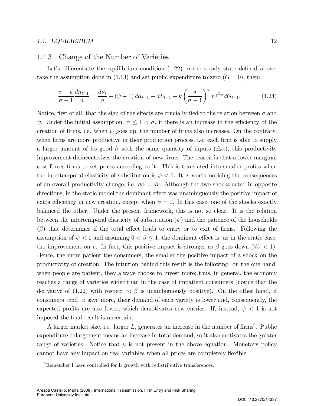#### 1.4.3 Change of the Number of Varieties

Let's differentiate the equilibrium condition  $(1.22)$  in the steady state defined above, take the assumption done in (1.13) and set public expenditure to zero  $(G = 0)$ , then:

$$
\frac{\sigma - \psi}{\sigma - 1} \frac{d n_{t+1}}{n} = \frac{d \nu_t}{\beta} + (\psi - 1) d \alpha_{t+1} + dL_{t+1} + k \left(\frac{\sigma}{\sigma - 1}\right)^{\psi} n^{\frac{\psi}{1 - \sigma}} d G_{t+1}.
$$
 (1.24)

Notice, first of all, that the sign of the effects are crucially tied to the relation between  $\sigma$  and  $\psi$ . Under the initial assumption,  $\psi \leq 1 < \sigma$ , if there is an increase in the efficiency of the creation of firms, i.e. when  $v_t$  goes up, the number of firms also increases. On the contrary, when firms are more productive in their production process, i.e. each firm is able to supply a larger amount of its good h with the same quantity of inputs  $(\triangle \alpha)$ , this productivity improvement disincentivizes the creation of new firms. The reason is that a lower marginal cost forces firms to set prices according to it. This is translated into smaller profits when the intertemporal elasticity of substitution is  $\psi$  < 1. It is worth noticing the consequences of an overall productivity change, i.e.  $d\alpha = dv$ . Although the two shocks acted in opposite directions, in the static model the dominant effect was unambiguously the positive impact of extra efficiency in new creation, except when  $\psi = 0$ . In this case, one of the shocks exactly balanced the other. Under the present framework, this is not so clear. It is the relation between the intertemporal elasticity of substitution  $(\psi)$  and the patience of the households  $(\beta)$  that determines if the total effect leads to entry or to exit of firms. Following the assumption of  $\psi$  < 1 and assuming  $0 < \beta \leq 1$ , the dominant effect is, as in the static case, the improvement on v. In fact, this positive impact is stronger as  $\beta$  goes down  $(\forall \beta < 1)$ . Hence, the more patient the consumers, the smaller the positive impact of a shock on the productivity of creation. The intuition behind this result is the following: on the one hand, when people are patient, they always choose to invest more; thus, in general, the economy reaches a range of varieties wider than in the case of impatient consumers (notice that the derivative of  $(1.22)$  with respect to  $\beta$  is unambiguously positive). On the other hand, if consumers tend to save more, their demand of each variety is lower and, consequently, the expected profits are also lower, which demotivates new entries. If, instead,  $\psi$  < 1 is not imposed the final result is uncertain.

A larger market size, i.e. larger  $L$ , generates an increase in the number of firms<sup>9</sup>. Public expenditure enlargement means an increase in total demand, so it also motivates the greater range of varieties. Notice that  $\mu$  is not present in the above equation. Monetary policy cannot have any impact on real variables when all prices are completely flexible.

 ${}^{9}$ Remember I have controlled for L growth with redistributive transferences.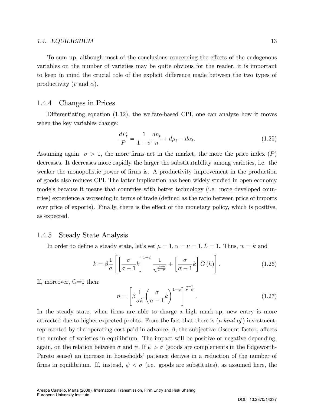To sum up, although most of the conclusions concerning the effects of the endogenous variables on the number of varieties may be quite obvious for the reader, it is important to keep in mind the crucial role of the explicit difference made between the two types of productivity (v and  $\alpha$ ).

#### 1.4.4 Changes in Prices

Differentiating equation  $(1.12)$ , the welfare-based CPI, one can analyze how it moves when the key variables change:

$$
\frac{dP_t}{P} = \frac{1}{1 - \sigma} \frac{dn_t}{n} + d\mu_t - d\alpha_t.
$$
\n(1.25)

Assuming again  $\sigma > 1$ , the more firms act in the market, the more the price index (P) decreases. It decreases more rapidly the larger the substitutability among varieties, i.e. the weaker the monopolistic power of firms is. A productivity improvement in the production of goods also reduces CPI. The latter implication has been widely studied in open economy models because it means that countries with better technology (i.e. more developed countries) experience a worsening in terms of trade (defined as the ratio between price of imports over price of exports). Finally, there is the effect of the monetary policy, which is positive, as expected.

#### 1.4.5 Steady State Analysis

In order to define a steady state, let's set  $\mu = 1, \alpha = \nu = 1, L = 1$ . Thus,  $w = k$  and

$$
k = \beta \frac{1}{\sigma} \left[ \left[ \frac{\sigma}{\sigma - 1} k \right]^{1 - \psi} \frac{1}{n^{\frac{\psi - \sigma}{1 - \sigma}}} + \left[ \frac{\sigma}{\sigma - 1} k \right] G \left( h \right) \right]. \tag{1.26}
$$

If, moreover, G=0 then:

$$
n = \left[\beta \frac{1}{\sigma k} \left(\frac{\sigma}{\sigma - 1} k\right)^{1 - \psi} \right]^{\frac{\sigma - 1}{\sigma - \psi}}.
$$
\n(1.27)

In the steady state, when firms are able to charge a high mark-up, new entry is more attracted due to higher expected profits. From the fact that there is  $(a \; kind \; of)$  investment, represented by the operating cost paid in advance,  $\beta$ , the subjective discount factor, affects the number of varieties in equilibrium. The impact will be positive or negative depending, again, on the relation between  $\sigma$  and  $\psi$ . If  $\psi > \sigma$  (goods are complements in the Edgeworth-Pareto sense) an increase in households' patience derives in a reduction of the number of firms in equilibrium. If, instead,  $\psi < \sigma$  (i.e. goods are substitutes), as assumed here, the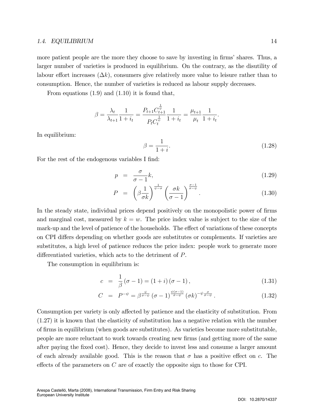more patient people are the more they choose to save by investing in firms' shares. Thus, a larger number of varieties is produced in equilibrium. On the contrary, as the disutility of labour effort increases  $(\Delta k)$ , consumers give relatively more value to leisure rather than to consumption. Hence, the number of varieties is reduced as labour supply decreases.

From equations (1.9) and (1.10) it is found that,

$$
\beta = \frac{\lambda_t}{\lambda_{t+1}} \frac{1}{1+i_t} = \frac{P_{t+1} C_{t+1}^{\frac{1}{\psi}}}{P_t C_t^{\frac{1}{\psi}}} \frac{1}{1+i_t} = \frac{\mu_{t+1}}{\mu_t} \frac{1}{1+i_t}.
$$

In equilibrium:

$$
\beta = \frac{1}{1+i}.\tag{1.28}
$$

For the rest of the endogenous variables I find:

$$
p = \frac{\sigma}{\sigma - 1} k,\tag{1.29}
$$

$$
P = \left(\beta \frac{1}{\sigma k}\right)^{\frac{1}{\psi - \sigma}} \left(\frac{\sigma k}{\sigma - 1}\right)^{\frac{\sigma - 1}{\sigma - \psi}}.
$$
\n(1.30)

In the steady state, individual prices depend positively on the monopolistic power of firms and marginal cost, measured by  $k = w$ . The price index value is subject to the size of the mark-up and the level of patience of the households. The effect of variations of these concepts on CPI differs depending on whether goods are substitutes or complements. If varieties are substitutes, a high level of patience reduces the price index: people work to generate more differentiated varieties, which acts to the detriment of  $P$ .

The consumption in equilibrium is:

$$
c = \frac{1}{\beta} (\sigma - 1) = (1 + i) (\sigma - 1), \qquad (1.31)
$$

$$
C = P^{-\psi} = \beta^{\frac{\psi}{\sigma - \psi}} (\sigma - 1)^{\frac{\psi(\sigma - 1)}{\sigma - \psi}} (\sigma k)^{-\psi \frac{\sigma}{\sigma - \psi}}.
$$
 (1.32)

Consumption per variety is only affected by patience and the elasticity of substitution. From (1.27) it is known that the elasticity of substitution has a negative relation with the number of Örms in equilibrium (when goods are substitutes). As varieties become more substitutable, people are more reluctant to work towards creating new Örms (and getting more of the same after paying the Öxed cost). Hence, they decide to invest less and consume a larger amount of each already available good. This is the reason that  $\sigma$  has a positive effect on c. The effects of the parameters on  $C$  are of exactly the opposite sign to those for CPI.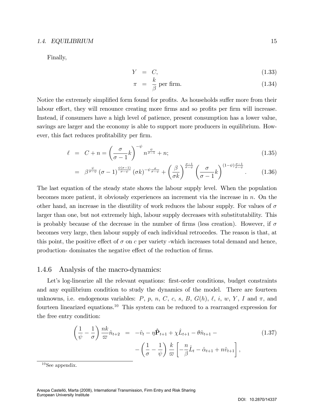Finally,

$$
Y = C,\t(1.33)
$$

$$
\pi = \frac{k}{\beta} \text{ per firm.} \tag{1.34}
$$

Notice the extremely simplified form found for profits. As households suffer more from their labour effort, they will renounce creating more firms and so profits per firm will increase. Instead, if consumers have a high level of patience, present consumption has a lower value, savings are larger and the economy is able to support more producers in equilibrium. However, this fact reduces profitability per firm.

$$
\ell = C + n = \left(\frac{\sigma}{\sigma - 1}k\right)^{-\psi} n^{\frac{\psi}{\sigma - 1}} + n; \tag{1.35}
$$

$$
= \beta^{\frac{\psi}{\sigma-\psi}}(\sigma-1)^{\frac{\psi(\sigma-1)}{\sigma-\psi}}(\sigma k)^{-\psi\frac{\sigma}{\sigma-\psi}} + \left(\frac{\beta}{\sigma k}\right)^{\frac{\sigma-1}{\sigma-\psi}}\left(\frac{\sigma}{\sigma-1}k\right)^{(1-\psi)\frac{\sigma-1}{\sigma-\psi}}.\tag{1.36}
$$

The last equation of the steady state shows the labour supply level. When the population becomes more patient, it obviously experiences an increment via the increase in n. On the other hand, an increase in the disutility of work reduces the labour supply. For values of  $\sigma$ larger than one, but not extremely high, labour supply decreases with substitutability. This is probably because of the decrease in the number of firms (less creation). However, if  $\sigma$ becomes very large, then labour supply of each individual retrocedes. The reason is that, at this point, the positive effect of  $\sigma$  on c per variety -which increases total demand and hence, production-dominates the negative effect of the reduction of firms.

#### 1.4.6 Analysis of the macro-dynamics:

Let's log-linearize all the relevant equations: first-order conditions, budget constraints and any equilibrium condition to study the dynamics of the model. There are fourteen unknowns, i.e. endogenous variables: P, p, n, C, c, s, B,  $G(h)$ ,  $\ell$ , i, w, Y, I and  $\pi$ , and fourteen linearized equations.<sup>10</sup> This system can be reduced to a rearranged expression for the free entry condition:

$$
\left(\frac{1}{\psi} - \frac{1}{\sigma}\right) \frac{nk}{\varpi} \hat{n}_{t+2} = -\hat{v}_t - \eta \hat{\mathbf{P}}_{t+1} + \chi \hat{L}_{t+1} - \theta \hat{n}_{t+1} - \left(\frac{1}{\sigma} - \frac{1}{\psi}\right) \frac{k}{\varpi} \left[ -\frac{n}{\beta} \hat{L}_t - \hat{\alpha}_{t+1} + n \hat{v}_{t+1} \right],
$$
\n(1.37)

 $10$ See appendix.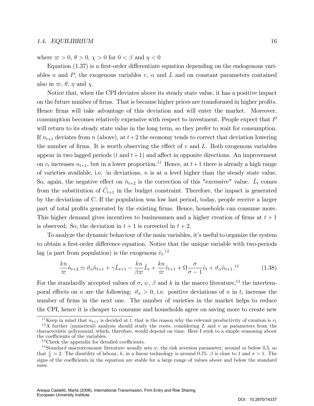where  $\varpi > 0$ ,  $\theta > 0$ ,  $\chi > 0$  for  $0 < \beta$  and  $\eta < 0$ 

Equation  $(1.37)$  is a first-order differentiate equation depending on the endogenous variables n and P, the exogenous variables  $v, \alpha$  and L and on constant parameters contained also in  $\varpi$ ,  $\theta$ ,  $\eta$  and  $\chi$ .

Notice that, when the CPI deviates above its steady state value, it has a positive impact on the future number of firms. That is because higher prices are transformed in higher profits. Hence firms will take advantage of this deviation and will enter the market. Moreover, consumption becomes relatively expensive with respect to investment. People expect that P will return to its steady state value in the long term, so they prefer to wait for consumption. If  $n_{t+1}$  deviates from n (above), at  $t+2$  the economy tends to correct that deviation lowering the number of firms. It is worth observing the effect of  $v$  and  $L$ . Both exogenous variables appear in two lagged periods  $(t \text{ and } t+1)$  and affect in opposite directions. An improvement on  $v_t$  increases  $n_{t+1}$ , but in a lower proportion.<sup>11</sup> Hence, at  $t+1$  there is already a high range of varieties available, i.e. in deviations,  $n$  is at a level higher than the steady state value. So, again, the negative effect on  $\hat{n}_{t+2}$  is the correction of this "excessive" value.  $\hat{L}_t$  comes from the substitution of  $\hat{C}_{t+1}$  in the budget constraint. Therefore, the impact is generated by the deviations of C. If the population was low last period, today, people receive a larger part of total profits generated by the existing firms. Hence, households can consume more. This higher demand gives incentives to businessmen and a higher creation of firms at  $t + 1$ is observed. So, the deviation in  $t + 1$  is corrected in  $t + 2$ .

To analyze the dynamic behaviour of the main variables, itís useful to organize the system to obtain a first-order difference equation. Notice that the unique variable with two-periods lag (a part from population) is the exogenous  $\hat{v}_t$ <sup>12</sup>

$$
\frac{kn}{\varpi}\hat{n}_{t+2} \simeq \vartheta_n \hat{n}_{t+1} + \gamma \hat{L}_{t+1} - \frac{kn}{\beta \varpi} \hat{L}_t + \frac{kn}{\varpi} \hat{v}_{t+1} + \Omega \frac{\sigma}{\sigma - 1} \hat{v}_t + \vartheta_\alpha \hat{\alpha}_{t+1}^{13} \tag{1.38}
$$

For the standardly accepted values of  $\sigma$ ,  $\psi$ ,  $\beta$  and k in the macro literature,<sup>14</sup> the intertemporal effects on n are the following:  $\vartheta_n > 0$ , i.e. positive deviations of n in t, increase the number of firms in the next one. The number of varieties in the market helps to reduce the CPI, hence it is cheaper to consume and households agree on saving more to create new

<sup>&</sup>lt;sup>11</sup>Keep in mind that  $n_{t+1}$  is decided at t, that is the reason why the relevant productivity of creation is  $v_t$ 

<sup>&</sup>lt;sup>12</sup>A further (numerical) analysis should study the roots, considering L and v as parameters from the characteristic polynomial, which, therefore, would depend on time. Here I stick to a simple reasoning about the coefficients of the variables.

 $13$ Check the appendix for detailed coefficients.

<sup>&</sup>lt;sup>14</sup>Standard macroeconomic literature usually sets  $\psi$ , the risk aversion parameter, around or below 0.5, so that  $\frac{1}{\psi} \simeq 2$ . The disutility of labour, k, in a linear technology is around 0.75.  $\beta$  is close to 1 and  $\sigma > 1$ . The signs of the coefficients in the equation are stable for a large range of values above and below the standard ones.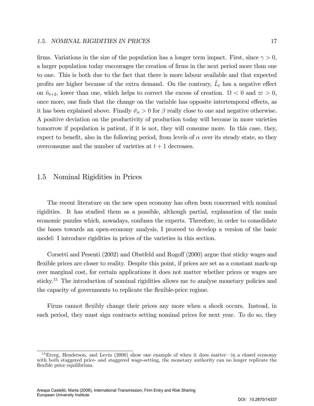firms. Variations in the size of the population has a longer term impact. First, since  $\gamma > 0$ , a larger population today encourages the creation of firms in the next period more than one to one. This is both due to the fact that there is more labour available and that expected profits are higher because of the extra demand. On the contrary,  $\hat{L}_t$  has a negative effect on  $\hat{n}_{t+2}$ , lower than one, which helps to correct the excess of creation.  $\Omega < 0$  and  $\varpi > 0$ , once more, one finds that the change on the variable has opposite intertemporal effects, as it has been explained above. Finally  $\vartheta_{\alpha} > 0$  for  $\beta$  really close to one and negative otherwise. A positive deviation on the productivity of production today will become in more varieties tomorrow if population is patient, if it is not, they will consume more. In this case, they, expect to benefit, also in the following period, from levels of  $\alpha$  over its steady state, so they overconsume and the number of varieties at  $t + 1$  decreases.

#### 1.5 Nominal Rigidities in Prices

The recent literature on the new open economy has often been concerned with nominal rigidities. It has studied them as a possible, although partial, explanation of the main economic puzzles which, nowadays, confuses the experts. Therefore, in order to consolidate the bases towards an open-economy analysis, I proceed to develop a version of the basic model: I introduce rigidities in prices of the varieties in this section.

Corsetti and Pesenti  $(2002)$  and Obstfeld and Rogoff  $(2000)$  argue that sticky wages and flexible prices are closer to reality. Despite this point, if prices are set as a constant mark-up over marginal cost, for certain applications it does not matter whether prices or wages are sticky.<sup>15</sup> The introduction of nominal rigidities allows me to analyse monetary policies and the capacity of governments to replicate the flexible-price regime.

Firms cannot flexibly change their prices any more when a shock occurs. Instead, in each period, they must sign contracts setting nominal prices for next year. To do so, they

 $^{15}$ Erceg, Henderson, and Levin (2000) show one example of when it does matter—in a closed economy with both staggered price- and staggered wage-setting, the monetary authority can no longer replicate the flexible price equilibrium.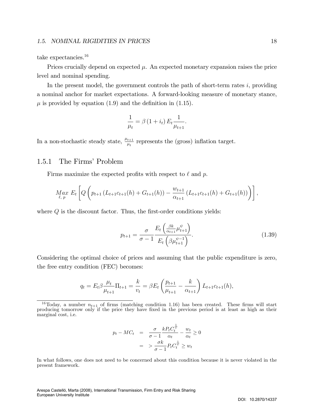#### 1.5. NOMINAL RIGIDITIES IN PRICES 18 18

take expectancies.<sup>16</sup>

Prices crucially depend on expected  $\mu$ . An expected monetary expansion raises the price level and nominal spending.

In the present model, the government controls the path of short-term rates  $i$ , providing a nominal anchor for market expectations. A forward-looking measure of monetary stance,  $\mu$  is provided by equation (1.9) and the definition in (1.15).

$$
\frac{1}{\mu_t} = \beta \left( 1 + i_t \right) E_t \frac{1}{\mu_{t+1}}.
$$

In a non-stochastic steady state,  $\frac{\mu_{t+1}}{\mu_t}$  represents the (gross) inflation target.

#### 1.5.1 The Firms' Problem

Firms maximize the expected profits with respect to  $\ell$  and p.

$$
\underset{\ell, p}{Max} E_t \left[ Q \left( p_{t+1} \left( L_{t+1} c_{t+1}(h) + G_{t+1}(h) \right) - \frac{w_{t+1}}{\alpha_{t+1}} \left( L_{t+1} c_{t+1}(h) + G_{t+1}(h) \right) \right) \right],
$$

where  $Q$  is the discount factor. Thus, the first-order conditions yields:

$$
p_{t+1} = \frac{\sigma}{\sigma - 1} \frac{E_t \left( \frac{\beta k}{\alpha_{t+1}} \mu_{t+1}^{\psi} \right)}{E_t \left( \beta \mu_{t+1}^{\psi - 1} \right)}.
$$
(1.39)

Considering the optimal choice of prices and assuming that the public expenditure is zero, the free entry condition (FEC) becomes:

$$
q_t = E_t \beta \frac{\mu_t}{\mu_{t+1}} \Pi_{t+1} = \frac{k}{v_t} = \beta E_t \left( \frac{p_{t+1}}{\mu_{t+1}} - \frac{k}{\alpha_{t+1}} \right) L_{t+1} c_{t+1}(h),
$$

$$
p_t - MC_t = \frac{\sigma}{\sigma - 1} \frac{k P_t C_t^{\frac{1}{\psi}}}{\alpha_t} - \frac{w_t}{\alpha_t} \ge 0
$$

$$
= \frac{\sigma k}{\sigma - 1} P_t C_t^{\frac{1}{\psi}} \ge w_t
$$

In what follows, one does not need to be concerned about this condition because it is never violated in the present framework.

<sup>&</sup>lt;sup>16</sup>Today, a number  $n_{t+1}$  of firms (matching condition 1.16) has been created. These firms will start producing tomorrow only if the price they have fixed in the previous period is at least as high as their marginal cost, i.e.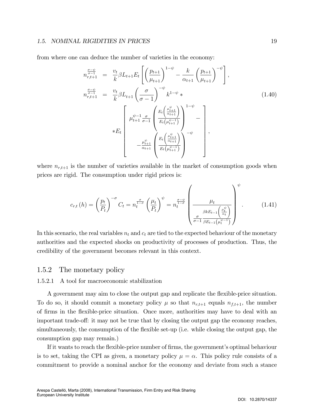#### 1.5. NOMINAL RIGIDITIES IN PRICES 1998. [19]

from where one can deduce the number of varieties in the economy:

$$
n_{r,t+1}^{\frac{\sigma-\psi}{\sigma-1}} = \frac{v_t}{k} \beta L_{t+1} E_t \left[ \left( \frac{p_{t+1}}{\mu_{t+1}} \right)^{1-\psi} - \frac{k}{\alpha_{t+1}} \left( \frac{p_{t+1}}{\mu_{t+1}} \right)^{-\psi} \right],
$$
  
\n
$$
n_{r,t+1}^{\frac{\sigma-\psi}{\sigma-1}} = \frac{v_t}{k} \beta L_{t+1} \left( \frac{\sigma}{\sigma-1} \right)^{-\psi} k^{1-\psi} * \left[ \mu_{t+1}^{\psi-1} \frac{\sigma}{\sigma-1} \left( \frac{E_t \left( \frac{\mu_{t+1}^{\psi}}{\alpha_{t+1}} \right)}{E_t \left( \mu_{t+1}^{\psi-1} \right)} \right)^{1-\psi} - \mu_{t+1}^{\psi} \left( \frac{E_t \left( \frac{\mu_{t+1}^{\psi}}{\alpha_{t+1}} \right)}{E_t \left( \mu_{t+1}^{\psi-1} \right)} \right)^{-\psi} \right],
$$
\n(1.40)

where  $n_{r,t+1}$  is the number of varieties available in the market of consumption goods when prices are rigid. The consumption under rigid prices is:

$$
c_{r,t}(h) = \left(\frac{p_t}{P_t}\right)^{-\sigma} C_t = n_t^{\frac{\sigma}{1-\sigma}} \left(\frac{\mu_t}{P_t}\right)^{\psi} = n_t^{\frac{\sigma-\psi}{1-\sigma}} \left(\frac{\mu_t}{\frac{\beta k E_{t-1}\left(\frac{\mu_t^{\psi}}{\alpha_t}\right)}{\sigma-1 \frac{\beta k E_{t-1}\left(\mu_t^{\psi^{-1}}\right)}{\beta E_{t-1}\left(\mu_t^{\psi^{-1}}\right)}}\right)^{\psi}.
$$
(1.41)

In this scenario, the real variables  $n_t$  and  $c_t$  are tied to the expected behaviour of the monetary authorities and the expected shocks on productivity of processes of production. Thus, the credibility of the government becomes relevant in this context.

#### 1.5.2 The monetary policy

#### 1.5.2.1 A tool for macroeconomic stabilization

A government may aim to close the output gap and replicate the flexible-price situation. To do so, it should commit a monetary policy  $\mu$  so that  $n_{r,t+1}$  equals  $n_{f,t+1}$ , the number of Örms in the áexible-price situation. Once more, authorities may have to deal with an important trade-off: it may not be true that by closing the output gap the economy reaches, simultaneously, the consumption of the flexible set-up (i.e. while closing the output gap, the consumption gap may remain.)

If it wants to reach the flexible-price number of firms, the government's optimal behaviour is to set, taking the CPI as given, a monetary policy  $\mu = \alpha$ . This policy rule consists of a commitment to provide a nominal anchor for the economy and deviate from such a stance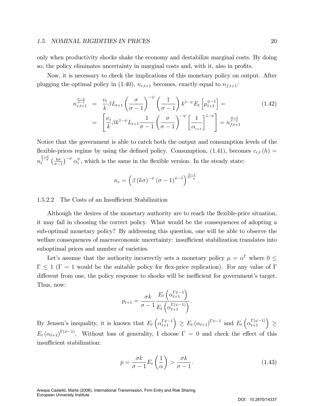#### 1.5. NOMINAL RIGIDITIES IN PRICES 20

only when productivity shocks shake the economy and destabilize marginal costs. By doing so, the policy eliminates uncertainty in marginal costs and, with it, also in profits.

Now, it is necessary to check the implications of this monetary policy on output. After plugging the optimal policy in (1.40),  $n_{r,t+1}$  becomes, exactly equal to  $n_{f,t+1}$ :

$$
n_{r,t+1}^{\frac{\sigma-\psi}{\sigma-1}} = \frac{v_t}{k} \beta L_{t+1} \left(\frac{\sigma}{\sigma-1}\right)^{-\psi} \left(\frac{1}{\sigma-1}\right) k^{1-\psi} E_t \left[\mu_{t+1}^{\psi-1}\right] = \left[\frac{\nu_t}{k} \beta k^{1-\psi} L_{t+1} \frac{1}{\sigma-1} \left(\frac{\sigma}{\sigma-1}\right)^{-\psi} \left[\frac{1}{\alpha_{t+1}}\right]^{1-\psi}\right] = n_{f,t+1}^{\frac{\sigma-1}{\sigma-\psi}} \tag{1.42}
$$

Notice that the government is able to catch both the output and consumption levels of the flexible-prices regime by using the defined policy. Consumption, (1.41), becomes  $c_{r,t}$  (h) =  $n_t^{\frac{\sigma-\psi}{1-\sigma}}\left(\frac{k\sigma}{\sigma-1}\right)$  $\sigma-1$  $\int_{-\psi}^{\psi} \alpha_t^{\psi}$  $_t^{\psi}$ , which is the same in the flexible version. In the steady state:

$$
n_r = \left(\beta \left(k\sigma\right)^{-\psi} \left(\sigma - 1\right)^{\psi - 1}\right)^{\frac{\sigma - 1}{\sigma - \psi}}.
$$

#### 1.5.2.2 The Costs of an Insufficient Stabilization

Although the desires of the monetary authority are to reach the flexible-price situation, it may fail in choosing the correct policy. What would be the consequences of adopting a sub-optimal monetary policy? By addressing this question, one will be able to observe the welfare consequences of macroeconomic uncertainty: insufficient stabilization translates into suboptimal prices and number of varieties.

Let's assume that the authority incorrectly sets a monetary policy  $\mu = \alpha^{\Gamma}$  where  $0 \leq$  $\Gamma \leq 1$  ( $\Gamma = 1$  would be the suitable policy for flex-price replication). For any value of  $\Gamma$ different from one, the policy response to shocks will be inefficient for government's target. Thus, now:

$$
p_{t+1} = \frac{\sigma k}{\sigma - 1} \frac{E_t\left(\alpha_{t+1}^{\Gamma \psi - 1}\right)}{E_t\left(\alpha_{t+1}^{\Gamma(\psi - 1)}\right)}.
$$

By Jensen's inequality, it is known that  $E_t\left(\alpha_{t+1}^{\Gamma\psi-1}\right) \geq E_t\left(\alpha_{t+1}\right)^{\Gamma\psi-1}$  and  $E_t\left(\alpha_{t+1}^{\Gamma(\psi-1)}\right) \geq$  $E_t(\alpha_{t+1})^{\Gamma(\psi-1)}$ . Without loss of generality, I choose  $\Gamma = 0$  and check the effect of this insufficient stabilization:

$$
p = \frac{\sigma k}{\sigma - 1} E_t\left(\frac{1}{\alpha}\right) > \frac{\sigma k}{\sigma - 1}.\tag{1.43}
$$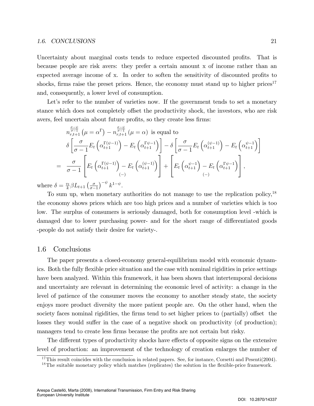#### 1.6. CONCLUSIONS 21

Uncertainty about marginal costs tends to reduce expected discounted profits. That is because people are risk avers: they prefer a certain amount x of income rather than an expected average income of x. In order to soften the sensitivity of discounted profits to shocks, firms raise the preset prices. Hence, the economy must stand up to higher prices<sup>17</sup> and, consequently, a lower level of consumption.

Let's refer to the number of varieties now. If the government tends to set a monetary stance which does not completely offset the productivity shock, the investors, who are risk avers, feel uncertain about future profits, so they create less firms:

$$
n_{r,t+1}^{\frac{\sigma-\psi}{\sigma-1}}(\mu = \alpha^{\Gamma}) - n_{r,t+1}^{\frac{\sigma-\psi}{\sigma-1}}(\mu = \alpha) \text{ is equal to}
$$
  
\n
$$
\delta \left[ \frac{\sigma}{\sigma-1} E_t \left( \alpha_{t+1}^{\Gamma(\psi-1)} \right) - E_t \left( \alpha_{t+1}^{\Gamma(\psi-1)} \right) \right] - \delta \left[ \frac{\sigma}{\sigma-1} E_t \left( \alpha_{t+1}^{(\psi-1)} \right) - E_t \left( \alpha_{t+1}^{\psi-1} \right) \right]
$$
  
\n
$$
= \frac{\sigma}{\sigma-1} \left[ E_t \left( \alpha_{t+1}^{\Gamma(\psi-1)} \right) - E_t \left( \alpha_{t+1}^{(\psi-1)} \right) \right] + \left[ E_t \left( \alpha_{t+1}^{\psi-1} \right) - E_t \left( \alpha_{t+1}^{\Gamma(\psi-1)} \right) \right],
$$
  
\n
$$
\delta = \frac{v_t}{k} \beta L_{t+1} \left( \frac{\sigma}{\sigma-1} \right)^{-\psi} k^{1-\psi}.
$$

where  $\delta = \frac{v_t}{k}$  $\frac{\omega_t}{k} \beta L_{t+1} \left( \frac{\sigma}{\sigma - 1} \right)$  $\sigma-1$  $\rangle^{-\psi}$ k  $1-\psi$ 

To sum up, when monetary authorities do not manage to use the replication policy,  $18$ the economy shows prices which are too high prices and a number of varieties which is too low. The surplus of consumers is seriously damaged, both for consumption level -which is damaged due to lower purchasing power- and for the short range of differentiated goods -people do not satisfy their desire for variety-.

#### 1.6 Conclusions

The paper presents a closed-economy general-equilibrium model with economic dynamics. Both the fully flexible price situation and the case with nominal rigidities in price settings have been analyzed. Within this framework, it has been shown that intertemporal decisions and uncertainty are relevant in determining the economic level of activity: a change in the level of patience of the consumer moves the economy to another steady state, the society enjoys more product diversity the more patient people are. On the other hand, when the society faces nominal rigidities, the firms tend to set higher prices to (partially) offset the losses they would suffer in the case of a negative shock on productivity (of production); managers tend to create less firms because the profits are not certain but risky.

The different types of productivity shocks have effects of opposite signs on the extensive level of production: an improvement of the technology of creation enlarges the number of

<sup>&</sup>lt;sup>17</sup>This result coincides with the conclusion in related papers. See, for instance, Corsetti and Pesenti(2004).

<sup>&</sup>lt;sup>18</sup>The suitable monetary policy which matches (replicates) the solution in the flexible-price framework.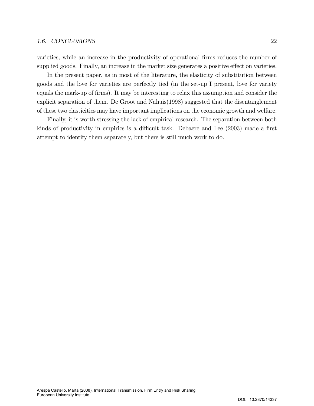varieties, while an increase in the productivity of operational firms reduces the number of supplied goods. Finally, an increase in the market size generates a positive effect on varieties.

In the present paper, as in most of the literature, the elasticity of substitution between goods and the love for varieties are perfectly tied (in the set-up I present, love for variety equals the mark-up of firms). It may be interesting to relax this assumption and consider the explicit separation of them. De Groot and Nahuis(1998) suggested that the disentanglement of these two elasticities may have important implications on the economic growth and welfare.

Finally, it is worth stressing the lack of empirical research. The separation between both kinds of productivity in empirics is a difficult task. Debaere and Lee (2003) made a first attempt to identify them separately, but there is still much work to do.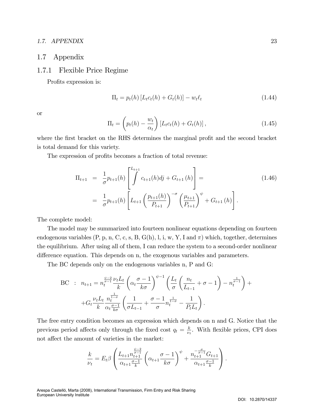#### 1.7. APPENDIX 23

#### 1.7 Appendix

#### 1.7.1 Flexible Price Regime

Profits expression is:

$$
\Pi_t = p_t(h) \left[ L_t c_t(h) + G_t(h) \right] - w_t \ell_t \tag{1.44}
$$

or

$$
\Pi_t = \left( p_t(h) - \frac{w_t}{\alpha_t} \right) \left[ L_t c_t(h) + G_t(h) \right], \tag{1.45}
$$

where the first bracket on the RHS determines the marginal profit and the second bracket is total demand for this variety.

The expression of profits becomes a fraction of total revenue:

$$
\Pi_{t+1} = \frac{1}{\sigma} p_{t+1}(h) \left[ \int_{t+1}^{L_{t+1}} c_{t+1}(h) d j + G_{t+1}(h) \right] =
$$
\n
$$
= \frac{1}{\sigma} p_{t+1}(h) \left[ L_{t+1} \left( \frac{p_{t+1}(h)}{P_{t+1}} \right)^{-\sigma} \left( \frac{\mu_{t+1}}{P_{t+1}} \right)^{\psi} + G_{t+1}(h) \right].
$$
\n(1.46)

The complete model:

The model may be summarized into fourteen nonlinear equations depending on fourteen endogenous variables  $(P, p, n, C, c, s, B, G(h), l, i, w, Y, I, and \pi)$  which, together, determines the equilibrium. After using all of them, I can reduce the system to a second-order nonlinear difference equation. This depends on n, the exogenous variables and parameters.

The BC depends only on the endogenous variables n, P and G:

BC : 
$$
n_{t+1} = n_t^{\frac{\psi-2}{\sigma-1}} \frac{\nu_t L_t}{k} \left( \alpha_t \frac{\sigma - 1}{k\sigma} \right)^{\psi-1} \left( \frac{L_t}{\sigma} \left( \frac{n_t}{L_{t-1}} + \sigma - 1 \right) - n_t^{\frac{1}{\sigma-1}} \right) +
$$
  
+  $G_t \frac{\nu_t L_t}{k} \frac{n_t^{\frac{1}{1-\sigma}}}{\alpha_t \frac{\sigma - 1}{k\sigma}} \left( \frac{1}{\sigma L_{t-1}} + \frac{\sigma - 1}{\sigma} n_t^{\frac{1}{1-\sigma}} - \frac{1}{P_t L_t} \right).$ 

The free entry condition becomes an expression which depends on n and G. Notice that the previous period affects only through the fixed cost  $q_t = \frac{k}{\nu_s}$  $\frac{k}{\nu_t}$ . With flexible prices, CPI does not affect the amount of varieties in the market:

$$
\frac{k}{\nu_t} = E_t \beta \left( \frac{L_{t+1} n_{t+1}^{\frac{\psi-2}{\sigma-1}}}{\alpha_{t+1} \frac{\sigma-1}{k}} \left( \alpha_{t+1} \frac{\sigma-1}{k \sigma} \right)^{\psi} + \frac{n_{t+1}^{-\frac{\sigma}{\sigma-1}} G_{t+1}}{\alpha_{t+1} \frac{\sigma-1}{k}} \right).
$$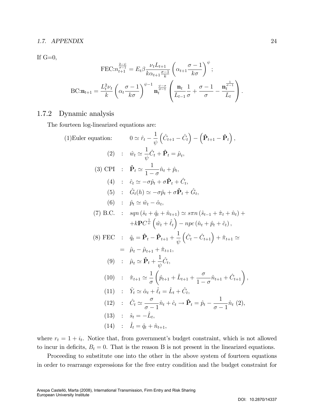#### 1.7. APPENDIX 24

If  $G=0$ ,

$$
\text{FEC:} n_{t+1}^{\frac{2-\psi}{\sigma-1}} = E_t \beta \frac{\nu_t L_{t+1}}{k \alpha_{t+1} \frac{\sigma-1}{k}} \left( \alpha_{t+1} \frac{\sigma-1}{k \sigma} \right)^{\psi};
$$
  

$$
\text{BC:} \mathbf{n}_{t+1} = \frac{L_t^2 \nu_t}{k} \left( \alpha_t \frac{\sigma-1}{k \sigma} \right)^{\psi-1} \mathbf{n}_t^{\frac{\psi-\sigma}{\sigma-1}} \left( \frac{\mathbf{n}_t}{L_{t-1} \sigma} \frac{1}{\sigma} + \frac{\sigma-1}{\sigma} - \frac{\mathbf{n}_t^{\frac{1}{\sigma-1}}}{L_t} \right).
$$

#### 1.7.2 Dynamic analysis

The fourteen log-linearized equations are:

(1) Euler equation: 
$$
0 \approx \hat{r}_t - \frac{1}{\psi} \left( \hat{C}_{t+1} - \hat{C}_t \right) - \left( \hat{\mathbf{P}}_{t+1} - \hat{\mathbf{P}}_t \right),
$$
  
\n(2) :  $\hat{w}_t \approx \frac{1}{\psi} \hat{C}_t + \hat{\mathbf{P}}_t = \hat{\mu}_t,$   
\n(3) CPI :  $\hat{\mathbf{P}}_t \approx \frac{1}{1-\sigma} \hat{n}_t + \hat{p}_t,$   
\n(4) :  $\hat{c}_t \approx -\sigma \hat{p}_t + \sigma \hat{\mathbf{P}}_t + \hat{C}_t,$   
\n(5) :  $\hat{G}_t(h) \approx -\sigma \hat{p}_t + \sigma \hat{\mathbf{P}}_t + \hat{C}_t,$   
\n(6) :  $\hat{p}_t \approx \hat{w}_t - \hat{\alpha}_t,$   
\n(7) B.C. :  $sgn(\hat{s}_t + \hat{q}_t + \hat{n}_{t+1}) \approx s\pi n (\hat{s}_{t-1} + \hat{\pi}_t + \hat{n}_t) +$   
\n $+ k\mathbf{P}C_{\psi}^{\perp} (\hat{w}_t + \hat{\ell}_t) - npc(\hat{n}_t + \hat{p}_t + \hat{c}_t),$   
\n(8) FEC :  $\hat{q}_t = \hat{\mathbf{P}}_t - \hat{\mathbf{P}}_{t+1} + \frac{1}{\psi} (\hat{C}_t - \hat{C}_{t+1}) + \hat{\pi}_{t+1} \approx$   
\n $= \hat{\mu}_t - \hat{\mu}_{t+1} + \hat{\pi}_{t+1},$   
\n(9) :  $\hat{\mu}_t \approx \hat{\mathbf{P}}_t + \frac{1}{\psi} \hat{C}_t,$   
\n(10) :  $\hat{\pi}_{t+1} \approx \frac{1}{\sigma} \left( \hat{p}_{t+1} + \hat{L}_{t+1} + \frac{\sigma}{1-\sigma} \hat{n}_{t+1} + \hat{C}_{t+1} \right),$   
\n(11) :  $\hat{Y}_t \approx \hat{\alpha}_t + \hat{\ell}_t = \hat{L}_t + \hat{C}_t,$   
\n(12) :  $\hat{C}_t \approx \frac{\$ 

where  $r_t = 1 + i_t$ . Notice that, from government's budget constraint, which is not allowed to incur in deficits,  $B_t = 0$ . That is the reason B is not present in the linearized equations.

Proceeding to substitute one into the other in the above system of fourteen equations in order to rearrange expressions for the free entry condition and the budget constraint for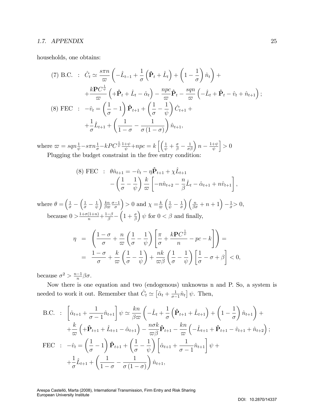#### 1.7. APPENDIX 25

households, one obtains:

(7) B.C. : 
$$
\hat{C}_t \simeq \frac{s\pi n}{\varpi} \left( -\hat{L}_{t-1} + \frac{1}{\sigma} \left( \hat{\mathbf{P}}_t + \hat{L}_t \right) + \left( 1 - \frac{1}{\sigma} \right) \hat{n}_t \right) +
$$
  
\n
$$
+ \frac{k \mathbf{P} C^{\frac{1}{\psi}}}{\varpi} \left( + \hat{\mathbf{P}}_t + \hat{L}_t - \hat{\alpha}_t \right) - \frac{npc}{\varpi} \hat{\mathbf{P}}_t - \frac{sqn}{\varpi} \left( -\hat{L}_t + \hat{\mathbf{P}}_t - \hat{v}_t + \hat{n}_{t+1} \right);
$$
\n(8) FEC :  $-\hat{v}_t = \left( \frac{1}{\sigma} - 1 \right) \hat{\mathbf{P}}_{t+1} + \left( \frac{1}{\sigma} - \frac{1}{\psi} \right) \hat{C}_{t+1} +$   
\n
$$
+ \frac{1}{\sigma} \hat{L}_{t+1} + \left( \frac{1}{1 - \sigma} - \frac{1}{\sigma \left( 1 - \sigma \right)} \right) \hat{n}_{t+1},
$$

where  $\varpi = s q n \frac{1}{\psi} - s \pi n \frac{1}{\sigma} - k P C^{\frac{1}{\psi}} \frac{1+\psi}{\psi} + npc = k \left[ \left( \frac{1}{\psi} + \frac{\sigma}{\beta} - \frac{1}{\sigma \beta} \right) n - \frac{1+\psi}{\psi} \right]$ ψ  $\big] > 0$ Plugging the budget constraint in the free entry condition:

(8) FEC : 
$$
\theta \hat{n}_{t+1} = -\hat{v}_t - \eta \hat{P}_{t+1} + \chi \hat{L}_{t+1}
$$
  
 
$$
- \left( \frac{1}{\sigma} - \frac{1}{\psi} \right) \frac{k}{\varpi} \left[ -n \hat{n}_{t+2} - \frac{n}{\beta} \hat{L}_t - \hat{\alpha}_{t+1} + n \hat{v}_{t+1} \right],
$$

where  $\theta = \left(\frac{1}{\sigma} - \frac{1}{\sigma}\right)$  $\left(\frac{1}{\sigma}-\frac{1}{\psi}\right)$ ψ  $\frac{k}{n}$  $\frac{kn}{\beta\varpi}\frac{\sigma-1}{\sigma}$  $=$  0 and  $\chi = \frac{k}{\pi}$  $\varpi$  $\left(\frac{1}{\psi} - \frac{1}{\sigma}\right)$  $\sigma$  $\left(\frac{n}{\beta\sigma}+n+1\right)-\frac{1}{\sigma}>0,$ because  $0 > \frac{1+\sigma(1+n)}{n} + \frac{1-\beta}{\beta} \left(1+\frac{\sigma}{\beta}\right)$ )  $\psi$  for  $0 < \beta$  and finally,

$$
\eta = \left( \frac{1-\sigma}{\sigma} + \frac{n}{\varpi} \left( \frac{1}{\sigma} - \frac{1}{\psi} \right) \left[ \frac{\pi}{\sigma} + \frac{k \mathbf{P} C^{\frac{1}{\psi}}}{n} - pc - k \right] \right) =
$$
  

$$
= \frac{1-\sigma}{\sigma} + \frac{k}{\varpi} \left( \frac{1}{\sigma} - \frac{1}{\psi} \right) + \frac{nk}{\varpi \beta} \left( \frac{1}{\sigma} - \frac{1}{\psi} \right) \left[ \frac{1}{\sigma} - \sigma + \beta \right] < 0,
$$

because  $\sigma^2 > \frac{n-1}{n} \beta \sigma$ .

Now there is one equation and two (endogenous) unknowns n and P. So, a system is needed to work it out. Remember that  $\hat{C}_t \simeq \left[ \hat{\alpha}_t + \frac{1}{\sigma_-} \right]$  $\frac{1}{\sigma-1}\hat{n}_t\big] \psi$ . Then,

B.C. : 
$$
\left[\hat{\alpha}_{t+1} + \frac{1}{\sigma - 1}\hat{n}_{t+1}\right] \psi \simeq \frac{kn}{\beta \omega} \left(-\hat{L}_t + \frac{1}{\sigma} \left(\hat{\mathbf{P}}_{t+1} + \hat{L}_{t+1}\right) + \left(1 - \frac{1}{\sigma}\right)\hat{n}_{t+1}\right) +
$$
  
  $+ \frac{k}{\omega} \left(+\hat{\mathbf{P}}_{t+1} + \hat{L}_{t+1} - \hat{\alpha}_{t+1}\right) - \frac{n\sigma k}{\omega \beta} \hat{\mathbf{P}}_{t+1} - \frac{kn}{\omega} \left(-\hat{L}_{t+1} + \hat{\mathbf{P}}_{t+1} - \hat{v}_{t+1} + \hat{n}_{t+2}\right);$   
FFC :  $-\hat{v}_t = \left(\frac{1}{\sigma} - 1\right) \hat{\mathbf{P}}_{t+1} + \left(\frac{1}{\sigma} - \frac{1}{\psi}\right) \left[\hat{\alpha}_{t+1} + \frac{1}{\sigma - 1}\hat{n}_{t+1}\right] \psi +$   
  $+ \frac{1}{\sigma} \hat{L}_{t+1} + \left(\frac{1}{1 - \sigma} - \frac{1}{\sigma (1 - \sigma)}\right) \hat{n}_{t+1},$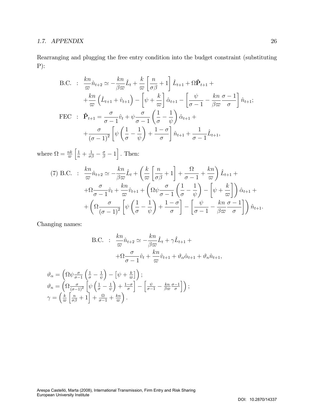Rearranging and plugging the free entry condition into the budget constraint (substituting P):

B.C. : 
$$
\frac{kn}{\omega}\hat{n}_{t+2} \simeq -\frac{kn}{\beta\omega}\hat{L}_t + \frac{k}{\omega}\left[\frac{n}{\sigma\beta} + 1\right]\hat{L}_{t+1} + \Omega\hat{P}_{t+1} +
$$

$$
+ \frac{kn}{\omega}\left(\hat{L}_{t+1} + \hat{v}_{t+1}\right) - \left[\psi + \frac{k}{\omega}\right]\hat{\alpha}_{t+1} - \left[\frac{\psi}{\sigma - 1} - \frac{kn}{\beta\omega}\frac{\sigma - 1}{\sigma}\right]\hat{n}_{t+1};
$$
  
FEC : 
$$
\hat{P}_{t+1} = \frac{\sigma}{\sigma - 1}\hat{v}_t + \psi\frac{\sigma}{\sigma - 1}\left(\frac{1}{\sigma} - \frac{1}{\psi}\right)\hat{\alpha}_{t+1} +
$$

$$
+ \frac{\sigma}{(\sigma - 1)^2}\left[\psi\left(\frac{1}{\sigma} - \frac{1}{\psi}\right) + \frac{1 - \sigma}{\sigma}\right]\hat{n}_{t+1} + \frac{1}{\sigma - 1}\hat{L}_{t+1},
$$

where  $\Omega = \frac{nk}{\varpi}$  $\left[\frac{1}{n} + \frac{1}{\sigma\beta} - \frac{\sigma}{\beta} - 1\right]$ . Then:

(7) B.C. : 
$$
\frac{kn}{\varpi} \hat{n}_{t+2} \simeq -\frac{kn}{\beta \varpi} \hat{L}_t + \left(\frac{k}{\varpi} \left[\frac{n}{\sigma \beta} + 1\right] + \frac{\Omega}{\sigma - 1} + \frac{kn}{\varpi}\right) \hat{L}_{t+1} + \left(\Omega \frac{\sigma}{\sigma - 1} \hat{v}_t + \frac{kn}{\varpi} \hat{v}_{t+1} + \left(\Omega \psi \frac{\sigma}{\sigma - 1} \left(\frac{1}{\sigma} - \frac{1}{\psi}\right) - \left[\psi + \frac{k}{\varpi}\right]\right) \hat{\alpha}_{t+1} + \left(\Omega \frac{\sigma}{(\sigma - 1)^2} \left[\psi \left(\frac{1}{\sigma} - \frac{1}{\psi}\right) + \frac{1 - \sigma}{\sigma}\right] - \left[\frac{\psi}{\sigma - 1} - \frac{kn}{\beta \varpi} \frac{\sigma - 1}{\sigma}\right]\right) \hat{n}_{t+1}.
$$

Changing names:

B.C. : 
$$
\frac{kn}{\omega} \hat{n}_{t+2} \simeq -\frac{kn}{\beta \omega} \hat{L}_t + \gamma \hat{L}_{t+1} +
$$

$$
+ \Omega \frac{\sigma}{\sigma - 1} \hat{v}_t + \frac{kn}{\omega} \hat{v}_{t+1} + \vartheta_\alpha \hat{\alpha}_{t+1} + \vartheta_n \hat{n}_{t+1},
$$

$$
\vartheta_{\alpha} = \left(\Omega \psi \frac{\sigma}{\sigma - 1} \left( \frac{1}{\sigma} - \frac{1}{\psi} \right) - \left[ \psi + \frac{k}{\varpi} \right] \right);
$$
  

$$
\vartheta_{n} = \left(\Omega \frac{\sigma}{(\sigma - 1)^{2}} \left[ \psi \left( \frac{1}{\sigma} - \frac{1}{\psi} \right) + \frac{1 - \sigma}{\sigma} \right] - \left[ \frac{\psi}{\sigma - 1} - \frac{kn}{\beta \varpi} \frac{\sigma - 1}{\sigma} \right] \right);
$$
  

$$
\gamma = \left( \frac{k}{\varpi} \left[ \frac{n}{\sigma \beta} + 1 \right] + \frac{\Omega}{\sigma - 1} + \frac{kn}{\varpi} \right).
$$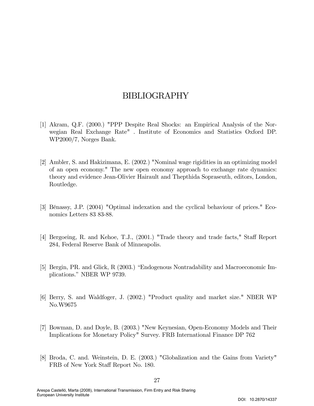## BIBLIOGRAPHY

- [1] Akram, Q.F. (2000.) "PPP Despite Real Shocks: an Empirical Analysis of the Norwegian Real Exchange Rate" . Institute of Economics and Statistics Oxford DP. WP2000/7, Norges Bank.
- [2] Ambler, S. and Hakizimana, E. (2002.) "Nominal wage rigidities in an optimizing model of an open economy." The new open economy approach to exchange rate dynamics: theory and evidence Jean-Olivier Hairault and Thepthida Sopraseuth, editors, London, Routledge.
- [3] BÈnassy, J.P. (2004) "Optimal indexation and the cyclical behaviour of prices." Economics Letters 83 83-88.
- [4] Bergoeing, R. and Kehoe, T.J., (2001.) "Trade theory and trade facts," Staff Report 284, Federal Reserve Bank of Minneapolis.
- [5] Bergin, PR. and Glick, R (2003.) "Endogenous Nontradability and Macroeconomic Implications." NBER WP 9739.
- [6] Berry, S. and Waldfoger, J. (2002.) "Product quality and market size." NBER WP No.W9675
- [7] Bowman, D. and Doyle, B. (2003.) "New Keynesian, Open-Economy Models and Their Implications for Monetary Policy" Survey. FRB International Finance DP 762
- [8] Broda, C. and. Weinstein, D. E. (2003.) "Globalization and the Gains from Variety" FRB of New York Staff Report No. 180.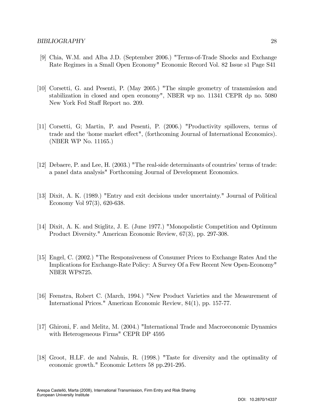- [9] Chia, W.M. and Alba J.D. (September 2006.) "Terms-of-Trade Shocks and Exchange Rate Regimes in a Small Open Economy" Economic Record Vol. 82 Issue s1 Page S41
- [10] Corsetti, G. and Pesenti, P. (May 2005.) "The simple geometry of transmission and stabilization in closed and open economy", NBER wp no. 11341 CEPR dp no. 5080 New York Fed Staff Report no. 209.
- [11] Corsetti, G; Martin, P. and Pesenti, P. (2006.) "Productivity spillovers, terms of trade and the 'home market effect", (forthcoming Journal of International Economics). (NBER WP No. 11165.)
- [12] Debaere, P. and Lee, H.  $(2003.)$  "The real-side determinants of countries' terms of trade: a panel data analysis" Forthcoming Journal of Development Economics.
- [13] Dixit, A. K. (1989.) "Entry and exit decisions under uncertainty." Journal of Political Economy Vol 97(3), 620-638.
- [14] Dixit, A. K. and Stiglitz, J. E. (June 1977.) "Monopolistic Competition and Optimum Product Diversity." American Economic Review, 67(3), pp. 297-308.
- [15] Engel, C. (2002.) "The Responsiveness of Consumer Prices to Exchange Rates And the Implications for Exchange-Rate Policy: A Survey Of a Few Recent New Open-Economy" NBER WP8725.
- [16] Feenstra, Robert C. (March, 1994.) "New Product Varieties and the Measurement of International Prices." American Economic Review, 84(1), pp. 157-77.
- [17] Ghironi, F. and Melitz, M. (2004.) "International Trade and Macroeconomic Dynamics with Heterogeneous Firms" CEPR DP 4595
- [18] Groot, H.LF. de and Nahuis, R. (1998.) "Taste for diversity and the optimality of economic growth." Economic Letters 58 pp.291-295.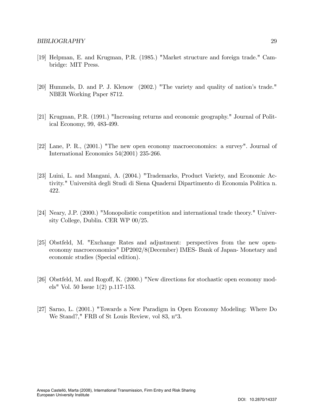- [19] Helpman, E. and Krugman, P.R. (1985.) "Market structure and foreign trade." Cambridge: MIT Press.
- [20] Hummels, D. and P. J. Klenow (2002.) "The variety and quality of nation's trade." NBER Working Paper 8712.
- [21] Krugman, P.R. (1991.) "Increasing returns and economic geography." Journal of Political Economy, 99, 483-499.
- [22] Lane, P. R., (2001.) "The new open economy macroeconomics: a survey". Journal of International Economics 54(2001) 235-266.
- [23] Luini, L. and Mangani, A. (2004.) "Trademarks, Product Variety, and Economic Activity." Università degli Studi di Siena Quaderni Dipartimento di Economia Politica n. 422.
- [24] Neary, J.P. (2000.) "Monopolistic competition and international trade theory." University College, Dublin. CER WP 00/25.
- [25] Obstfeld, M. "Exchange Rates and adjustment: perspectives from the new openeconomy macroeconomics" DP2002/8(December) IMES- Bank of Japan- Monetary and economic studies (Special edition).
- [26] Obstfeld, M. and Rogoff, K. (2000.) "New directions for stochastic open economy models" Vol. 50 Issue 1(2) p.117-153.
- [27] Sarno, L. (2001.) "Towards a New Paradigm in Open Economy Modeling: Where Do We Stand?," FRB of St Louis Review, vol 83, n°3.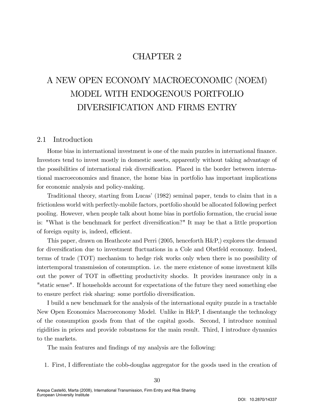# CHAPTER 2

# A NEW OPEN ECONOMY MACROECONOMIC (NOEM) MODEL WITH ENDOGENOUS PORTFOLIO DIVERSIFICATION AND FIRMS ENTRY

### 2.1 Introduction

Home bias in international investment is one of the main puzzles in international finance. Investors tend to invest mostly in domestic assets, apparently without taking advantage of the possibilities of international risk diversification. Placed in the border between international macroeconomics and Önance, the home bias in portfolio has important implications for economic analysis and policy-making.

Traditional theory, starting from Lucas' (1982) seminal paper, tends to claim that in a frictionless world with perfectly-mobile factors, portfolio should be allocated following perfect pooling. However, when people talk about home bias in portfolio formation, the crucial issue is: "What is the benchmark for perfect diversification?" It may be that a little proportion of foreign equity is, indeed, efficient.

This paper, drawn on Heathcote and Perri (2005, henceforth H&P,) explores the demand for diversification due to investment fluctuations in a Cole and Obstfeld economy. Indeed, terms of trade (TOT) mechanism to hedge risk works only when there is no possibility of intertemporal transmission of consumption. i.e. the mere existence of some investment kills out the power of TOT in offsetting productivity shocks. It provides insurance only in a "static sense". If households account for expectations of the future they need something else to ensure perfect risk sharing: some portfolio diversification.

I build a new benchmark for the analysis of the international equity puzzle in a tractable New Open Economics Macroeconomy Model. Unlike in H&P, I disentangle the technology of the consumption goods from that of the capital goods. Second, I introduce nominal rigidities in prices and provide robustness for the main result. Third, I introduce dynamics to the markets.

The main features and findings of my analysis are the following:

1. First, I differentiate the cobb-douglas aggregator for the goods used in the creation of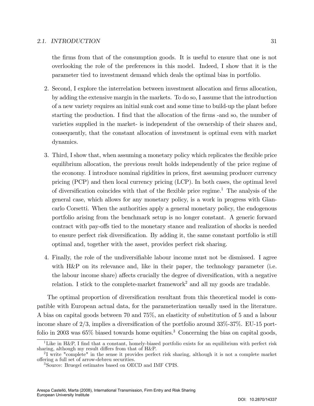### 2.1. INTRODUCTION 31

the Örms from that of the consumption goods. It is useful to ensure that one is not overlooking the role of the preferences in this model. Indeed, I show that it is the parameter tied to investment demand which deals the optimal bias in portfolio.

- 2. Second, I explore the interrelation between investment allocation and firms allocation, by adding the extensive margin in the markets. To do so, I assume that the introduction of a new variety requires an initial sunk cost and some time to build-up the plant before starting the production. I find that the allocation of the firms -and so, the number of varieties supplied in the market- is independent of the ownership of their shares and, consequently, that the constant allocation of investment is optimal even with market dynamics.
- 3. Third, I show that, when assuming a monetary policy which replicates the áexible price equilibrium allocation, the previous result holds independently of the price regime of the economy. I introduce nominal rigidities in prices, first assuming producer currency pricing (PCP) and then local currency pricing (LCP). In both cases, the optimal level of diversification coincides with that of the flexible price regime.<sup>1</sup> The analysis of the general case, which allows for any monetary policy, is a work in progress with Giancarlo Corsetti. When the authorities apply a general monetary policy, the endogenous portfolio arising from the benchmark setup is no longer constant. A generic forward contract with pay-offs tied to the monetary stance and realization of shocks is needed to ensure perfect risk diversification. By adding it, the same constant portfolio is still optimal and, together with the asset, provides perfect risk sharing.
- 4. Finally, the role of the undiversifiable labour income must not be dismissed. I agree with  $H\&P$  on its relevance and, like in their paper, the technology parameter (i.e. the labour income share) affects crucially the degree of diversification, with a negative relation. I stick to the complete-market framework<sup>2</sup> and all my goods are tradable.

The optimal proportion of diversification resultant from this theoretical model is compatible with European actual data, for the parameterization usually used in the literature. A bias on capital goods between 70 and 75%, an elasticity of substitution of 5 and a labour income share of  $2/3$ , implies a diversification of the portfolio around  $33\%$ - $37\%$ . EU-15 portfolio in 2003 was  $65\%$  biased towards home equities.<sup>3</sup> Concerning the bias on capital goods,

<sup>&</sup>lt;sup>1</sup>Like in H&P, I find that a constant, homely-biased portfolio exists for an equilibrium with perfect risk sharing, although my result differs from that of  $H\&P$ .

<sup>2</sup> I write "complete" in the sense it provides perfect risk sharing, although it is not a complete market o§ering a full set of arrow-debreu securities.

<sup>3</sup>Source: Bruegel estimates based on OECD and IMF CPIS.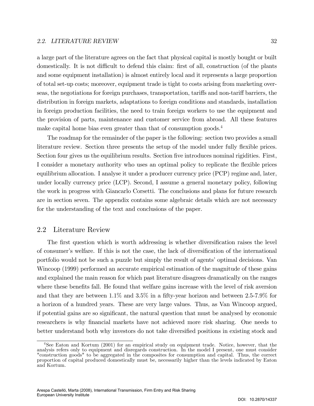a large part of the literature agrees on the fact that physical capital is mostly bought or built domestically. It is not difficult to defend this claim: first of all, construction (of the plants and some equipment installation) is almost entirely local and it represents a large proportion of total set-up costs; moreover, equipment trade is tight to costs arising from marketing overseas, the negotiations for foreign purchases, transportation, tariffs and non-tariff barriers, the distribution in foreign markets, adaptations to foreign conditions and standards, installation in foreign production facilities, the need to train foreign workers to use the equipment and the provision of parts, maintenance and customer service from abroad. All these features make capital home bias even greater than that of consumption goods.<sup>4</sup>

The roadmap for the remainder of the paper is the following: section two provides a small literature review. Section three presents the setup of the model under fully flexible prices. Section four gives us the equilibrium results. Section five introduces nominal rigidities. First, I consider a monetary authority who uses an optimal policy to replicate the flexible prices equilibrium allocation. I analyse it under a producer currency price (PCP) regime and, later, under locally currency price (LCP). Second, I assume a general monetary policy, following the work in progress with Giancarlo Corsetti. The conclusions and plans for future research are in section seven. The appendix contains some algebraic details which are not necessary for the understanding of the text and conclusions of the paper.

### 2.2 Literature Review

The first question which is worth addressing is whether diversification raises the level of consumer's welfare. If this is not the case, the lack of diversification of the international portfolio would not be such a puzzle but simply the result of agents' optimal decisions. Van Wincoop (1999) performed an accurate empirical estimation of the magnitude of these gains and explained the main reason for which past literature disagrees dramatically on the ranges where these benefits fall. He found that welfare gains increase with the level of risk aversion and that they are between  $1.1\%$  and  $3.5\%$  in a fifty-year horizon and between  $2.5$ -7.9% for a horizon of a hundred years. These are very large values. Thus, as Van Wincoop argued, if potential gains are so significant, the natural question that must be analysed by economic researchers is why financial markets have not achieved more risk sharing. One needs to better understand both why investors do not take diversified positions in existing stock and

<sup>4</sup>See Eaton and Kortum (2001) for an empirical study on equipment trade. Notice, however, that the analysis refers only to equipment and disregards construction. In the model I present, one must consider "construction goods" to be aggregated in the composites for consumption and capital. Thus, the correct proportion of capital produced domestically must be, necessarily higher than the levels indicated by Eaton and Kortum.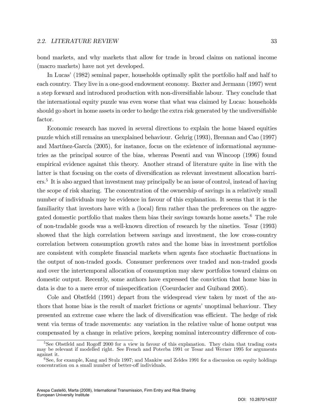#### 2.2. LITERATURE REVIEW 33

bond markets, and why markets that allow for trade in broad claims on national income (macro markets) have not yet developed.

In Lucas' (1982) seminal paper, households optimally split the portfolio half and half to each country. They live in a one-good endowment economy. Baxter and Jermann (1997) went a step forward and introduced production with non-diversifiable labour. They conclude that the international equity puzzle was even worse that what was claimed by Lucas: households should go short in home assets in order to hedge the extra risk generated by the undiversifiable factor.

Economic research has moved in several directions to explain the home biased equities puzzle which still remains an unexplained behaviour. Gehrig (1993), Brennan and Cao (1997) and Martínez-García (2005), for instance, focus on the existence of informational asymmetries as the principal source of the bias, whereas Pesenti and van Wincoop (1996) found empirical evidence against this theory. Another strand of literature quite in line with the latter is that focusing on the costs of diversification as relevant investment allocation barriers.<sup>5</sup> It is also argued that investment may principally be an issue of control, instead of having the scope of risk sharing. The concentration of the ownership of savings in a relatively small number of individuals may be evidence in favour of this explanation. It seems that it is the familiarity that investors have with a (local) firm rather than the preferences on the aggregated domestic portfolio that makes them bias their savings towards home assets.<sup>6</sup> The role of non-tradable goods was a well-known direction of research by the nineties. Tesar (1993) showed that the high correlation between savings and investment, the low cross-country correlation between consumption growth rates and the home bias in investment portfolios are consistent with complete financial markets when agents face stochastic fluctuations in the output of non-traded goods. Consumer preferences over traded and non-traded goods and over the intertemporal allocation of consumption may skew portfolios toward claims on domestic output. Recently, some authors have expressed the conviction that home bias in data is due to a mere error of misspecification (Coeurdacier and Guibaud 2005).

Cole and Obstfeld (1991) depart from the widespread view taken by most of the authors that home bias is the result of market frictions or agents' unoptimal behaviour. They presented an extreme case where the lack of diversification was efficient. The hedge of risk went via terms of trade movements: any variation in the relative value of home output was compensated by a change in relative prices, keeping nominal intercountry difference of con-

<sup>&</sup>lt;sup>5</sup>See Obstfeld and Rogoff 2000 for a view in favour of this explanation. They claim that trading costs may be relevant if modelled right. See French and Poterba 1991 or Tesar and Werner 1995 for arguments against it.

 ${}^{6}$ See, for example, Kang and Stulz 1997; and Mankiw and Zeldes 1991 for a discussion on equity holdings concentration on a small number of better-off individuals.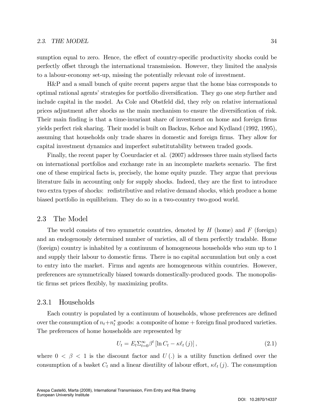sumption equal to zero. Hence, the effect of country-specific productivity shocks could be perfectly offset through the international transmission. However, they limited the analysis to a labour-economy set-up, missing the potentially relevant role of investment.

H&P and a small bunch of quite recent papers argue that the home bias corresponds to optimal rational agents' strategies for portfolio diversification. They go one step further and include capital in the model. As Cole and Obstfeld did, they rely on relative international prices adjustment after shocks as the main mechanism to ensure the diversification of risk. Their main finding is that a time-invariant share of investment on home and foreign firms yields perfect risk sharing. Their model is built on Backus, Kehoe and Kydland (1992, 1995), assuming that households only trade shares in domestic and foreign firms. They allow for capital investment dynamics and imperfect substitutability between traded goods.

Finally, the recent paper by Coeurdacier et al. (2007) addresses three main stylised facts on international portfolios and exchange rate in an incomplete markets scenario. The first one of these empirical facts is, precisely, the home equity puzzle. They argue that previous literature fails in accounting only for supply shocks. Indeed, they are the first to introduce two extra types of shocks: redistributive and relative demand shocks, which produce a home biased portfolio in equilibrium. They do so in a two-country two-good world.

### 2.3 The Model

The world consists of two symmetric countries, denoted by  $H$  (home) and  $F$  (foreign) and an endogenously determined number of varieties, all of them perfectly tradable. Home (foreign) country is inhabited by a continuum of homogeneous households who sum up to 1 and supply their labour to domestic firms. There is no capital accumulation but only a cost to entry into the market. Firms and agents are homogeneous within countries. However, preferences are symmetrically biased towards domestically-produced goods. The monopolistic firms set prices flexibly, by maximizing profits.

### 2.3.1 Households

Each country is populated by a continuum of households, whose preferences are defined over the consumption of  $n_t+n_t^*$  goods: a composite of home + foreign final produced varieties. The preferences of home households are represented by

$$
U_t = E_t \sum_{t=0}^{\infty} \beta^t \left[ \ln C_t - \kappa \ell_t(j) \right],\tag{2.1}
$$

where  $0 < \beta < 1$  is the discount factor and  $U(.)$  is a utility function defined over the consumption of a basket  $C_t$  and a linear disutility of labour effort,  $\kappa \ell_t (j)$ . The consumption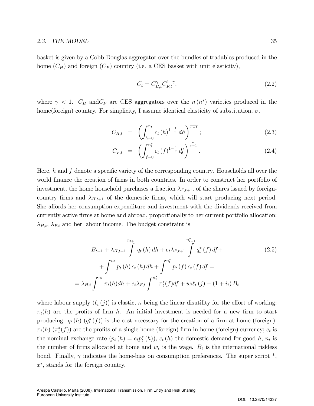basket is given by a Cobb-Douglas aggregator over the bundles of tradables produced in the home  $(C_H)$  and foreign  $(C_F)$  country (i.e. a CES basket with unit elasticity),

$$
C_t = C_{H,t}^{\gamma} C_{F,t}^{1-\gamma},\tag{2.2}
$$

where  $\gamma$  < 1.  $C_H$  and  $C_F$  are CES aggregators over the  $n(n^*)$  varieties produced in the home(foreign) country. For simplicity, I assume identical elasticity of substitution,  $\sigma$ .

$$
C_{H,t} = \left( \int_{h=0}^{n_t} c_t (h)^{1-\frac{1}{\sigma}} dh \right)^{\frac{\sigma}{\sigma-1}}; \tag{2.3}
$$

$$
C_{F,t} = \left( \int_{f=0}^{n_t^*} c_t (f)^{1-\frac{1}{\sigma}} df \right)^{\frac{\sigma}{\sigma-1}}.
$$
 (2.4)

Here, h and f denote a specific variety of the corresponding country. Households all over the world finance the creation of firms in both countries. In order to construct her portfolio of investment, the home household purchases a fraction  $\lambda_{F,t+1}$ , of the shares issued by foreigncountry firms and  $\lambda_{H,t+1}$  of the domestic firms, which will start producing next period. She affords her consumption expenditure and investment with the dividends received from currently active Örms at home and abroad, proportionally to her current portfolio allocation:  $\lambda_{H,t}$ ,  $\lambda_{F,t}$  and her labour income. The budget constraint is

$$
B_{t+1} + \lambda_{H,t+1} \int_{0}^{n_{t+1}} q_t(h) \, dh + e_t \lambda_{F,t+1} \int_{0}^{n_{t+1}^*} q_t^*(f) \, df +
$$
\n
$$
+ \int_{0}^{n_t} p_t(h) \, c_t(h) \, dh + \int_{0}^{n_t^*} p_t(f) \, c_t(f) \, df =
$$
\n
$$
= \lambda_{H,t} \int_{0}^{n_t} \pi_t(h) \, dh + e_t \lambda_{F,t} \int_{0}^{n_t^*} \pi_t^*(f) \, df + w_t \ell_t(j) + (1 + i_t) \, B_t
$$
\n
$$
(2.5)
$$

where labour supply  $(\ell_t (j))$  is elastic,  $\kappa$  being the linear disutility for the effort of working;  $\pi_t(h)$  are the profits of firm h. An initial investment is needed for a new firm to start producing.  $q_t(h)$   $(q_t^*(f))$  is the cost necessary for the creation of a firm at home (foreign).  $\pi_t(h)$  ( $\pi_t^*(f)$ ) are the profits of a single home (foreign) firm in home (foreign) currency;  $e_t$  is the nominal exchange rate  $(p_t(h) = e_t p_t^*(h))$ ,  $c_t(h)$  the domestic demand for good h,  $n_t$  is the number of firms allocated at home and  $w_t$  is the wage.  $B_t$  is the international riskless bond. Finally,  $\gamma$  indicates the home-bias on consumption preferences. The super script  $^*$ ,  $x^*$ , stands for the foreign country.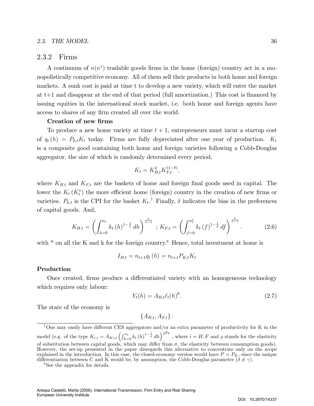#### 2.3. THE MODEL 36

### 2.3.2 Firms

A continuum of  $n(n^*)$  tradable goods firms in the home (foreign) country act in a monopolistically competitive economy. All of them sell their products in both home and foreign markets. A sunk cost is paid at time t to develop a new variety, which will enter the market at  $t+1$  and disappear at the end of that period (full amortization.) This cost is financed by issuing equities in the international stock market, i.e. both home and foreign agents have access to shares of any firm created all over the world.

#### Creation of new firms

To produce a new home variety at time  $t + 1$ , entrepreneurs must incur a startup cost of  $q_t(h) = P_{k,t}K_t$  today. Firms are fully depreciated after one year of production.  $K_t$ is a composite good containing both home and foreign varieties following a Cobb-Douglas aggregator, the size of which is randomly determined every period,

$$
K_t = K_{H,t}^{\delta} K_{F,t}^{(1-\delta)},
$$

where  $K_{H,t}$  and  $K_{F,t}$  are the baskets of home and foreign final goods used in capital. The lower the  $K_t(K_t^*)$  the more efficient home (foreign) country in the creation of new firms or varieties.  $P_{k,t}$  is the CPI for the basket  $K_t$ .<sup>7</sup> Finally,  $\delta$  indicates the bias in the preferences of capital goods. And,

$$
K_{H,t} = \left(\int_{h=0}^{n_t} k_t (h)^{1-\frac{1}{\sigma}} dh\right)^{\frac{\sigma}{\sigma-1}}; K_{F,t} = \left(\int_{f=0}^{n_t^*} k_t (f)^{1-\frac{1}{\sigma}} df\right)^{\frac{\sigma}{\sigma-1}}.
$$
 (2.6)

with  $*$  on all the K and k for the foreign country.<sup>8</sup> Hence, total investment at home is

$$
I_{H,t} = n_{t+1}q_t(h) = n_{t+1}P_{K,t}K_t
$$

#### Production

Once created, firms produce a differentiated variety with an homogeneous technology which requires only labour:

$$
Y_t(h) = A_{H,t} \ell_t(h)^\theta.
$$
\n
$$
(2.7)
$$

The state of the economy is

$$
\{A_{H,t}, A_{F,t}\}.
$$

<sup>8</sup>See the appendix for details.

 $7$ One may easily have different CES aggregators and/or an extra parameter of productivity for K in the model (e.g. of the type  $K_{i,t} = A_{Ki,t} \left( \int_{h=0}^{n_t} k_t (h)^{1-\frac{1}{\varrho}} dh \right)^{\frac{\varrho}{\varrho-1}}$ , where  $i = H, F$  and  $\varrho$  stands for the elasticity of substitution between capital goods, which may differ from  $\sigma$ , the elasticity between consumption goods). However, the set-up presented in the paper disregards this alternative to concentrate only on the scope explained in the introduction. In this case, the closed-economy version would have  $P = P_K$ , since the unique differentiation between C and K would be, by assumption, the Cobb-Douglas parameter  $(\delta \neq \gamma)$ .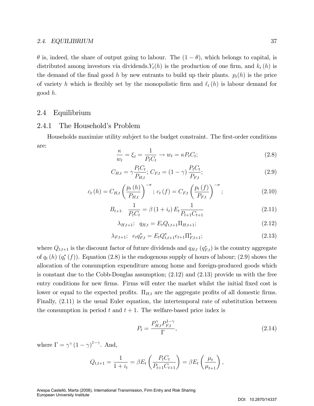$\theta$  is, indeed, the share of output going to labour. The  $(1 - \theta)$ , which belongs to capital, is distributed among investors via dividends.  $Y_t(h)$  is the production of one firm, and  $k_t(h)$  is the demand of the final good h by new entrants to build up their plants.  $p_t(h)$  is the price of variety h which is flexibly set by the monopolistic firm and  $\ell_t (h)$  is labour demand for good h:

### 2.4 Equilibrium

### 2.4.1 The Household's Problem

Households maximize utility subject to the budget constraint. The first-order conditions are:

$$
\frac{\kappa}{w_t} = \xi_t = \frac{1}{P_t C_t} \to w_t = \kappa P_t C_t; \tag{2.8}
$$

$$
C_{H,t} = \gamma \frac{P_t C_t}{P_{H,t}}; C_{F,t} = (1 - \gamma) \frac{P_t C_t}{P_{F,t}};
$$
\n(2.9)

$$
c_{t}(h) = C_{H,t} \left(\frac{p_{t}(h)}{P_{H,t}}\right)^{-\sigma}; \ c_{t}(f) = C_{F,t} \left(\frac{p_{t}(f)}{P_{F,t}}\right)^{-\sigma}; \tag{2.10}
$$

$$
B_{t+1:} \quad \frac{1}{P_t C_t} = \beta \left( 1 + i_t \right) E_t \frac{1}{P_{t+1} C_{t+1}} \tag{2.11}
$$

$$
\lambda_{H,t+1}: q_{H,t} = E_t Q_{t,t+1} \Pi_{H,t+1};
$$
\n(2.12)

$$
\lambda_{F,t+1}: e_t q_{F,t}^* = E_t Q_{t,t+1}^* e_{t+1} \Pi_{F,t+1}^*;
$$
\n(2.13)

where  $Q_{t,t+1}$  is the discount factor of future dividends and  $q_{H,t}$   $(q_{F,t}^*)$  is the country aggregate of  $q_t(h)$   $(q_t^*(f))$ . Equation (2.8) is the endogenous supply of hours of labour; (2.9) shows the allocation of the consumption expenditure among home and foreign-produced goods which is constant due to the Cobb-Douglas assumption; (2.12) and (2.13) provide us with the free entry conditions for new firms. Firms will enter the market whilst the initial fixed cost is lower or equal to the expected profits.  $\Pi_{H,t}$  are the aggregate profits of all domestic firms. Finally, (2.11) is the usual Euler equation, the intertemporal rate of substitution between the consumption in period t and  $t + 1$ . The welfare-based price index is

$$
P_t = \frac{P_{H,t}^{\gamma} P_{F,t}^{1-\gamma}}{\Gamma},\tag{2.14}
$$

where  $\Gamma = \gamma^{\gamma} (1 - \gamma)^{1 - \gamma}$ . And,

$$
Q_{t,t+1} = \frac{1}{1+i_t} = \beta E_t \left( \frac{P_t C_t}{P_{t+1} C_{t+1}} \right) = \beta E_t \left( \frac{\mu_t}{\mu_{t+1}} \right),
$$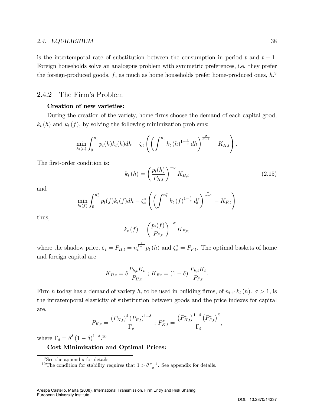is the intertemporal rate of substitution between the consumption in period t and  $t + 1$ . Foreign households solve an analogous problem with symmetric preferences, i.e. they prefer the foreign-produced goods, f, as much as home households prefer home-produced ones,  $h$ .<sup>9</sup>

### 2.4.2 The Firm's Problem

### Creation of new varieties:

During the creation of the variety, home firms choose the demand of each capital good,  $k_t(h)$  and  $k_t(f)$ , by solving the following minimization problems:

$$
\min_{k_t(h)} \int_0^{n_t} p_t(h) k_t(h) dh - \zeta_t \left( \left( \int_0^{n_t} k_t(h)^{1-\frac{1}{\sigma}} dh \right)^{\frac{\sigma}{\sigma-1}} - K_{H,t} \right).
$$

The first-order condition is:

$$
k_t(h) = \left(\frac{p_t(h)}{P_{H,t}}\right)^{-\sigma} K_{H,t}
$$
\n(2.15)

and

$$
\min_{k_t(f)} \int_0^{n_t^*} p_t(f) k_t(f) dh - \zeta_t^* \left( \left( \int_0^{n_t^*} k_t(f)^{1-\frac{1}{\sigma}} df \right)^{\frac{\sigma}{\sigma-1}} - K_{F,t} \right)
$$

thus,

$$
k_t(f) = \left(\frac{p_t(f)}{P_{F,t}}\right)^{-\sigma} K_{F,t},
$$

where the shadow price,  $\zeta_t = P_{H,t} = n_t^{\frac{1}{1-\sigma}} p_t(h)$  and  $\zeta_t^* = P_{F,t}$ . The optimal baskets of home and foreign capital are

$$
K_{H,t} = \delta \frac{P_{k,t} K_t}{P_{H,t}} \; ; \; K_{F,t} = (1 - \delta) \frac{P_{k,t} K_t}{P_{F,t}}.
$$

Firm h today has a demand of variety h, to be used in building firms, of  $n_{t+1}k_t(h)$ .  $\sigma > 1$ , is the intratemporal elasticity of substitution between goods and the price indexes for capital are,

$$
P_{K,t} = \frac{(P_{H,t})^{\delta} (P_{F,t})^{1-\delta}}{\Gamma_{\delta}} ; P_{K,t}^{*} = \frac{(P_{H,t}^{*})^{1-\delta} (P_{F,t}^{*})^{\delta}}{\Gamma_{\delta}},
$$

where  $\Gamma_{\delta} = \delta^{\delta} (1 - \delta)^{1 - \delta}$ .<sup>10</sup>

### Cost Minimization and Optimal Prices:

 $9$ See the appendix for details.

<sup>&</sup>lt;sup>10</sup>The condition for stability requires that  $1 > \theta \frac{\sigma - 1}{\sigma}$ . See appendix for details.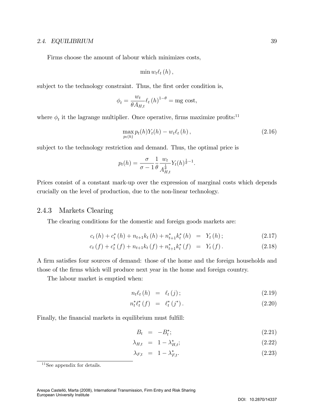Firms choose the amount of labour which minimizes costs,

$$
\min w_t \ell_t(h),
$$

subject to the technology constraint. Thus, the first order condition is,

$$
\phi_t = \frac{w_t}{\theta A_{H,t}} \ell_t (h)^{1-\theta} = \text{mg cost},
$$

where  $\phi_t$  it the lagrange multiplier. Once operative, firms maximize profits:<sup>11</sup>

$$
\max_{p_t(h)} p_t(h) Y_t(h) - w_t \ell_t(h) , \qquad (2.16)
$$

:

subject to the technology restriction and demand. Thus, the optimal price is

$$
p_t(h) = \frac{\sigma}{\sigma - 1} \frac{1}{\theta} \frac{w_t}{A_{H,t}^{\frac{1}{\theta}}} Y_t(h)^{\frac{1}{\theta} - 1}
$$

Prices consist of a constant mark-up over the expression of marginal costs which depends crucially on the level of production, due to the non-linear technology.

### 2.4.3 Markets Clearing

The clearing conditions for the domestic and foreign goods markets are:

$$
c_{t}(h) + c_{t}^{*}(h) + n_{t+1}k_{t}(h) + n_{t+1}^{*}k_{t}^{*}(h) = Y_{t}(h); \qquad (2.17)
$$

$$
c_t(f) + c_t^*(f) + n_{t+1}k_t(f) + n_{t+1}^*k_t^*(f) = Y_t(f). \qquad (2.18)
$$

A firm satisfies four sources of demand: those of the home and the foreign households and those of the Örms which will produce next year in the home and foreign country.

The labour market is emptied when:

$$
n_t \ell_t (h) = \ell_t (j); \qquad (2.19)
$$

$$
n_t^* \ell_t^* (f) = \ell_t^* (j^*).
$$
 (2.20)

Finally, the financial markets in equilibrium must fulfill:

$$
B_t = -B_t^*; \tag{2.21}
$$

$$
\lambda_{H,t} = 1 - \lambda_{H,t}^*;
$$
\n
$$
(2.22)
$$

$$
\lambda_{F,t} = 1 - \lambda_{F,t}^*.
$$
\n
$$
(2.23)
$$

<sup>&</sup>lt;sup>11</sup>See appendix for details.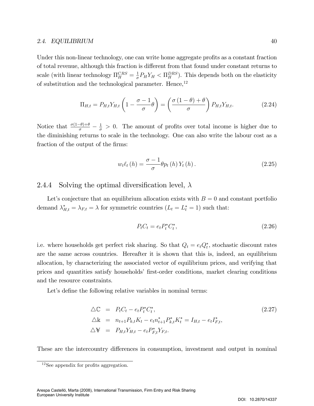Under this non-linear technology, one can write home aggregate profits as a constant fraction of total revenue, although this fraction is different from that found under constant returns to scale (with linear technology  $\Pi_H^{CRS} = \frac{1}{\sigma}$  $\frac{1}{\sigma}P_HY_H < \Pi_H^{DRS}$ ). This depends both on the elasticity of substitution and the technological parameter. Hence,<sup>12</sup>

$$
\Pi_{H,t} = P_{H,t} Y_{H,t} \left( 1 - \frac{\sigma - 1}{\sigma} \theta \right) = \left( \frac{\sigma \left( 1 - \theta \right) + \theta}{\sigma} \right) P_{H,t} Y_{H,t}.
$$
\n(2.24)

Notice that  $\frac{\sigma(1-\theta)+\theta}{\sigma} - \frac{1}{\sigma} > 0$ . The amount of profits over total income is higher due to the diminishing returns to scale in the technology. One can also write the labour cost as a fraction of the output of the firms:

$$
w_t \ell_t(h) = \frac{\sigma - 1}{\sigma} \theta p_t(h) Y_t(h).
$$
 (2.25)

### 2.4.4 Solving the optimal diversification level,  $\lambda$

Let's conjecture that an equilibrium allocation exists with  $B = 0$  and constant portfolio demand  $\lambda_{H,t}^* = \lambda_{F,t} = \lambda$  for symmetric countries  $(L_t = L_t^* = 1)$  such that:

$$
P_t C_t = e_t P_t^* C_t^*,\tag{2.26}
$$

i.e. where households get perfect risk sharing. So that  $Q_t = e_t Q_t^*$ , stochastic discount rates are the same across countries. Hereafter it is shown that this is, indeed, an equilibrium allocation, by characterizing the associated vector of equilibrium prices, and verifying that prices and quantities satisfy households' first-order conditions, market clearing conditions and the resource constraints.

Let's define the following relative variables in nominal terms:

$$
\Delta \mathbb{C} = P_t C_t - e_t P_t^* C_t^*,
$$
  
\n
$$
\Delta \mathbb{k} = n_{t+1} P_{k,t} K_t - e_t n_{t+1}^* P_{k,t}^* K_t^* = I_{H,t} - e_t I_{F,t}^*,
$$
  
\n
$$
\Delta \mathbf{Y} = P_{H,t} Y_{H,t} - e_t P_{F,t}^* Y_{F,t}.
$$
\n(2.27)

These are the intercountry differences in consumption, investment and output in nominal

 $12$ See appendix for profits aggregation.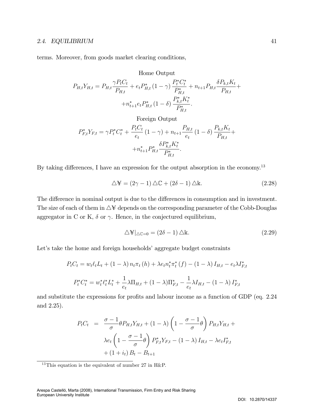terms. Moreover, from goods market clearing conditions,

Home Output

$$
P_{H,t}Y_{H,t} = P_{H,t} \frac{\gamma P_t C_t}{P_{H,t}} + e_t P_{H,t}^* (1 - \gamma) \frac{P_t^* C_t^*}{P_{H,t}^*} + n_{t+1} P_{H,t} \frac{\delta P_{k,t} K_t}{P_{H,t}} + n_{t+1}^* e_t P_{H,t}^* (1 - \delta) \frac{P_{k,t}^* K_t^*}{P_{H,t}^*}.
$$
  
Foreign Output

$$
P_{F,t}^* Y_{F,t} = \gamma P_t^* C_t^* + \frac{P_t C_t}{e_t} (1 - \gamma) + n_{t+1} \frac{P_{H,t}}{e_t} (1 - \delta) \frac{P_{k,t} K_t}{P_{H,t}} + n_{t+1}^* P_{H,t}^* \frac{\delta P_{k,t}^* K_t^*}{P_{H,t}^*}.
$$

By taking differences, I have an expression for the output absorption in the economy.<sup>13</sup>

$$
\Delta \mathbf{F} = (2\gamma - 1) \Delta \mathbb{C} + (2\delta - 1) \Delta \mathbb{k}.
$$
 (2.28)

The difference in nominal output is due to the differences in consumption and in investment. The size of each of them in  $\Delta \mathbf{\hat{y}}$  depends on the corresponding parameter of the Cobb-Douglas aggregator in C or K,  $\delta$  or  $\gamma$ . Hence, in the conjectured equilibrium,

$$
\Delta \mathbf{F}|_{\Delta \mathbb{C}=0} = (2\delta - 1) \Delta \mathbb{k}.\tag{2.29}
$$

Let's take the home and foreign households' aggregate budget constraints

$$
P_t C_t = w_t \ell_t L_t + (1 - \lambda) n_t \pi_t (h) + \lambda e_t n_t^* \pi_t^* (f) - (1 - \lambda) I_{H,t} - e_t \lambda I_{F,t}^*
$$
  

$$
P_t^* C_t^* = w_t^* \ell_t^* L_t^* + \frac{1}{e_t} \lambda \Pi_{H,t} + (1 - \lambda) \Pi_{F,t}^* - \frac{1}{e_t} \lambda I_{H,t} - (1 - \lambda) I_{F,t}^*
$$

and substitute the expressions for profits and labour income as a function of GDP (eq. 2.24) and 2.25).

$$
P_t C_t = \frac{\sigma - 1}{\sigma} \theta P_{H,t} Y_{H,t} + (1 - \lambda) \left( 1 - \frac{\sigma - 1}{\sigma} \theta \right) P_{H,t} Y_{H,t} +
$$

$$
\lambda e_t \left( 1 - \frac{\sigma - 1}{\sigma} \theta \right) P_{F,t}^* Y_{F,t} - (1 - \lambda) I_{H,t} - \lambda e_t I_{F,t}^*
$$

$$
+ (1 + i_t) B_t - B_{t+1}
$$

<sup>&</sup>lt;sup>13</sup>This equation is the equivalent of number 27 in H&P.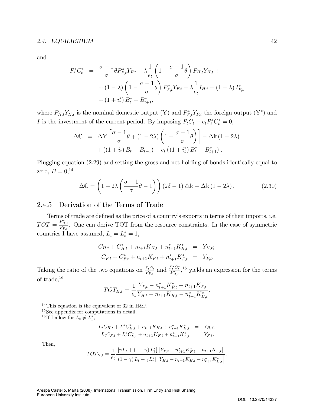and

$$
P_t^* C_t^* = \frac{\sigma - 1}{\sigma} \theta P_{F,t}^* Y_{F,t} + \lambda \frac{1}{e_t} \left( 1 - \frac{\sigma - 1}{\sigma} \theta \right) P_{H,t} Y_{H,t} +
$$
  
+ 
$$
(1 - \lambda) \left( 1 - \frac{\sigma - 1}{\sigma} \theta \right) P_{F,t}^* Y_{F,t} - \lambda \frac{1}{e_t} I_{H,t} - (1 - \lambda) I_{F,t}^* +
$$
  
+ 
$$
(1 + i_t^*) B_t^* - B_{t+1}^*,
$$

where  $P_{H,t}Y_{H,t}$  is the nominal domestic output  $(\yen)$  and  $P_{F,t}^*Y_{F,t}$  the foreign output  $(\yen^*)$  and I is the investment of the current period. By imposing  $P_t C_t - e_t P_t^* C_t^* = 0$ ,

$$
\Delta \mathbb{C} = \Delta \mathbb{F} \left[ \frac{\sigma - 1}{\sigma} \theta + (1 - 2\lambda) \left( 1 - \frac{\sigma - 1}{\sigma} \theta \right) \right] - \Delta \mathbb{K} (1 - 2\lambda)
$$

$$
+ \left( (1 + i_t) B_t - B_{t+1} \right) - e_t \left( (1 + i_t^*) B_t^* - B_{t+1}^* \right).
$$

Plugging equation (2.29) and setting the gross and net holding of bonds identically equal to zero,  $B = 0,14$ 

$$
\Delta \mathbb{C} = \left( 1 + 2\lambda \left( \frac{\sigma - 1}{\sigma} \theta - 1 \right) \right) \left( 2\delta - 1 \right) \Delta \mathbb{k} - \Delta \mathbb{k} \left( 1 - 2\lambda \right). \tag{2.30}
$$

### 2.4.5 Derivation of the Terms of Trade

Terms of trade are defined as the price of a country's exports in terms of their imports, i.e.  $TOT = \frac{P_{H,t}^{*}}{P_{F,t}}$ . One can derive TOT from the resource constraints. In the case of symmetric countries I have assumed,  $L_t = L_t^* = 1$ ,

$$
C_{H,t} + C_{H,t}^* + n_{t+1}K_{H,t} + n_{t+1}^*K_{H,t}^* = Y_{H,t};
$$
  

$$
C_{F,t} + C_{F,t}^* + n_{t+1}K_{F,t} + n_{t+1}^*K_{F,t}^* = Y_{F,t}.
$$

Taking the ratio of the two equations on  $\frac{P_t C_t}{P_{F,t}}$  and  $\frac{P_t^* C_t^*}{P_{H,t}^*}$ ,<sup>15</sup> yields an expression for the terms of trade,<sup>16</sup>

$$
TOT_{H,t} = \frac{1}{e_t} \frac{Y_{F,t} - n_{t+1}^* K_{F,t}^* - n_{t+1} K_{F,t}}{Y_{H,t} - n_{t+1} K_{H,t} - n_{t+1}^* K_{H,t}^*}.
$$

<sup>14</sup>This equation is the equivalent of 32 in H&P.

<sup>15</sup>See appendix for computations in detail.

<sup>16</sup>If I allow for  $L_t \neq L_t^*$ ,

$$
L_t C_{H,t} + L_t^* C_{H,t}^* + n_{t+1} K_{H,t} + n_{t+1}^* K_{H,t}^* = Y_{H,t};
$$
  

$$
L_t C_{F,t} + L_t^* C_{F,t}^* + n_{t+1} K_{F,t} + n_{t+1}^* K_{F,t}^* = Y_{F,t}.
$$

Then,

$$
TOT_{H,t} = \frac{1}{e_t} \frac{\left[\gamma L_t + (1 - \gamma) L_t^*\right] \left[Y_{F,t} - n_{t+1}^* K_{F,t}^* - n_{t+1} K_{F,t}\right]}{\left[(1 - \gamma) L_t + \gamma L_t^*\right] \left[Y_{H,t} - n_{t+1} K_{H,t} - n_{t+1}^* K_{H,t}^*\right]}.
$$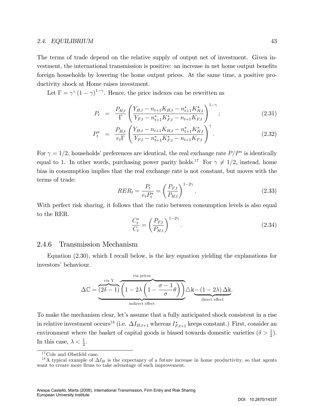The terms of trade depend on the relative supply of output net of investment. Given investment, the international transmission is positive: an increase in net home output benefits foreign households by lowering the home output prices. At the same time, a positive productivity shock at Home raises investment.

Let  $\Gamma = \gamma^{\gamma} (1 - \gamma)^{1 - \gamma}$ . Hence, the price indexes can be rewritten as

$$
P_t = \frac{P_{H,t}}{\Gamma} \left( \frac{Y_{H,t} - n_{t+1} K_{H,t} - n_{t+1}^* K_{H,t}^*}{Y_{F,t} - n_{t+1} K_{F,t}^* - n_{t+1} K_{F,t}} \right)^{1-\gamma};
$$
\n(2.31)

$$
P_t^* = \frac{P_{H,t}}{e_t \Gamma} \left( \frac{Y_{H,t} - n_{t+1} K_{H,t} - n_{t+1}^* K_{H,t}^*}{Y_{F,t} - n_{t+1}^* K_{F,t}^* - n_{t+1} K_{F,t}} \right)^{\gamma}.
$$
\n(2.32)

For  $\gamma = 1/2$ , households' preferences are identical, the real exchange rate  $P/P^*$  is identically equal to 1. In other words, purchasing power parity holds.<sup>17</sup> For  $\gamma \neq 1/2$ , instead, home bias in consumption implies that the real exchange rate is not constant, but moves with the terms of trade:

$$
RER_t = \frac{P_t}{e_t P_t^*} = \left(\frac{P_{F,t}}{P_{H,t}}\right)^{1-2\gamma}.
$$
\n(2.33)

With perfect risk sharing, it follows that the ratio between consumption levels is also equal to the RER.

$$
\frac{C_t^*}{C_t} = \left(\frac{P_{F,t}}{P_{H,t}}\right)^{1-2\gamma}.\tag{2.34}
$$

### 2.4.6 Transmission Mechanism

Equation (2.30), which I recall below, is the key equation yielding the explanations for investors' behaviour.

$$
\Delta \mathbb{C} = \underbrace{\overbrace{(2\delta-1)}^{\text{via } Y} \overbrace{\left(1-2\lambda \left(1-\frac{\sigma-1}{\sigma}\theta\right)\right)}^{\text{via prices}} \Delta k}_{\text{indirect effect}} - \underbrace{(1-2\lambda)\Delta k}_{\text{direct effect}}.
$$

To make the mechanism clear, let's assume that a fully anticipated shock consistent in a rise in relative investment occurs<sup>18</sup> (i.e.  $\Delta I_{H,t+1}$  whereas  $I_{F,t+1}^*$  keeps constant.) First, consider an environment where the basket of capital goods is biased towards domestic varieties  $(\delta > \frac{1}{2})$ . In this case,  $\lambda < \frac{1}{2}$ .

 $^{17}\mathrm{Cole}$  and Obstfeld case.

<sup>&</sup>lt;sup>18</sup>A typical example of  $\Delta I_H$  is the expectancy of a future increase in home productivity, so that agents want to create more firms to take advantage of such improvement.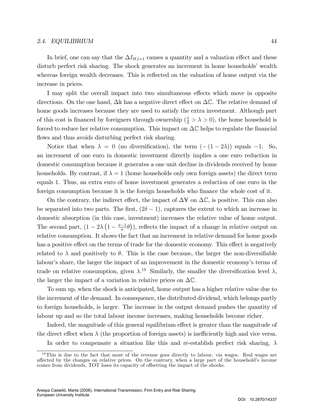In brief, one can say that the  $\Delta I_{H,t+1}$  causes a quantity and a valuation effect and these disturb perfect risk sharing. The shock generates an increment in home households' wealth whereas foreign wealth decreases. This is reflected on the valuation of home output via the increase in prices.

I may split the overall impact into two simultaneous effects which move in opposite directions. On the one hand,  $\Delta \mathbb{K}$  has a negative direct effect on  $\Delta \mathbb{C}$ . The relative demand of home goods increases because they are used to satisfy the extra investment. Although part of this cost is financed by foreigners through ownership  $(\frac{1}{2} > \lambda > 0)$ , the home household is forced to reduce her relative consumption. This impact on  $\Delta \mathbb{C}$  helps to regulate the financial flows and thus avoids disturbing perfect risk sharing.

Notice that when  $\lambda = 0$  (no diversification), the term  $(-(1 - 2\lambda))$  equals  $-1$ . So, an increment of one euro in domestic investment directly implies a one euro reduction in domestic consumption because it generates a one unit decline in dividends received by home households. By contrast, if  $\lambda = 1$  (home households only own foreign assets) the direct term equals 1. Thus, an extra euro of home investment generates a reduction of one euro in the foreign consumption because it is the foreign households who finance the whole cost of it.

On the contrary, the indirect effect, the impact of  $\Delta \mathfrak{Y}$  on  $\Delta \mathbb{C}$ , is positive. This can also be separated into two parts. The first,  $(2\delta - 1)$ , captures the extent to which an increase in domestic absorption (in this case, investment) increases the relative value of home output. The second part,  $(1 - 2\lambda \left(1 - \frac{\sigma - 1}{\sigma}\theta\right))$ , reflects the impact of a change in relative output on relative consumption. It shows the fact that an increment in relative demand for home goods has a positive effect on the terms of trade for the domestic economy. This effect is negatively related to  $\lambda$  and positively to  $\theta$ . This is the case because, the larger the non-diversifiable labour's share, the larger the impact of an improvement in the domestic economy's terms of trade on relative consumption, given  $\lambda$ <sup>19</sup> Similarly, the smaller the diversification level  $\lambda$ , the larger the impact of a variation in relative prices on  $\Delta \mathbb{C}$ .

To sum up, when the shock is anticipated, home output has a higher relative value due to the increment of the demand. In consequence, the distributed dividend, which belongs partly to foreign households, is larger. The increase in the output demand pushes the quantity of labour up and so the total labour income increases, making households become richer.

Indeed, the magnitude of this general equilibrium effect is greater than the magnitude of the direct effect when  $\lambda$  (the proportion of foreign assets) is inefficiently high and vice versa.

In order to compensate a situation like this and re-establish perfect risk sharing,  $\lambda$ 

 $19$ This is due to the fact that most of the revenue goes directly to labour, via wages. Real wages are affected by the changes on relative prices. On the contrary, when a large part of the household's income comes from dividends,  $TOT$  loses its capacity of offsetting the impact of the shocks.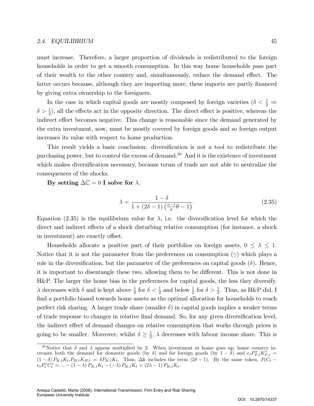must increase. Therefore, a larger proportion of dividends is redistributed to the foreign households in order to get a smooth consumption. In this way home households pass part of their wealth to the other country and, simultaneously, reduce the demand effect. The latter occurs because, although they are importing more, these imports are partly financed by giving extra ownership to the foreigners.

In the case in which capital goods are mostly composed by foreign varieties ( $\delta < \frac{1}{2}$ )  $\delta > \frac{1}{2}$ , all the effects act in the opposite direction. The direct effect is positive, whereas the indirect effect becomes negative. This change is reasonable since the demand generated by the extra investment, now, must be mostly covered by foreign goods and so foreign output increases its value with respect to home production.

This result yields a basic conclusion: diversification is not a tool to redistribute the purchasing power, but to control the excess of demand.<sup>20</sup> And it is the existence of investment which makes diversification necessary, because terms of trade are not able to neutralize the consequences of the shocks.

By setting  $\Delta \mathbb{C} = 0$  I solve for  $\lambda$ ,

$$
\lambda = \frac{1 - \delta}{1 + (2\delta - 1)\left(\frac{\sigma - 1}{\sigma}\theta - 1\right)}.\tag{2.35}
$$

Equation (2.35) is the equilibrium value for  $\lambda$ , i.e. the diversification level for which the direct and indirect effects of a shock disturbing relative consumption (for instance, a shock in investment) are exactly offset.

Households allocate a positive part of their portfolios on foreign assets,  $0 \leq \lambda \leq 1$ . Notice that it is not the parameter from the preferences on consumption  $(\gamma)$  which plays a role in the diversification, but the parameter of the preferences on capital goods  $(\delta)$ . Hence, it is important to disentangle these two, allowing them to be different. This is not done in H&P. The larger the home bias in the preferences for capital goods, the less they diversify.  $\lambda$  decreases with  $\delta$  and is kept above  $\frac{1}{2}$  for  $\delta < \frac{1}{2}$  and below  $\frac{1}{2}$  for  $\delta > \frac{1}{2}$ . Thus, as H&P did, I find a portfolio biased towards home assets as the optimal allocation for households to reach perfect risk sharing. A larger trade share (smaller  $\delta$ ) in capital goods implies a weaker terms of trade response to changes in relative final demand. So, for any given diversification level, the indirect effect of demand changes on relative consumption that works through prices is going to be smaller. Moreover, whilst  $\delta \geq \frac{1}{2}$  $\frac{1}{2}$ ,  $\lambda$  decreases with labour income share. This is

<sup>&</sup>lt;sup>20</sup>Notice that  $\delta$  and  $\lambda$  appear multiplied by 2. When investment at home goes up, home country increases both the demand for domestic goods (by  $\delta$ ) and for foreign goods (by  $1 - \delta$ ) and  $e_t P_{F,t}^* K_{F,t}^* =$  $(1 - \delta) P_{K,t} K_t, P_{H,t} K_{H,t} = \delta P_{K,t} K_t$ . Thus,  $\Delta k$  includes the term  $(2\delta - 1)$ . By the same token,  $P_t C_t$  $e_t P_t^* C_t^* = \dots - (1 - \lambda) P_{K,t} K_t - (-\lambda) P_{K,t} K_t = (2\lambda - 1) P_{K,t} K_t.$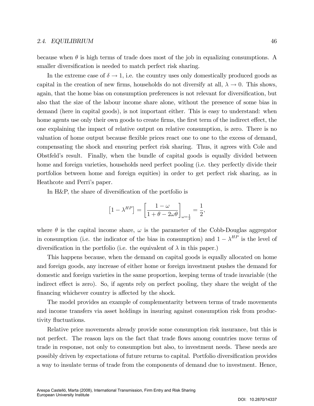In the extreme case of  $\delta \to 1$ , i.e. the country uses only domestically produced goods as capital in the creation of new firms, households do not diversify at all,  $\lambda \to 0$ . This shows, again, that the home bias on consumption preferences is not relevant for diversification, but also that the size of the labour income share alone, without the presence of some bias in demand (here in capital goods), is not important either. This is easy to understand: when home agents use only their own goods to create firms, the first term of the indirect effect, the one explaining the impact of relative output on relative consumption, is zero. There is no valuation of home output because flexible prices react one to one to the excess of demand, compensating the shock and ensuring perfect risk sharing. Thus, it agrees with Cole and Obstfeldís result. Finally, when the bundle of capital goods is equally divided between home and foreign varieties, households need perfect pooling (i.e. they perfectly divide their portfolios between home and foreign equities) in order to get perfect risk sharing, as in Heathcote and Perri's paper.

In H&P, the share of diversification of the portfolio is

smaller diversification is needed to match perfect risk sharing.

$$
\left[1 - \lambda^{HP}\right] = \left[\frac{1 - \omega}{1 + \theta - 2\omega\theta}\right]_{\omega = \frac{1}{2}} = \frac{1}{2},
$$

where  $\theta$  is the capital income share,  $\omega$  is the parameter of the Cobb-Douglas aggregator in consumption (i.e. the indicator of the bias in consumption) and  $1 - \lambda^{HP}$  is the level of diversification in the portfolio (i.e. the equivalent of  $\lambda$  in this paper.)

This happens because, when the demand on capital goods is equally allocated on home and foreign goods, any increase of either home or foreign investment pushes the demand for domestic and foreign varieties in the same proportion, keeping terms of trade invariable (the indirect effect is zero). So, if agents rely on perfect pooling, they share the weight of the financing whichever country is affected by the shock.

The model provides an example of complementarity between terms of trade movements and income transfers via asset holdings in insuring against consumption risk from productivity fluctuations.

Relative price movements already provide some consumption risk insurance, but this is not perfect. The reason lays on the fact that trade flows among countries move terms of trade in response, not only to consumption but also, to investment needs. These needs are possibly driven by expectations of future returns to capital. Portfolio diversification provides a way to insulate terms of trade from the components of demand due to investment. Hence,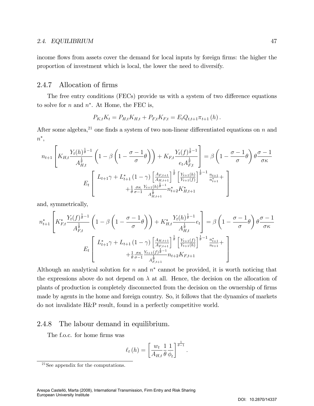income flows from assets cover the demand for local inputs by foreign firms: the higher the proportion of investment which is local, the lower the need to diversify.

### 2.4.7 Allocation of firms

The free entry conditions (FECs) provide us with a system of two difference equations to solve for  $n$  and  $n^*$ . At Home, the FEC is,

$$
P_{K,t}K_t = P_{H,t}K_{H,t} + P_{F,t}K_{F,t} = E_t Q_{t,t+1} \pi_{t+1} (h).
$$

After some algebra,<sup>21</sup> one finds a system of two non-linear differentiated equations on n and  $n^*,$ 

$$
n_{t+1} \left[ K_{H,t} \frac{Y_t(h)^{\frac{1}{\theta}-1}}{A_{H,t}^{\frac{1}{\theta}}} \left( 1 - \beta \left( 1 - \frac{\sigma - 1}{\sigma} \theta \right) \right) + K_{F,t} \frac{Y_t(f)^{\frac{1}{\theta}-1}}{e_t A_{F,t}^{\frac{1}{\theta}}} \right] = \beta \left( 1 - \frac{\sigma - 1}{\sigma} \theta \right) \theta \frac{\sigma - 1}{\sigma \kappa}
$$

$$
E_t \left[ L_{t+1} \gamma + L_{t+1}^* \left( 1 - \gamma \right) \left[ \frac{A_{F,t+1}}{A_{H,t+1}} \right]^{\frac{1}{\theta}} \left[ \frac{Y_{t+1}(h)}{Y_{t+1}(f)} \right]^{\frac{1}{\theta}-1} \frac{n_{t+1}}{n_{t+1}^*} + \frac{1}{\theta} \frac{\sigma \kappa}{\sigma - 1} \frac{Y_{t+1}(h)^{\frac{1}{\theta}-1}}{A_{H,t+1}^{\frac{1}{\theta}}} n_{t+2}^* K_{H,t+1}^*
$$

and, symmetrically,

$$
n_{t+1}^{*} \left[ K_{F,t}^{*} \frac{Y_{t}(f)^{\frac{1}{\theta}-1}}{A_{F,t}^{\frac{1}{\theta}}} \left( 1 - \beta \left( 1 - \frac{\sigma - 1}{\sigma} \theta \right) \right) + K_{H,t}^{*} \frac{Y_{t}(h)^{\frac{1}{\theta}-1}}{A_{H,t}^{\frac{1}{\theta}}} e_{t} \right] = \beta \left( 1 - \frac{\sigma - 1}{\sigma} \theta \right) \theta \frac{\sigma - 1}{\sigma \kappa}
$$

$$
E_{t} \left[ L_{t+1}^{*} \gamma + L_{t+1} \left( 1 - \gamma \right) \left[ \frac{A_{H,t+1}}{A_{F,t+1}^{\frac{1}{\theta}}} \right]^{\frac{1}{\theta}} \left[ \frac{Y_{t+1}(f)}{Y_{t+1}(h)} \right]^{\frac{1}{\theta}-1} \frac{n_{t+1}^{*}}{n_{t+1}} + \frac{1}{\theta} \frac{\sigma \kappa}{\sigma - 1} \frac{Y_{t+1}(f)^{\frac{1}{\theta}-1}}{A_{F,t+1}^{\frac{1}{\theta}}} n_{t+2} K_{F,t+1} \right]
$$

Although an analytical solution for  $n$  and  $n^*$  cannot be provided, it is worth noticing that the expressions above do not depend on  $\lambda$  at all. Hence, the decision on the allocation of plants of production is completely disconnected from the decision on the ownership of firms made by agents in the home and foreign country. So, it follows that the dynamics of markets do not invalidate H&P result, found in a perfectly competitive world.

### 2.4.8 The labour demand in equilibrium.

The f.o.c. for home firms was

$$
\ell_t(h) = \left[\frac{w_t}{A_{H,t}}\frac{1}{\theta}\frac{1}{\phi_t}\right]^{\frac{1}{\theta-1}}.
$$

<sup>21</sup>See appendix for the computations.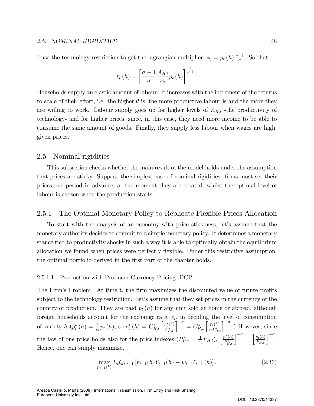I use the technology restriction to get the lagrangian multiplier,  $\phi_t = p_t(h) \frac{\sigma - 1}{\sigma}$ . So that,

$$
\ell_t(h) = \left[\frac{\sigma - 1}{\sigma} \frac{A_{H,t}}{w_t} p_t(h)\right]^{\frac{1}{1-\theta}}.
$$

Households supply an elastic amount of labour. It increases with the increment of the returns to scale of their effort, i.e. the higher  $\theta$  is, the more productive labour is and the more they are willing to work. Labour supply goes up for higher levels of  $A_{H,t}$  -the productivity of technology- and for higher prices, since, in this case, they need more income to be able to consume the same amount of goods. Finally, they supply less labour when wages are high, given prices.

### 2.5 Nominal rigidities

This subsection checks whether the main result of the model holds under the assumption that prices are sticky. Suppose the simplest case of nominal rigidities: Örms must set their prices one period in advance, at the moment they are created, whilst the optimal level of labour is chosen when the production starts.

### 2.5.1 The Optimal Monetary Policy to Replicate Flexible Prices Allocation

To start with the analysis of an economy with price stickiness, let's assume that the monetary authority decides to commit to a simple monetary policy. It determines a monetary stance tied to productivity shocks in such a way it is able to optimally obtain the equilibrium allocation we found when prices were perfectly áexible. Under this restrictive assumption, the optimal portfolio derived in the first part of the chapter holds.

### 2.5.1.1 Production with Producer Currency Pricing -PCP-

The Firm's Problem At time t, the firm maximizes the discounted value of future profits subject to the technology restriction. Let's assume that they set prices in the currency of the country of production. They are paid  $p_t(h)$  for any unit sold at home or abroad, although foreign households account for the exchange rate,  $e_t$ , in deciding the level of consumption of variety  $h (p_t^*(h) = \frac{1}{e_t} p_t(h),$  so  $c_t^*(h) = C_{H,t}^* \left[ \frac{p_t^*(h)}{P_{H,t}^*} \right]$  $\left[\frac{p_t^*(h)}{P_{H,t}^*}\right]^{-\sigma} = C_{H,t}^*\left[\frac{p_t(h)}{e_tP_{H,t}^*}\right]$  $\left[\frac{p_t(h)}{e_t P_{H,t}^*}\right]^{-\sigma}$ .) However, since the law of one price holds also for the price indexes  $(P_{H,t}^* = \frac{1}{e_t})$  $\frac{1}{e_t} P_{H,t}$ ),  $\left[ \frac{p_t^*(h)}{P_{H,t}^*} \right]$  $\left[\frac{p_t^*(h)}{P_{H,t}^*}\right]^{-\sigma} = \left[\frac{p_t(h)}{P_{H,t}}\right]^{-\sigma}.$ Hence, one can simply maximize,

$$
\max_{p_{t+1}(h)} E_t Q_{t,t+1} \left[ p_{t+1}(h) Y_{t+1}(h) - w_{t+1} \ell_{t+1}(h) \right], \tag{2.36}
$$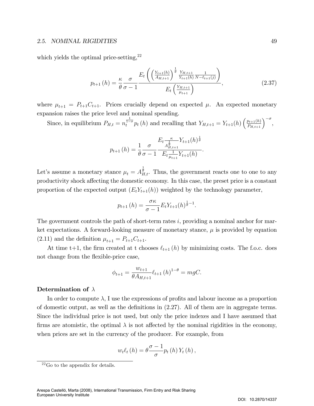which yields the optimal price-setting, $2^2$ 

$$
p_{t+1}(h) = \frac{\kappa}{\theta} \frac{\sigma}{\sigma - 1} \frac{E_t \left( \left( \frac{Y_{t+1}(h)}{A_{H,t+1}} \right)^{\frac{1}{\theta}} \frac{Y_{H,t+1}}{Y_{t+1}(h)} \frac{1}{N - \ell_{t+1}(j)} \right)}{E_t \left( \frac{Y_{H,t+1}}{\mu_{t+1}} \right)},
$$
(2.37)

where  $\mu_{t+1} = P_{t+1}C_{t+1}$ . Prices crucially depend on expected  $\mu$ . An expected monetary expansion raises the price level and nominal spending.

Since, in equilibrium  $P_{H,t} = n_t^{\frac{1}{1-\sigma}} p_t(h)$  and recalling that  $Y_{H,t+1} = Y_{t+1}(h) \left(\frac{p_{t+1}(h)}{P_{H,t+1}}\right)^{-\sigma}$ ,

$$
p_{t+1}(h) = \frac{1}{\theta} \frac{\sigma}{\sigma - 1} \frac{E_t \frac{\kappa}{A_{H,t+1}^{\frac{1}{\theta}}}}{E_t \frac{1}{\mu_{t+1}} Y_{t+1}(h)}.
$$

Let's assume a monetary stance  $\mu_t = A_{H,t}^{\frac{1}{\theta}}$ . Thus, the government reacts one to one to any productivity shock affecting the domestic economy. In this case, the preset price is a constant proportion of the expected output  $(E_tY_{t+1}(h))$  weighted by the technology parameter,

$$
p_{t+1}(h) = \frac{\sigma \kappa}{\sigma - 1} E_t Y_{t+1}(h)^{\frac{1}{\theta} - 1}.
$$

The government controls the path of short-term rates  $i$ , providing a nominal anchor for market expectations. A forward-looking measure of monetary stance,  $\mu$  is provided by equation  $(2.11)$  and the definition  $\mu_{t+1} = P_{t+1}C_{t+1}$ .

At time t+1, the firm created at t chooses  $\ell_{t+1} (h)$  by minimizing costs. The f.o.c. does not change from the flexible-price case,

$$
\phi_{t+1} = \frac{w_{t+1}}{\theta A_{H,t+1}} \ell_{t+1} (h)^{1-\theta} = mgC.
$$

#### Determination of  $\lambda$

In order to compute  $\lambda$ , I use the expressions of profits and labour income as a proportion of domestic output, as well as the definitions in  $(2.27)$ . All of them are in aggregate terms. Since the individual price is not used, but only the price indexes and I have assumed that firms are atomistic, the optimal  $\lambda$  is not affected by the nominal rigidities in the economy, when prices are set in the currency of the producer. For example, from

$$
w_t \ell_t (h) = \theta \frac{\sigma - 1}{\sigma} p_t (h) Y_t (h) ,
$$

 $22$  Go to the appendix for details.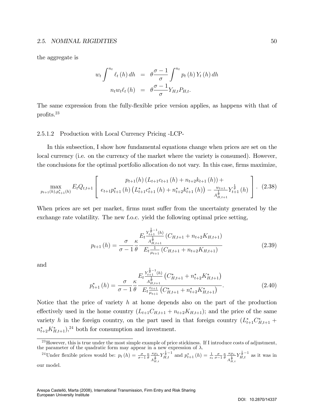the aggregate is

$$
w_t \int^{n_t} \ell_t(h) dh = \theta \frac{\sigma - 1}{\sigma} \int^{n_t} p_t(h) Y_t(h) dh
$$

$$
n_t w_t \ell_t(h) = \theta \frac{\sigma - 1}{\sigma} Y_{H,t} P_{H,t}.
$$

The same expression from the fully-flexible price version applies, as happens with that of profits. $^{23}$ 

#### 2.5.1.2 Production with Local Currency Pricing -LCP-

In this subsection, I show how fundamental equations change when prices are set on the local currency (i.e. on the currency of the market where the variety is consumed). However, the conclusions for the optimal portfolio allocation do not vary. In this case, firms maximize,

$$
\max_{p_{t+1}(h), p_{t+1}^*(h)} E_t Q_{t,t+1} \left[ \frac{p_{t+1}(h) \left( L_{t+1} c_{t+1}(h) + n_{t+2} k_{t+1}(h) \right) +}{e_{t+1} p_{t+1}^*(h) \left( L_{t+1}^* c_{t+1}^*(h) + n_{t+2}^* k_{t+1}^*(h) \right) - \frac{w_{t+1}}{A_{H,t+1}^{\frac{1}{\theta}}} Y_{t+1}^{\frac{1}{\theta}}(h)} \right].
$$
 (2.38)

When prices are set per market, firms must suffer from the uncertainty generated by the exchange rate volatility. The new f.o.c. yield the following optimal price setting,

$$
p_{t+1}(h) = \frac{\sigma}{\sigma - 1} \frac{E_t \frac{Y_{t+1}^{\frac{1}{\theta}-1}(h)}{A_{H,t+1}^{\frac{1}{\theta}}}(C_{H,t+1} + n_{t+2}K_{H,t+1})}{E_t \frac{1}{\mu_{t+1}}(C_{H,t+1} + n_{t+2}K_{H,t+1})}
$$
(2.39)

and

$$
p_{t+1}^{*}\left(h\right) = \frac{\sigma}{\sigma - 1} \frac{\kappa}{\theta} \frac{E_{t} \frac{Y_{t+1}^{\frac{1}{\theta}-1}\left(h\right)}{A_{H,t+1}^{\frac{1}{\theta}}}\left(C_{H,t+1}^{*} + n_{t+2}^{*} K_{H,t+1}^{*}\right)}{E_{t} \frac{e_{t+1}}{\mu_{t+1}}\left(C_{H,t+1}^{*} + n_{t+2}^{*} K_{H,t+1}^{*}\right)}.
$$
\n(2.40)

Notice that the price of variety h at home depends also on the part of the production effectively used in the home country  $(L_{t+1}C_{H,t+1} + n_{t+2}K_{H,t+1});$  and the price of the same variety h in the foreign country, on the part used in that foreign country  $(L_{t+1}^*C_{H,t+1}^* +$  $n_{t+2}^* K_{H,t+1}^*$ ,  $^{24}$  both for consumption and investment.

 $^{23}$ However, this is true under the most simple example of price stickiness. If I introduce costs of adjustment, the parameter of the quadratic form may appear in a new expression of  $\lambda$ .

<sup>&</sup>lt;sup>24</sup>Under flexible prices would be:  $p_t(h) = \frac{\sigma}{\sigma-1} \frac{\kappa}{\theta} \frac{\kappa \mu_t}{\frac{1}{\theta}}$  $\overline{A_{H,t}^{\frac{1}{\theta}}}$  $Y_{H,t}^{\frac{1}{\theta}-1}$  and  $p_{t+1}^{*}(h) = \frac{1}{e_t} \frac{\sigma}{\sigma-1} \frac{\kappa}{\theta} \frac{\kappa \mu_t}{A^{\frac{1}{\theta}}}$  $\overline{A_{H,t}^{\frac{1}{\theta}}}$  $Y_{H,t}^{\frac{1}{\theta}-1}$  as it was in our model.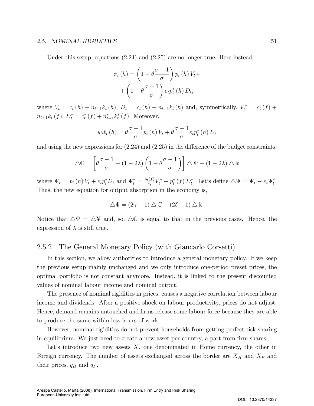Under this setup, equations  $(2.24)$  and  $(2.25)$  are no longer true. Here instead,

$$
\pi_t(h) = \left(1 - \theta \frac{\sigma - 1}{\sigma}\right) p_t(h) V_t + \left(1 - \theta \frac{\sigma - 1}{\sigma}\right) e_t p_t^*(h) D_t,
$$

where  $V_t = c_t(h) + n_{t+1}k_t(h)$ ,  $D_t = c_t(h) + n_{t+1}k_t(h)$  and, symmetrically,  $V_t^* = c_t(f) +$  $n_{t+1}k_t(f), D_t^* = c_t^*(f) + n_{t+1}^*k_t^*(f)$ . Moreover,

$$
w_t \ell_t(h) = \theta \frac{\sigma - 1}{\sigma} p_t(h) V_t + \theta \frac{\sigma - 1}{\sigma} e_t p_t^*(h) D_t
$$

and using the new expressions for  $(2.24)$  and  $(2.25)$  in the difference of the budget constraints,

$$
\Delta \mathbb{C} = \left[ \theta \frac{\sigma - 1}{\sigma} + (1 - 2\lambda) \left( 1 - \theta \frac{\sigma - 1}{\sigma} \right) \right] \Delta \Psi - (1 - 2\lambda) \Delta \mathbb{k}
$$

where  $\Psi_t = p_t(h) V_t + e_t p_t^* D_t$  and  $\Psi_t^* = \frac{p_t(f)}{e_t}$  $\sum_{e_t}^{(\underline{t}I)} V_t^* + p_t^* (f) D_t^*.$  Let's define  $\Delta \Psi = \Psi_t - e_t \Psi_t^*.$ Thus, the new equation for output absorption in the economy is,

$$
\triangle \Psi = (2\gamma - 1) \triangle \mathbb{C} + (2\delta - 1) \triangle \mathbb{k}.
$$

Notice that  $\Delta \Psi = \Delta \Psi$  and, so,  $\Delta \mathbb{C}$  is equal to that in the previous cases. Hence, the expression of  $\lambda$  is still true.

### 2.5.2 The General Monetary Policy (with Giancarlo Corsetti)

In this section, we allow authorities to introduce a general monetary policy. If we keep the previous setup mainly unchanged and we only introduce one-period preset prices, the optimal portfolio is not constant anymore. Instead, it is linked to the present discounted values of nominal labour income and nominal output.

The presence of nominal rigidities in prices, causes a negative correlation between labour income and dividends. After a positive shock on labour productivity, prices do not adjust. Hence, demand remains untouched and firms release some labour force because they are able to produce the same within less hours of work.

However, nominal rigidities do not prevent households from getting perfect risk sharing in equilibrium. We just need to create a new asset per country, a part from firm shares.

Let's introduce two new assets  $X$ , one denominated in Home currency, the other in Foreign currency. The number of assets exchanged across the border are  $X_H$  and  $X_F$  and their prices,  $q_H$  and  $q_F$ .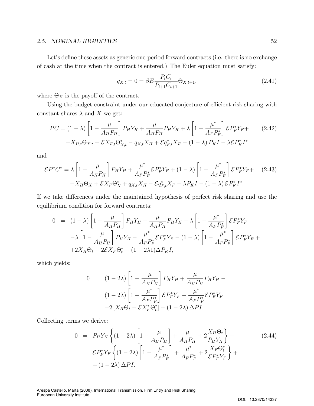Let's define these assets as generic one-period forward contracts (i.e. there is no exchange of cash at the time when the contract is entered.) The Euler equation must satisfy:

$$
q_{X,t} = 0 = \beta E \frac{P_t C_t}{P_{t+1} C_{t+1}} \Theta_{X,t+1},
$$
\n(2.41)

where  $\Theta_X$  is the payoff of the contract.

Using the budget constraint under our educated conjecture of efficient risk sharing with constant shares  $\lambda$  and X we get:

$$
PC = (1 - \lambda) \left[ 1 - \frac{\mu}{A_H P_H} \right] P_H Y_H + \frac{\mu}{A_H P_H} P_H Y_H + \lambda \left[ 1 - \frac{\mu^*}{A_F P_F^*} \right] \mathcal{E} P_F^* Y_F + \\ + X_{H,t} \Theta_{X,t} - \mathcal{E} X_{F,t} \Theta_{X,t}^* - q_{X,t} X_H + \mathcal{E} q_{F,t}^* X_F - (1 - \lambda) P_K I - \lambda \mathcal{E} P_K^* I^*
$$
(2.42)

and

$$
\mathcal{E}P^*C^* = \lambda \left[ 1 - \frac{\mu}{A_H P_H} \right] P_H Y_H + \frac{\mu^*}{A_F P_F^*} \mathcal{E} P_F^* Y_F + (1 - \lambda) \left[ 1 - \frac{\mu^*}{A_F P_F^*} \right] \mathcal{E} P_F^* Y_F + (2.43) - X_H \Theta_X + \mathcal{E} X_F \Theta_X^* + q_{X,t} X_H - \mathcal{E} q_{F,t}^* X_F - \lambda P_K I - (1 - \lambda) \mathcal{E} P_K^* I^*.
$$

If we take differences under the maintained hypothesis of perfect risk sharing and use the equilibrium condition for forward contracts:

$$
0 = (1 - \lambda) \left[ 1 - \frac{\mu}{A_H P_H} \right] P_H Y_H + \frac{\mu}{A_H P_H} P_H Y_H + \lambda \left[ 1 - \frac{\mu^*}{A_F P_F^*} \right] \mathcal{E} P_F^* Y_F - \lambda \left[ 1 - \frac{\mu}{A_H P_H} \right] P_H Y_H - \frac{\mu^*}{A_F P_F^*} \mathcal{E} P_F^* Y_F - (1 - \lambda) \left[ 1 - \frac{\mu^*}{A_F P_F^*} \right] \mathcal{E} P_F^* Y_F ++ 2X_H \Theta_t - 2 \mathcal{E} X_F \Theta_t^* - (1 - 2\lambda 1) \Delta P_K I,
$$

which yields:

$$
0 = (1 - 2\lambda) \left[ 1 - \frac{\mu}{A_H P_H} \right] P_H Y_H + \frac{\mu}{A_H P_H} P_H Y_H -
$$

$$
(1 - 2\lambda) \left[ 1 - \frac{\mu^*}{A_F P_F^*} \right] \mathcal{E} P_F^* Y_F - \frac{\mu^*}{A_F P_F^*} \mathcal{E} P_F^* Y_F
$$

$$
+ 2 \left[ X_H \Theta_t - \mathcal{E} X_F^* \Theta_t^* \right] - (1 - 2\lambda) \Delta P I.
$$

Collecting terms we derive:

$$
0 = P_H Y_H \left\{ (1 - 2\lambda) \left[ 1 - \frac{\mu}{A_H P_H} \right] + \frac{\mu}{A_H P_H} + 2 \frac{X_H \Theta_t}{P_H Y_H} \right\} -
$$
\n
$$
\mathcal{E} P_F^* Y_F \left\{ (1 - 2\lambda) \left[ 1 - \frac{\mu^*}{A_F P_F^*} \right] + \frac{\mu^*}{A_F P_F^*} + 2 \frac{X_F \Theta_t^*}{\mathcal{E} P_F^* Y_F} \right\} +
$$
\n
$$
- (1 - 2\lambda) \Delta P I.
$$
\n(2.44)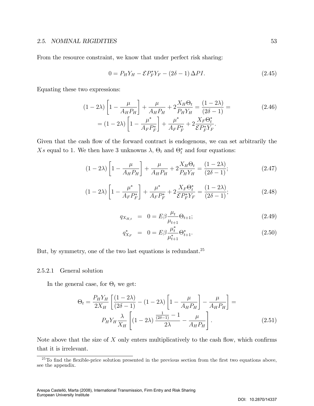From the resource constraint, we know that under perfect risk sharing:

$$
0 = P_H Y_H - \mathcal{E} P_F^* Y_F - (2\delta - 1) \Delta P I. \tag{2.45}
$$

Equating these two expressions:

$$
(1 - 2\lambda) \left[ 1 - \frac{\mu}{A_H P_H} \right] + \frac{\mu}{A_H P_H} + 2 \frac{X_H \Theta_t}{P_H Y_H} = \frac{(1 - 2\lambda)}{(2\delta - 1)} =
$$
\n
$$
= (1 - 2\lambda) \left[ 1 - \frac{\mu^*}{A_F P_F^*} \right] + \frac{\mu^*}{A_F P_F^*} + 2 \frac{X_F \Theta_t^*}{\mathcal{E} P_F^* Y_F}.
$$
\n(2.46)

Given that the cash flow of the forward contract is endogenous, we can set arbitrarily the Xs equal to 1. We then have 3 unknowns  $\lambda$ ,  $\Theta_t$  and  $\Theta_t^*$  and four equations:

$$
(1 - 2\lambda) \left[ 1 - \frac{\mu}{A_H P_H} \right] + \frac{\mu}{A_H P_H} + 2 \frac{X_H \Theta_t}{P_H Y_H} = \frac{(1 - 2\lambda)}{(2\delta - 1)}; \tag{2.47}
$$

$$
(1 - 2\lambda) \left[ 1 - \frac{\mu^*}{A_F P_F^*} \right] + \frac{\mu^*}{A_F P_F^*} + 2 \frac{X_F \Theta_t^*}{\mathcal{E} P_F^* Y_F} = \frac{(1 - 2\lambda)}{(2\delta - 1)}; \tag{2.48}
$$

$$
q_{X_{H,t}} = 0 = E\beta \frac{\mu_t}{\mu_{t+1}} \Theta_{t+1};
$$
\n(2.49)

$$
q_{X_F}^* = 0 = E\beta \frac{\mu_t^*}{\mu_{t+1}^*} \Theta_{t+1}^*.
$$
\n(2.50)

But, by symmetry, one of the two last equations is redundant.<sup>25</sup>

### 2.5.2.1 General solution

In the general case, for  $\Theta_t$  we get:

$$
\Theta_t = \frac{P_H Y_H}{2X_H} \left[ \frac{(1-2\lambda)}{(2\delta - 1)} - (1-2\lambda) \left[ 1 - \frac{\mu}{A_H P_H} \right] - \frac{\mu}{A_H P_H} \right] =
$$
  

$$
P_H Y_H \frac{\lambda}{X_H} \left[ (1-2\lambda) \frac{\frac{1}{(2\delta - 1)} - 1}{2\lambda} - \frac{\mu}{A_H P_H} \right].
$$
 (2.51)

Note above that the size of  $X$  only enters multiplicatively to the cash flow, which confirms that it is irrelevant.

 $25T$ o find the flexible-price solution presented in the previous section from the first two equations above, see the appendix.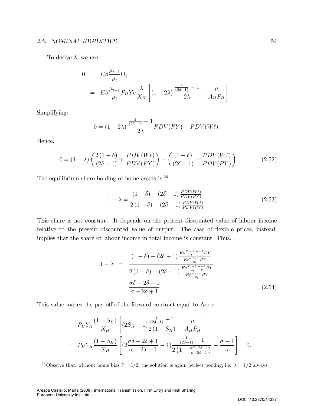To derive  $\lambda$ , we use:

$$
0 = E\beta \frac{\mu_{t-1}}{\mu_t} \Theta_t =
$$
  
= 
$$
E\beta \frac{\mu_{t-1}}{\mu_t} P_H Y_H \frac{\lambda}{X_H} \left[ (1 - 2\lambda) \frac{\frac{1}{(2\delta - 1)} - 1}{2\lambda} - \frac{\mu}{A_H P_H} \right]
$$

Simplifying:

$$
0 = (1 - 2\lambda) \frac{\frac{1}{(2\delta - 1)} - 1}{2\lambda} PDV(PY) - PDV(W\ell).
$$

Hence,

$$
0 = (1 - \lambda) \left( \frac{2(1 - \delta)}{(2\delta - 1)} + \frac{PDV(W\ell)}{PDV(PY)} \right) - \left( \frac{(1 - \delta)}{(2\delta - 1)} + \frac{PDV(W\ell)}{PDV(PY)} \right). \tag{2.52}
$$

The equilibrium share holding of home assets is:<sup>26</sup>

$$
1 - \lambda = \frac{(1 - \delta) + (2\delta - 1) \frac{PDV(W\ell)}{PDV(PY)}}{2(1 - \delta) + (2\delta - 1) \frac{PDV(W\ell)}{PDV(PY)}}.
$$
\n(2.53)

This share is not constant. It depends on the present discounted value of labour income relative to the present discounted value of output. The case of flexible prices, instead, implies that the share of labour income in total income is constant. Thus,

$$
1 - \lambda = \frac{(1 - \delta) + (2\delta - 1) \frac{E\beta \frac{\mu_{t-1}}{\mu_t} \frac{\sigma - 1}{\sigma}}{E\beta \frac{\mu_{t-1}}{\mu_t} PY}}{2(1 - \delta) + (2\delta - 1) \frac{E\beta \frac{\mu_{t-1}}{\mu_t} \frac{\sigma - 1}{\sigma}}{E\beta \frac{\mu_{t-1}}{\mu_t} PY}}{E\beta \frac{\mu_{t-1}}{\mu_t} PY}}
$$
\n
$$
= \frac{\sigma\delta - 2\delta + 1}{\sigma - 2\delta + 1}.
$$
\n(2.54)

This value makes the pay-off of the forward contract equal to Aero:

$$
P_H Y_H \frac{(1 - S_H)}{X_H} \left[ (2S_H - 1) \frac{\frac{1}{(2\delta - 1)} - 1}{2(1 - S_H)} - \frac{\mu}{A_H P_H} \right]
$$
  
=  $P_H Y_H \frac{(1 - S_H)}{X_H} \left[ (2\frac{\sigma \delta - 2\delta + 1}{\sigma - 2\delta + 1} - 1) \frac{\frac{1}{(2\delta - 1)} - 1}{2(1 - \frac{\sigma \delta - 2\delta + 1}{\sigma - 2\delta + 1})} - \frac{\sigma - 1}{\sigma} \right] = 0.$ 

:

<sup>&</sup>lt;sup>26</sup>Observe that, without home bias  $\delta = 1/2$ , the solution is again perfect pooling, i.e.  $\lambda = 1/2$  always.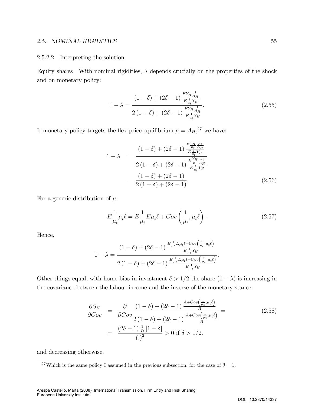#### 2.5.2.2 Interpreting the solution

Equity shares With nominal rigidities,  $\lambda$  depends crucially on the properties of the shock and on monetary policy:

$$
1 - \lambda = \frac{(1 - \delta) + (2\delta - 1)\frac{EY_H \frac{1}{A_H}}{E \frac{1}{\mu_t} Y_H}}{2(1 - \delta) + (2\delta - 1)\frac{EY_H \frac{1}{A_H}}{E \frac{1}{\mu_t} Y_H}}.
$$
(2.55)

If monetary policy targets the flex-price equilibrium  $\mu = A_H$ ,<sup>27</sup> we have:

$$
1 - \lambda = \frac{(1 - \delta) + (2\delta - 1) \frac{E \frac{Y_H}{\mu_t} \frac{\mu_t}{A_H}}{E \frac{1}{\mu_t} Y_H}}{2(1 - \delta) + (2\delta - 1) \frac{E \frac{Y_H}{\mu_t} \frac{\mu_t}{A_H}}{E \frac{1}{\mu_t} Y_H}}
$$
  
= 
$$
\frac{(1 - \delta) + (2\delta - 1)}{2(1 - \delta) + (2\delta - 1)}.
$$
(2.56)

For a generic distribution of  $\mu$ :

$$
E\frac{1}{\mu_t}\mu_t \ell = E\frac{1}{\mu_t}E\mu_t \ell + Cov\left(\frac{1}{\mu_t}, \mu_t \ell\right). \tag{2.57}
$$

Hence,

$$
1 - \lambda = \frac{(1 - \delta) + (2\delta - 1)\frac{E \frac{1}{\mu_t} E \mu_t \ell + Cov\left(\frac{1}{\mu_t}, \mu_t \ell\right)}{E \frac{1}{\mu_t} Y_H}}{2(1 - \delta) + (2\delta - 1)\frac{E \frac{1}{\mu_t} E \mu_t \ell + Cov\left(\frac{1}{\mu_t}, \mu_t \ell\right)}{E \frac{1}{\mu_t} Y_H}}.
$$

Other things equal, with home bias in investment  $\delta > 1/2$  the share  $(1 - \lambda)$  is increasing in the covariance between the labour income and the inverse of the monetary stance:

$$
\frac{\partial S_H}{\partial Cov} = \frac{\partial}{\partial Cov} \frac{(1-\delta) + (2\delta - 1) \frac{A + Cov\left(\frac{1}{\mu_t}, \mu_t \ell\right)}{B}}{2(1-\delta) + (2\delta - 1) \frac{A + Cov\left(\frac{1}{\mu_t}, \mu_t \ell\right)}{B}} = \frac{(2\delta - 1) \frac{1}{B} [1-\delta]}{\left(\frac{1}{2}\right)^2} > 0 \text{ if } \delta > 1/2.
$$
\n(2.58)

and decreasing otherwise.

<sup>&</sup>lt;sup>27</sup>Which is the same policy I assumed in the previous subsection, for the case of  $\theta = 1$ .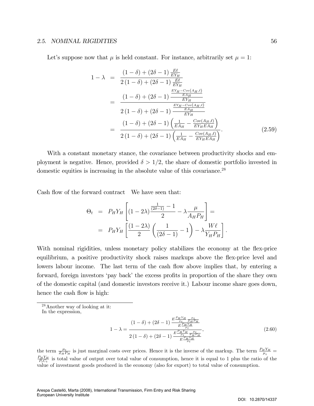Let's suppose now that  $\mu$  is held constant. For instance, arbitrarily set  $\mu = 1$ :

$$
1 - \lambda = \frac{(1 - \delta) + (2\delta - 1) \frac{E\ell}{EY_H}}{2(1 - \delta) + (2\delta - 1) \frac{E\ell}{EY_H}}
$$
  
= 
$$
\frac{(1 - \delta) + (2\delta - 1) \frac{EY_H - Cov(A_H, \ell)}{EX_H}}{2(1 - \delta) + (2\delta - 1) \frac{EY_H - Cov(A_H, \ell)}{EY_H}}
$$
  
= 
$$
\frac{(1 - \delta) + (2\delta - 1) \left(\frac{1}{EA_H} - \frac{Cov(A_H, \ell)}{EY_H EA_H}\right)}{2(1 - \delta) + (2\delta - 1) \left(\frac{1}{EA_H} - \frac{Cov(A_H, \ell)}{EY_H EA_H}\right)}.
$$
(2.59)

With a constant monetary stance, the covariance between productivity shocks and employment is negative. Hence, provided  $\delta > 1/2$ , the share of domestic portfolio invested in domestic equities is increasing in the absolute value of this covariance.<sup>28</sup>

Cash flow of the forward contract We have seen that:

$$
\Theta_t = P_H Y_H \left[ (1 - 2\lambda) \frac{\frac{1}{(2\delta - 1)} - 1}{2} - \lambda \frac{\mu}{A_H P_H} \right] =
$$
  
=  $P_H Y_H \left[ \frac{(1 - 2\lambda)}{2} \left( \frac{1}{(2\delta - 1)} - 1 \right) - \lambda \frac{W\ell}{Y_H P_H} \right]$ 

With nominal rigidities, unless monetary policy stabilizes the economy at the flex-price equilibrium, a positive productivity shock raises markups above the flex-price level and lowers labour income. The last term of the cash flow above implies that, by entering a forward, foreign investors 'pay back' the excess profits in proportion of the share they own of the domestic capital (and domestic investors receive it.) Labour income share goes down, hence the cash flow is high:

$$
1 - \lambda = \frac{(1 - \delta) + (2\delta - 1) \frac{E \frac{P_H Y_H}{\mu_t} \frac{\mu_t}{Z_H P_H}}{E \frac{P_H Y_H}{\mu_t}}}{2(1 - \delta) + (2\delta - 1) \frac{E \frac{P_H Y_H}{\mu_t} \frac{\mu_t}{Z_H P_H}}{E \frac{P_H Y_H}{\mu_t}}},
$$
(2.60)

:

the term  $\frac{\mu_t}{Z_H P_H}$  is just marginal costs over prices. Hence it is the inverse of the markup. The term  $\frac{P_H Y_H}{\mu_t}$  $\frac{P_HY_H}{P_tC_t}$  is total value of output over total value of consumption, hence it is equal to 1 plus the ratio of the value of investment goods produced in the economy (also for export) to total value of consumption.

<sup>28</sup>Another way of looking at it:

In the expression,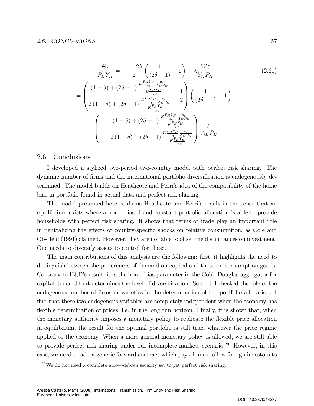$$
\frac{\Theta_{t}}{P_{H}Y_{H}} = \left[\frac{1-2\lambda}{2} \left(\frac{1}{(2\delta-1)} - 1\right) - \lambda \frac{W\ell}{Y_{H}P_{H}}\right]
$$
\n
$$
= \left(\frac{(1-\delta) + (2\delta-1)\frac{E\frac{P_{H}Y_{H}}{\mu_{t}} \frac{\mu_{t}}{A_{H}P_{H}}}{E\frac{P_{H}Y_{H}}{\mu_{t}}}}{2(1-\delta) + (2\delta-1)\frac{E\frac{P_{H}Y_{H}}{\mu_{t}} \frac{\mu_{t}}{A_{H}P_{H}}}{E\frac{P_{H}Y_{H}}{\mu_{t}}}}{E\frac{P_{H}Y_{H}}{\mu_{t}}}\right] \left(\frac{1}{(2\delta-1)} - 1\right) - \left(\frac{(1-\delta) + (2\delta-1)\frac{E\frac{P_{H}Y_{H}}{\mu_{t}} \frac{\mu_{t}}{A_{H}P_{H}}}{E\frac{P_{H}Y_{H}}{\mu_{t}}}}{2(1-\delta) + (2\delta-1)\frac{E\frac{P_{H}Y_{H}}{\mu_{t}} \frac{\mu_{t}}{A_{H}P_{H}}}{E\frac{P_{H}Y_{H}}{\mu_{t}}}}{E\frac{P_{H}Y_{H}}{\mu_{t}}}\right) \frac{\mu}{A_{H}P_{H}}.
$$
\n(2.61)

### 2.6 Conclusions

I developed a stylized two-period two-country model with perfect risk sharing. The dynamic number of firms and the international portfolio diversification is endogenously determined. The model builds on Heathcote and Perri's idea of the compatibility of the home bias in portfolio found in actual data and perfect risk sharing.

The model presented here confirms Heathcote and Perri's result in the sense that an equilibrium exists where a home-biased and constant portfolio allocation is able to provide households with perfect risk sharing. It shows that terms of trade play an important role in neutralizing the effects of country-specific shocks on relative consumption, as Cole and Obstfeld (1991) claimed. However, they are not able to offset the disturbances on investment. One needs to diversify assets to control for these.

The main contributions of this analysis are the following: first, it highlights the need to distinguish between the preferences of demand on capital and those on consumption goods. Contrary to H&P's result, it is the home-bias parameter in the Cobb-Douglas aggregator for capital demand that determines the level of diversification. Second, I checked the role of the endogenous number of firms or varieties in the determination of the portfolio allocation. I find that these two endogenous variables are completely independent when the economy has flexible determination of prices, i.e. in the long run horizon. Finally, it is shown that, when the monetary authority imposes a monetary policy to replicate the áexible price allocation in equilibrium, the result for the optimal portfolio is still true, whatever the price regime applied to the economy. When a more general monetary policy is allowed, we are still able to provide perfect risk sharing under our incomplete-markets scenario.<sup>29</sup> However, in this case, we need to add a generic forward contract which pay-off must allow foreign investors to

 $^{29}$ We do not need a complete arrow-debreu security set to get perfect risk sharing.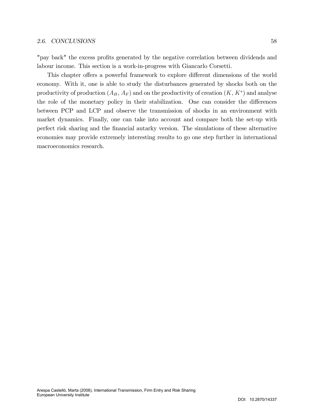"pay back" the excess profits generated by the negative correlation between dividends and labour income. This section is a work-in-progress with Giancarlo Corsetti.

This chapter offers a powerful framework to explore different dimensions of the world economy. With it, one is able to study the disturbances generated by shocks both on the productivity of production  $(A_H, A_F)$  and on the productivity of creation  $(K, K^*)$  and analyse the role of the monetary policy in their stabilization. One can consider the differences between PCP and LCP and observe the transmission of shocks in an environment with market dynamics. Finally, one can take into account and compare both the set-up with perfect risk sharing and the Önancial autarky version. The simulations of these alternative economies may provide extremely interesting results to go one step further in international macroeconomics research.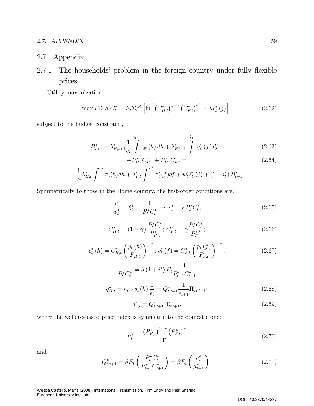### 2.7. APPENDIX 59

2.7 Appendix

# 2.7.1 The households' problem in the foreign country under fully flexible prices

Utility maximization

$$
\max E_t \Sigma \beta^t C_t^* = E_t \Sigma \beta^t \left[ \ln \left[ \left( C_{H,t}^* \right)^{1-\gamma} \left( C_{F,t}^* \right)^\gamma \right] - \kappa \ell_t^* \left( j \right) \right],\tag{2.62}
$$

subject to the budget constraint,

$$
B_{t+1}^{*} + \lambda_{H,t+1}^{*} \frac{1}{e_t} \int_{t}^{n_{t+1}} q_t(h) \, dh + \lambda_{F,t+1}^{*} \int_{t}^{n_{t+1}^{*}} q_t^{*}(f) \, df + \tag{2.63}
$$

$$
+P_{H,t}^* C_{H,t}^* + P_{F,t}^* C_{F,t}^* =
$$
\n
$$
C_{H,t}^* \tag{2.64}
$$

$$
= \frac{1}{e_t} \lambda_{H,t}^* \int^{n_t} \pi_t(h) dh + \lambda_{F,t}^* \int^{n_t^*} \pi_t^*(f) df + w_t^* \ell_t^*(j) + (1 + i_t^*) B_{t+1}^*.
$$

Symmetrically to those in the Home country, the first-order conditions are:

$$
\frac{\kappa}{w_t^*} = \xi_t^* = \frac{1}{P_t^* C_t^*} \to w_t^* = \kappa P_t^* C_t^*; \tag{2.65}
$$

$$
C_{H,t}^* = (1 - \gamma) \frac{P_t^* C_t^*}{P_{H,t}^*}; C_{F,t}^* = \gamma \frac{P_t^* C_t^*}{P_F^{*,t}};
$$
\n(2.66)

$$
c_{t}^{*}(h) = C_{H,t}^{*}\left(\frac{p_{t}(h)}{P_{H,t}}\right)^{-\sigma};\,c_{t}^{*}(f) = C_{F,t}^{*}\left(\frac{p_{t}(f)}{P_{F,t}}\right)^{-\sigma};\tag{2.67}
$$

$$
\frac{1}{P_t^* C_t^*} = \beta \left( 1 + i_t^* \right) E_t \frac{1}{P_{t+1}^* C_{t+1}^*}
$$
\n
$$
q_{H,t}^* = n_{t+1} q_t \left( h \right) \frac{1}{e_t} = Q_{t,t+1}^* \frac{1}{e_{t+1}} \Pi_{H,t+1};
$$
\n(2.68)

$$
q_{F,t}^* = Q_{t,t+1}^* \Pi_{F,t+1}^*,\tag{2.69}
$$

where the welfare-based price index is symmetric to the domestic one:

$$
P_t^* = \frac{\left(P_{H,t}^*\right)^{1-\gamma} \left(P_{F,t}^*\right)^{\gamma}}{\Gamma} \tag{2.70}
$$

and

$$
Q_{t,t+1}^* = \beta E_t \left( \frac{P_t^* C_t^*}{P_{t+1}^* C_{t+1}^*} \right) = \beta E_t \left( \frac{\mu_t^*}{\mu_{t+1}^*} \right). \tag{2.71}
$$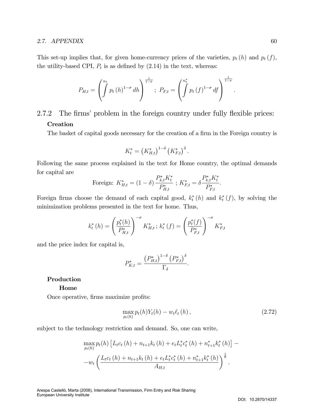### 2.7.  $APPENDIX$  60

This set-up implies that, for given home-currency prices of the varieties,  $p_t(h)$  and  $p_t(f)$ , the utility-based CPI,  $P_t$  is as defined by  $(2.14)$  in the text, whereas:

$$
P_{H,t} = \left( \int_0^{n_t} p_t(h)^{1-\sigma} dh \right)^{\frac{1}{1-\sigma}}; \ P_{F,t} = \left( \int_0^{n_t^*} p_t(f)^{1-\sigma} df \right)^{\frac{1}{1-\sigma}}
$$

# 2.7.2 The firms' problem in the foreign country under fully flexible prices: Creation

The basket of capital goods necessary for the creation of a firm in the Foreign country is

$$
K_t^* = \left(K_{H,t}^*\right)^{1-\delta} \left(K_{F,t}^*\right)^{\delta}.
$$

Following the same process explained in the text for Home country, the optimal demands for capital are

Foreign: 
$$
K_{H,t}^* = (1 - \delta) \frac{P_{k,t}^* K_t^*}{P_{H,t}^*} \; ; \; K_{F,t}^* = \delta \frac{P_{k,t}^* K_t^*}{P_{F,t}^*}.
$$

Foreign firms choose the demand of each capital good,  $k_t^*(h)$  and  $k_t^*(f)$ , by solving the minimization problems presented in the text for home. Thus,

$$
k_t^*(h) = \left(\frac{p_t^*(h)}{P_{H,t}^*}\right)^{-\sigma} K_{H,t}^*; k_t^*(f) = \left(\frac{p_t^*(f)}{P_{F,t}^*}\right)^{-\sigma} K_{F,t}^*
$$

and the price index for capital is,

$$
P_{K,t}^* = \frac{\left(P_{H,t}^*\right)^{1-\delta} \left(P_{F,t}^*\right)^{\delta}}{\Gamma_{\delta}}.
$$

### Production

#### Home

Once operative, firms maximize profits:

$$
\max_{p_t(h)} p_t(h) Y_t(h) - w_t \ell_t(h) , \qquad (2.72)
$$

subject to the technology restriction and demand. So, one can write,

$$
\max_{p_t(h)} p_t(h) \left[ L_t c_t(h) + n_{t+1} k_t(h) + e_t L_t^* c_t^*(h) + n_{t+1}^* k_t^*(h) \right] -
$$
  
-
$$
w_t \left( \frac{L_t c_t(h) + n_{t+1} k_t(h) + e_t L_t^* c_t^*(h) + n_{t+1}^* k_t^*(h)}{A_{H,t}} \right)^{\frac{1}{\theta}}.
$$

: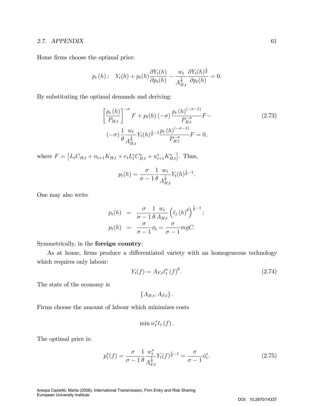Home firms choose the optimal price:

$$
p_t(h): Y_t(h) + p_t(h)\frac{\partial Y_t(h)}{\partial p_t(h)} - \frac{w_t}{A_{H,t}^{\frac{1}{\theta}}} \frac{\partial Y_t(h)^{\frac{1}{\theta}}}{\partial p_t(h)} = 0.
$$

By substituting the optimal demands and deriving:

$$
\left[\frac{p_t(h)}{P_{H,t}}\right]^{-\sigma} F + p_t(h) \left(-\sigma\right) \frac{p_t(h)^{(-\sigma-1)}}{P_{H,t}^{-\sigma}} F -
$$
\n
$$
(-\sigma) \frac{1}{\theta} \frac{w_t}{A_{H,t}^{\frac{1}{\theta}}} Y_t(h)^{\frac{1}{\theta}-1} \frac{p_t(h)^{(-\sigma-1)}}{P_{H,t}^{-\sigma}} F = 0,
$$
\n(2.73)

where  $F = [L_t C_{H,t} + n_{t+1} K_{H,t} + e_t L_t^* C_{H,t}^* + n_{t+1}^* K_{H,t}^*].$  Thus,

$$
p_t(h) = \frac{\sigma}{\sigma - 1} \frac{1}{\theta} \frac{w_t}{A_{H,t}^{\frac{1}{\theta}}} Y_t(h)^{\frac{1}{\theta} - 1}.
$$

One may also write

$$
p_t(h) = \frac{\sigma}{\sigma - 1} \frac{1}{\theta} \frac{w_t}{A_{H,t}} \left( \ell_t(h) \right)^{\frac{1}{\theta} - 1};
$$
  

$$
p_t(h) = \frac{\sigma}{\sigma - 1} \phi_t = \frac{\sigma}{\sigma - 1} mgC.
$$

Symmetrically, in the foreign country:

As at home, firms produce a differentiated variety with an homogeneous technology which requires only labour:

$$
Y_t(f) = A_{F,t} \ell_t^* (f)^\theta.
$$
 (2.74)

The state of the economy is

 ${A_{H,t}, A_{F,t}}$ .

Firms choose the amount of labour which minimizes costs

$$
\min w_t^* \ell_t(f).
$$

The optimal price is:

$$
p_t^*(f) = \frac{\sigma}{\sigma - 1} \frac{1}{\theta} \frac{w_t^*}{A_{F,t}^{\frac{1}{\theta}}} Y_t(f)^{\frac{1}{\theta} - 1} = \frac{\sigma}{\sigma - 1} \phi_t^*.
$$
 (2.75)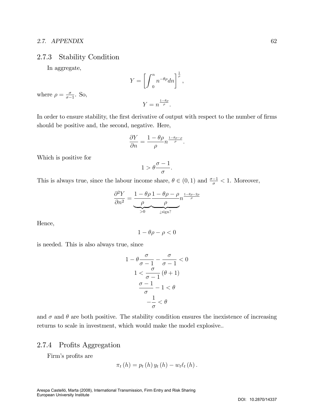## 2.7.3 Stability Condition

In aggregate,

$$
Y = \left[ \int_0^n n^{-\theta \rho} dn \right]^{\frac{1}{\rho}},
$$
  

$$
Y = n^{\frac{1-\theta \rho}{\rho}}.
$$

where  $\rho = \frac{\sigma}{\sigma}$  $\frac{\sigma}{\sigma-1}$ . So,

In order to ensure stability, the first derivative of output with respect to the number of firms should be positive and, the second, negative. Here,

$$
\frac{\partial Y}{\partial n} = \frac{1 - \theta \rho}{\rho} n^{\frac{1 - \theta \rho - \rho}{\rho}}.
$$

Which is positive for

$$
1 > \theta \frac{\sigma - 1}{\sigma}.
$$

This is always true, since the labour income share,  $\theta \in (0, 1)$  and  $\frac{\sigma - 1}{\sigma} < 1$ . Moreover,

$$
\frac{\partial^2 Y}{\partial n^2} = \underbrace{\frac{1 - \theta \rho}{\rho} \frac{1 - \theta \rho - \rho}{\rho} n^{\frac{1 - \theta \rho - 2\rho}{\rho}}}{\sum_{j=0}^{\infty} \frac{\rho}{\sigma_j}}.
$$

Hence,

$$
1 - \theta \rho - \rho < 0
$$

is needed. This is also always true, since

$$
1 - \theta \frac{\sigma}{\sigma - 1} - \frac{\sigma}{\sigma - 1} < 0
$$
\n
$$
1 < \frac{\sigma}{\sigma - 1} (\theta + 1)
$$
\n
$$
\frac{\sigma - 1}{\sigma} - 1 < \theta
$$
\n
$$
-\frac{1}{\sigma} < \theta
$$

and  $\sigma$  and  $\theta$  are both positive. The stability condition ensures the inexistence of increasing returns to scale in investment, which would make the model explosive..

## 2.7.4 Profits Aggregation

Firm's profits are

$$
\pi_t(h) = p_t(h) y_t(h) - w_t \ell_t(h).
$$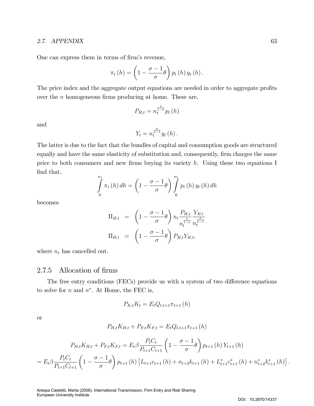One can express them in terms of firm's revenue,

$$
\pi_t(h) = \left(1 - \frac{\sigma - 1}{\sigma} \theta\right) p_t(h) y_t(h).
$$

The price index and the aggregate output equations are needed in order to aggregate profits over the  $n$  homogeneous firms producing at home. These are,

$$
P_{H,t} = n_t^{\frac{1}{1-\sigma}} p_t(h)
$$

and

$$
Y_t = n_t^{\frac{\sigma}{\sigma-1}} y_t(h).
$$

The latter is due to the fact that the bundles of capital and consumption goods are structured equally and have the same elasticity of substitution and, consequently, firm charges the same price to both consumers and new firms buying its variety  $h$ . Using these two equations I find that,

$$
\int_{0}^{n_t} \pi_t(h) dh = \left(1 - \frac{\sigma - 1}{\sigma} \theta\right) \int_{0}^{n_t} p_t(h) y_t(h) dh
$$

becomes

$$
\Pi_{H,t} = \left(1 - \frac{\sigma - 1}{\sigma}\theta\right) n_t \frac{P_{H,t}}{n_t^{\frac{1}{1-\sigma}}} \frac{Y_{H,t}}{n_t^{\frac{\sigma}{\sigma-1}}}
$$

$$
\Pi_{H,t} = \left(1 - \frac{\sigma - 1}{\sigma}\theta\right) P_{H,t} Y_{H,t},
$$

where  $n_t$  has cancelled out.

## 2.7.5 Allocation of firms

The free entry conditions (FECs) provide us with a system of two difference equations to solve for  $n$  and  $n^*$ . At Home, the FEC is,

$$
P_{K,t}K_t = E_t Q_{t,t+1} \pi_{t+1} (h)
$$

or

$$
P_{H,t}K_{H,t} + P_{F,t}K_{F,t} = E_t Q_{t,t+1} \pi_{t+1} (h)
$$

$$
P_{H,t}K_{H,t} + P_{F,t}K_{F,t} = E_t \beta \frac{P_t C_t}{P_{t+1} C_{t+1}} \left(1 - \frac{\sigma - 1}{\sigma} \theta\right) p_{t+1}(h) Y_{t+1}(h)
$$
  
= 
$$
E_t \beta \frac{P_t C_t}{P_{t+1} C_{t+1}} \left(1 - \frac{\sigma - 1}{\sigma} \theta\right) p_{t+1}(h) \left[L_{t+1} C_{t+1}(h) + n_{t+2} k_{t+1}(h) + L_{t+1}^* C_{t+1}^*(h) + n_{t+2}^* k_{t+1}^*(h)\right].
$$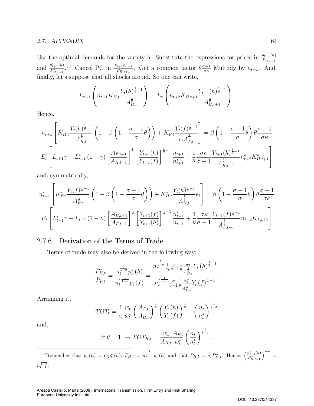Use the optimal demands for the variety h. Substitute the expressions for prices in  $\frac{p_{t+1}(h)}{P_{H,t+1}}$ and  $\frac{p_{t+1}^*(h)}{P^*}$  $P_{E+1}^{i}(h)$  30 Cancel PC in  $\frac{P_{t+1}C_{t+1}}{P_{H,t+1}}$ . Get a common factor  $\theta \frac{\sigma-1}{\sigma\kappa}$  Multiply by  $n_{t+1}$ . And, finally, let's suppose that all shocks are iid. So one can write,

$$
E_{t-1}\left(n_{t+1}K_{H,t}\frac{Y_t(h)^{\frac{1}{\theta}-1}}{A_{H,t}^{\frac{1}{\theta}}}\right) = E_t\left(n_{t+2}K_{H,t+1}\frac{Y_{t+1}(h)^{\frac{1}{\theta}-1}}{A_{H,t+1}^{\frac{1}{\theta}}}\right).
$$

Hence,

$$
n_{t+1} \left[ K_{H,t} \frac{Y_t(h)^{\frac{1}{\theta}-1}}{A_{H,t}^{\frac{1}{\theta}}} \left( 1 - \beta \left( 1 - \frac{\sigma - 1}{\sigma} \theta \right) \right) + K_{F,t} \frac{Y_t(f)^{\frac{1}{\theta}-1}}{e_t A_{F,t}^{\frac{1}{\theta}}} \right] = \beta \left( 1 - \frac{\sigma - 1}{\sigma} \theta \right) \theta \frac{\sigma - 1}{\sigma \kappa}
$$
  

$$
E_t \left[ L_{t+1} \gamma + L_{t+1}^* \left( 1 - \gamma \right) \left[ \frac{A_{F,t+1}}{A_{H,t+1}} \right]^{\frac{1}{\theta}} \left[ \frac{Y_{t+1}(h)}{Y_{t+1}(f)} \right]^{\frac{1}{\theta}-1} \frac{n_{t+1}}{n_{t+1}^*} + \frac{1}{\theta} \frac{\sigma \kappa}{\sigma - 1} \frac{Y_{t+1}(h)^{\frac{1}{\theta}-1}}{A_{H,t+1}^{\frac{1}{\theta}}} n_{t+2}^* K_{H,t+1}^* \right]
$$

and, symmetrically,

$$
n_{t+1}^{*} \left[ K_{F,t}^{*} \frac{Y_{t}(f)^{\frac{1}{\theta}-1}}{A_{F,t}^{\frac{1}{\theta}}} \left( 1 - \beta \left( 1 - \frac{\sigma - 1}{\sigma} \theta \right) \right) + K_{H,t}^{*} \frac{Y_{t}(h)^{\frac{1}{\theta}-1}}{A_{H,t}^{\frac{1}{\theta}}} e_{t} \right] = \beta \left( 1 - \frac{\sigma - 1}{\sigma} \theta \right) \theta \frac{\sigma - 1}{\sigma \kappa}
$$
  

$$
E_{t} \left[ L_{t+1}^{*} \gamma + L_{t+1} \left( 1 - \gamma \right) \left[ \frac{A_{H,t+1}}{A_{F,t+1}} \right]^{\frac{1}{\theta}} \left[ \frac{Y_{t+1}(f)}{Y_{t+1}(h)} \right]^{\frac{1}{\theta}-1} \frac{n_{t+1}^{*}}{n_{t+1}} + \frac{1}{\theta} \frac{\sigma \kappa}{\sigma - 1} \frac{Y_{t+1}(f)^{\frac{1}{\theta}-1}}{A_{F,t+1}^{\frac{1}{\theta}}} n_{t+2} K_{F,t+1} \right]
$$

## 2.7.6 Derivation of the Terms of Trade

Terms of trade may also be derived in the following way:

$$
\frac{P_{H,t}^{*}}{P_{F,t}} = \frac{n_t^{\frac{1}{1-\sigma}} p_t^{*}(h)}{n_t^{\frac{1}{1-\sigma}} p_t(f)} = \frac{n_t^{\frac{1}{1-\sigma}} \frac{1}{e_t} \frac{\sigma}{\sigma-1} \frac{1}{\theta} \frac{w_t}{A_{H,t}^{\frac{1}{\theta}} Y_t(h)^{\frac{1}{\theta}-1}}{n_t^{\frac{1}{1-\sigma}} \frac{\sigma}{\sigma-1} \frac{1}{\theta} \frac{w_t^{*}}{A_{F,t}^{\frac{1}{\theta}} Y_t(f)^{\frac{1}{\theta}-1}}.
$$

Arranging it,

$$
TOT_t = \frac{1}{e_t} \frac{w_t}{w_t^*} \left(\frac{A_{F,t}}{A_{H,t}}\right)^{\frac{1}{\theta}} \left(\frac{Y_t(h)}{Y_t(f)}\right)^{\frac{1}{\theta}-1} \left(\frac{n_t}{n_t^*}\right)^{\frac{1}{1-\sigma}}
$$

and,

$$
\text{if } \theta = 1 \ \to TOT_{H,t} = \frac{w_t}{A_{H,t}} \frac{A_{F,t}}{w_t^*} \left(\frac{n_t}{n_t^*}\right)^{\frac{1}{1-\sigma}}
$$

:

<sup>30</sup>Remember that  $p_t(h) = e_t p_t^*(h)$ ,  $P_{H,t} = n_t^{\frac{1}{1-\sigma}} p_t(h)$  and that  $P_{H,t} = e_t P_{H,t}^*$ . Hence,  $\left(\frac{p_{t+1}^*(h)}{P_{H,t+1}^*}\right)^{-\sigma} =$  $n_{t+1}^{1-\sigma}$  .  $\sigma$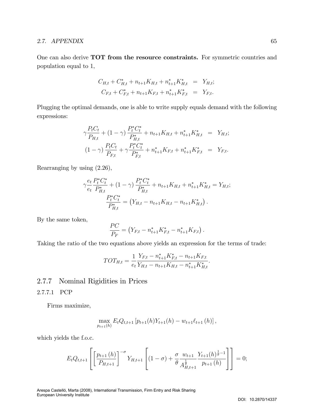One can also derive TOT from the resource constraints. For symmetric countries and population equal to 1,

$$
C_{H,t} + C_{H,t}^* + n_{t+1}K_{H,t} + n_{t+1}^*K_{H,t}^* = Y_{H,t};
$$
  

$$
C_{F,t} + C_{F,t}^* + n_{t+1}K_{F,t} + n_{t+1}^*K_{F,t}^* = Y_{F,t}.
$$

Plugging the optimal demands, one is able to write supply equals demand with the following expressions:

$$
\gamma \frac{P_t C_t}{P_{H,t}} + (1 - \gamma) \frac{P_t^* C_t^*}{P_{H,t}^*} + n_{t+1} K_{H,t} + n_{t+1}^* K_{H,t}^* = Y_{H,t};
$$
  

$$
(1 - \gamma) \frac{P_t C_t}{P_{F,t}} + \gamma \frac{P_t^* C_t^*}{P_{F,t}^*} + n_{t+1}^* K_{F,t} + n_{t+1}^* K_{F,t}^* = Y_{F,t}.
$$

Rearranging by using (2.26),

$$
\gamma \frac{e_t}{e_t} \frac{P_t^* C_t^*}{P_{H,t}^*} + (1 - \gamma) \frac{P_t^* C_t^*}{P_{H,t}^*} + n_{t+1} K_{H,t} + n_{t+1}^* K_{H,t}^* = Y_{H,t};
$$
  

$$
\frac{P_t^* C_t^*}{P_{H,t}^*} = (Y_{H,t} - n_{t+1} K_{H,t} - n_{t+1} K_{H,t}^*).
$$

By the same token,

$$
\frac{PC}{P_F} = (Y_{F,t} - n_{t+1}^* K_{F,t}^* - n_{t+1}^* K_{F,t}).
$$

Taking the ratio of the two equations above yields an expression for the terms of trade:

$$
TOT_{H,t} = \frac{1}{e_t} \frac{Y_{F,t} - n_{t+1}^* K_{F,t}^* - n_{t+1} K_{F,t}}{Y_{H,t} - n_{t+1} K_{H,t} - n_{t+1}^* K_{H,t}^*}.
$$

## 2.7.7 Nominal Rigidities in Prices

## 2.7.7.1 PCP

Firms maximize,

$$
\max_{p_{t+1}(h)} E_t Q_{t,t+1} [p_{t+1}(h)Y_{t+1}(h) - w_{t+1} \ell_{t+1}(h)],
$$

which yields the f.o.c.

$$
E_t Q_{t,t+1} \left[ \left[ \frac{p_{t+1}(h)}{P_{H,t+1}} \right]^{-\sigma} Y_{H,t+1} \left[ (1-\sigma) + \frac{\sigma}{\theta} \frac{w_{t+1}}{A_{H,t+1}^{\frac{1}{\theta}}} \frac{Y_{t+1}(h)^{\frac{1}{\theta}-1}}{p_{t+1}(h)} \right] \right] = 0;
$$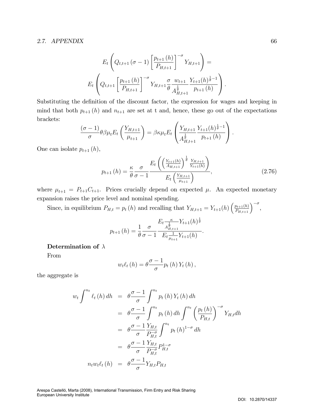$$
E_t \left( Q_{t,t+1} \left( \sigma - 1 \right) \left[ \frac{p_{t+1} \left( h \right)}{P_{H,t+1}} \right]^{-\sigma} Y_{H,t+1} \right) =
$$
  

$$
E_t \left( Q_{t,t+1} \left[ \frac{p_{t+1} \left( h \right)}{P_{H,t+1}} \right]^{-\sigma} Y_{H,t+1} \frac{\sigma}{\theta} \frac{w_{t+1}}{A_{H,t+1}^{\frac{1}{\theta}}} \frac{Y_{t+1} \left( h \right)^{\frac{1}{\theta}-1}}{P_{t+1} \left( h \right)} \right).
$$

Substituting the definition of the discount factor, the expression for wages and keeping in mind that both  $p_{t+1}(h)$  and  $n_{t+1}$  are set at t and, hence, these go out of the expectations brackets:

$$
\frac{(\sigma - 1)}{\sigma} \theta \beta \mu_t E_t \left( \frac{Y_{H,t+1}}{\mu_{t+1}} \right) = \beta \kappa \mu_t E_t \left( \frac{Y_{H,t+1}}{A_{H,t+1}^{\frac{1}{\theta}} \frac{Y_{t+1}(h)^{\frac{1}{\theta}-1}}{p_{t+1}(h)} \right).
$$

One can isolate  $p_{t+1}(h)$ ,

$$
p_{t+1}(h) = \frac{\kappa}{\theta} \frac{\sigma}{\sigma - 1} \frac{E_t \left( \left( \frac{Y_{t+1}(h)}{A_{H,t+1}} \right)^{\frac{1}{\theta}} \frac{Y_{H,t+1}}{Y_{t+1}(h)} \right)}{E_t \left( \frac{Y_{H,t+1}}{\mu_{t+1}} \right)},
$$
(2.76)

where  $\mu_{t+1} = P_{t+1}C_{t+1}$ . Prices crucially depend on expected  $\mu$ . An expected monetary expansion raises the price level and nominal spending.

Since, in equilibrium  $P_{H,t} = p_t(h)$  and recalling that  $Y_{H,t+1} = Y_{t+1}(h) \left(\frac{p_{t+1}(h)}{P_{H,t+1}}\right)^{-\sigma}$ ,

$$
p_{t+1}(h) = \frac{1}{\theta} \frac{\sigma}{\sigma - 1} \frac{E_t \frac{\kappa}{A_{H,t+1}^{\frac{1}{\theta}}}}{E_t \frac{1}{\mu_{t+1}} Y_{t+1}(h)}.
$$

#### Determination of  $\lambda$

From

$$
w_t \ell_t(h) = \theta \frac{\sigma - 1}{\sigma} p_t(h) Y_t(h),
$$

the aggregate is

$$
w_t \int^{n_t} \ell_t(h) dh = \theta \frac{\sigma - 1}{\sigma} \int^{n_t} p_t(h) Y_t(h) dh
$$
  

$$
= \theta \frac{\sigma - 1}{\sigma} \int^{n_t} p_t(h) dh \int^{n_t} \left(\frac{p_t(h)}{P_{H,t}}\right)^{-\sigma} Y_{H,t} dh
$$
  

$$
= \theta \frac{\sigma - 1}{\sigma} \frac{Y_{H,t}}{P_{H,t}^{-\sigma}} \int^{n_t} p_t(h)^{1-\sigma} dh
$$
  

$$
= \theta \frac{\sigma - 1}{\sigma} \frac{Y_{H,t}}{P_{H,t}^{-\sigma}} P_{H,t}^{1-\sigma}
$$
  

$$
n_t w_t \ell_t(h) = \theta \frac{\sigma - 1}{\sigma} Y_{H,t} P_{H,t}
$$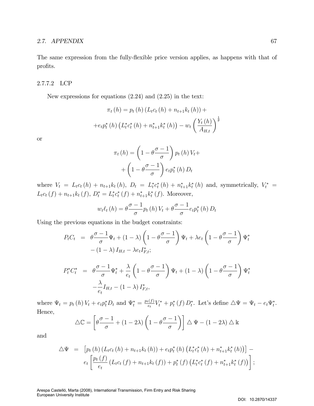The same expression from the fully-flexible price version applies, as happens with that of profits.

## 2.7.7.2 LCP

New expressions for equations (2.24) and (2.25) in the text:

$$
\pi_t(h) = p_t(h) (L_t c_t(h) + n_{t+1} k_t(h)) +
$$
  
+ 
$$
+ e_t p_t^*(h) (L_t^* c_t^*(h) + n_{t+1}^* k_t^*(h)) - w_t \left(\frac{Y_t(h)}{A_{H,t}}\right)^{\frac{1}{\theta}}
$$

or

$$
\pi_t(h) = \left(1 - \theta \frac{\sigma - 1}{\sigma}\right) p_t(h) V_t + \left(1 - \theta \frac{\sigma - 1}{\sigma}\right) e_t p_t^*(h) D_t
$$

where  $V_t = L_t c_t(h) + n_{t+1} k_t(h)$ ,  $D_t = L_t^* c_t^* (h) + n_{t+1}^* k_t^* (h)$  and, symmetrically,  $V_t^* =$  $L_t c_t(f) + n_{t+1} k_t(f), D_t^* = L_t^* c_t^* (f) + n_{t+1}^* k_t^* (f).$  Moreover,

$$
w_t \ell_t(h) = \theta \frac{\sigma - 1}{\sigma} p_t(h) V_t + \theta \frac{\sigma - 1}{\sigma} e_t p_t^*(h) D_t
$$

Using the previous equations in the budget constraints:

$$
P_t C_t = \theta \frac{\sigma - 1}{\sigma} \Psi_t + (1 - \lambda) \left( 1 - \theta \frac{\sigma - 1}{\sigma} \right) \Psi_t + \lambda e_t \left( 1 - \theta \frac{\sigma - 1}{\sigma} \right) \Psi_t^*
$$

$$
- (1 - \lambda) I_{H,t} - \lambda e_t I_{F,t}^*;
$$

$$
P_t^* C_t^* = \theta \frac{\sigma - 1}{\sigma} \Psi_t^* + \frac{\lambda}{e_t} \left( 1 - \theta \frac{\sigma - 1}{\sigma} \right) \Psi_t + (1 - \lambda) \left( 1 - \theta \frac{\sigma - 1}{\sigma} \right) \Psi_t^* - \frac{\lambda}{e_t} I_{H,t} - (1 - \lambda) I_{F,t}^*,
$$

where  $\Psi_t = p_t(h) V_t + e_t p_t^* D_t$  and  $\Psi_t^* = \frac{p_t(f)}{e_t}$  $\sum_{e_t}^{(\mathbf{U})} V_t^* + p_t^* (f) D_t^*.$  Let's define  $\Delta \Psi = \Psi_t - e_t \Psi_t^*.$ Hence,

$$
\triangle \mathbb{C} = \left[ \theta \frac{\sigma - 1}{\sigma} + (1 - 2\lambda) \left( 1 - \theta \frac{\sigma - 1}{\sigma} \right) \right] \triangle \Psi - (1 - 2\lambda) \triangle \mathbb{k}
$$

and

$$
\Delta \Psi = \left[ p_t(h) \left( L_t c_t(h) + n_{t+1} k_t(h) \right) + e_t p_t^*(h) \left( L_t^* c_t^*(h) + n_{t+1}^* k_t^*(h) \right) \right] -
$$
  

$$
e_t \left[ \frac{p_t(f)}{e_t} \left( L_t c_t(f) + n_{t+1} k_t(f) \right) + p_t^*(f) \left( L_t^* c_t^*(f) + n_{t+1}^* k_t^*(f) \right) \right];
$$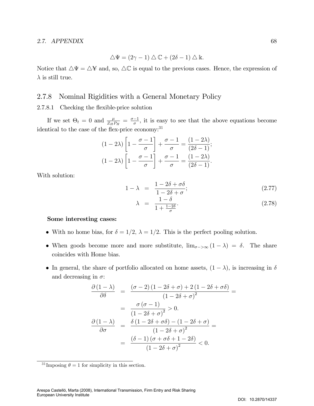$$
\triangle \Psi = (2\gamma - 1) \triangle \mathbb{C} + (2\delta - 1) \triangle \mathbb{k}.
$$

Notice that  $\Delta \Psi = \Delta \Psi$  and, so,  $\Delta \mathbb{C}$  is equal to the previous cases. Hence, the expression of  $\lambda$  is still true.

## 2.7.8 Nominal Rigidities with a General Monetary Policy

## 2.7.8.1 Checking the flexible-price solution

If we set  $\Theta_t = 0$  and  $\frac{\mu}{Z_H P_H} = \frac{\sigma - 1}{\sigma}$ , it is easy to see that the above equations become identical to the case of the flex-price economy: $31$ 

$$
(1 - 2\lambda) \left[ 1 - \frac{\sigma - 1}{\sigma} \right] + \frac{\sigma - 1}{\sigma} = \frac{(1 - 2\lambda)}{(2\delta - 1)};
$$

$$
(1 - 2\lambda) \left[ 1 - \frac{\sigma - 1}{\sigma} \right] + \frac{\sigma - 1}{\sigma} = \frac{(1 - 2\lambda)}{(2\delta - 1)}.
$$

With solution:

$$
1 - \lambda = \frac{1 - 2\delta + \sigma\delta}{1 - 2\delta + \sigma};\tag{2.77}
$$

$$
\lambda = \frac{1 - \delta}{1 + \frac{1 - 2\delta}{\sigma}}.\tag{2.78}
$$

#### Some interesting cases:

- With no home bias, for  $\delta = 1/2$ ,  $\lambda = 1/2$ . This is the perfect pooling solution.
- When goods become more and more substitute,  $\lim_{\sigma \to \infty} (1 \lambda) = \delta$ . The share coincides with Home bias.
- In general, the share of portfolio allocated on home assets,  $(1 \lambda)$ , is increasing in  $\delta$ and decreasing in  $\sigma$ :

$$
\frac{\partial (1 - \lambda)}{\partial \delta} = \frac{(\sigma - 2)(1 - 2\delta + \sigma) + 2(1 - 2\delta + \sigma\delta)}{(1 - 2\delta + \sigma)^2} =
$$

$$
= \frac{\sigma (\sigma - 1)}{(1 - 2\delta + \sigma)^2} > 0.
$$

$$
\frac{\partial (1 - \lambda)}{\partial \sigma} = \frac{\delta (1 - 2\delta + \sigma\delta) - (1 - 2\delta + \sigma)}{(1 - 2\delta + \sigma)^2} =
$$

$$
= \frac{(\delta - 1)(\sigma + \sigma\delta + 1 - 2\delta)}{(1 - 2\delta + \sigma)^2} < 0.
$$

<sup>&</sup>lt;sup>31</sup> Imposing  $\theta = 1$  for simplicity in this section.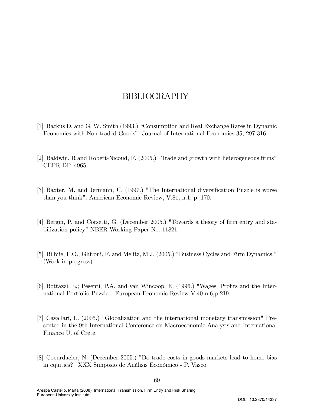# BIBLIOGRAPHY

- [1] Backus D. and G. W. Smith (1993.) "Consumption and Real Exchange Rates in Dynamic Economies with Non-traded Goodsî. Journal of International Economics 35, 297-316.
- [2] Baldwin, R and Robert-Nicoud, F. (2005.) "Trade and growth with heterogeneous firms" CEPR DP. 4965.
- [3] Baxter, M. and Jermann, U. (1997.) "The International diversification Puzzle is worse than you think". American Economic Review, V.81, n.1, p. 170.
- [4] Bergin, P. and Corsetti, G. (December 2005.) "Towards a theory of firm entry and stabilization policy" NBER Working Paper No. 11821
- [5] Bilbiie, F.O.; Ghironi, F. and Melitz, M.J. (2005.) "Business Cycles and Firm Dynamics." (Work in progress)
- [6] Bottazzi, L.; Pesenti, P.A. and van Wincoop, E. (1996.) "Wages, Profits and the International Portfolio Puzzle." European Economic Review V.40 n.6,p 219.
- [7] Cavallari, L. (2005.) "Globalization and the international monetary transmission" Presented in the 9th International Conference on Macroeconomic Analysis and International Finance U. of Crete.
- [8] Coeurdacier, N. (December 2005.) "Do trade costs in goods markets lead to home bias in equities?" XXX Simposio de Análisis Económico - P. Vasco.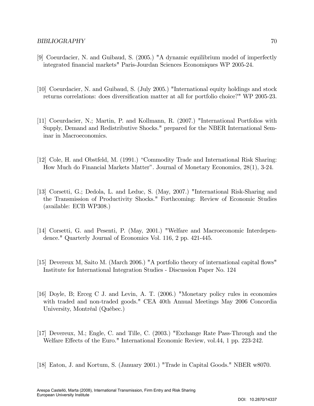- [9] Coeurdacier, N. and Guibaud, S. (2005.) "A dynamic equilibrium model of imperfectly integrated Önancial markets" Paris-Jourdan Sciences Economiques WP 2005-24.
- [10] Coeurdacier, N. and Guibaud, S. (July 2005.) "International equity holdings and stock returns correlations: does diversification matter at all for portfolio choice?" WP 2005-23.
- [11] Coeurdacier, N.; Martin, P. and Kollmann, R. (2007.) "International Portfolios with Supply, Demand and Redistributive Shocks." prepared for the NBER International Seminar in Macroeconomics.
- [12] Cole, H. and Obstfeld, M. (1991.) "Commodity Trade and International Risk Sharing: How Much do Financial Markets Matterî. Journal of Monetary Economics, 28(1), 3-24.
- [13] Corsetti, G.; Dedola, L. and Leduc, S. (May, 2007.) "International Risk-Sharing and the Transmission of Productivity Shocks." Forthcoming: Review of Economic Studies (available: ECB WP308.)
- [14] Corsetti, G. and Pesenti, P. (May, 2001.) "Welfare and Macroeconomic Interdependence." Quarterly Journal of Economics Vol. 116, 2 pp. 421-445.
- [15] Devereux M, Saito M. (March 2006.) "A portfolio theory of international capital flows" Institute for International Integration Studies - Discussion Paper No. 124
- [16] Doyle, B; Erceg C J. and Levin, A. T. (2006.) "Monetary policy rules in economies with traded and non-traded goods." CEA 40th Annual Meetings May 2006 Concordia University, Montréal (Québec.)
- [17] Devereux, M.; Engle, C. and Tille, C. (2003.) "Exchange Rate Pass-Through and the Welfare Effects of the Euro." International Economic Review, vol.44, 1 pp. 223-242.
- [18] Eaton, J. and Kortum, S. (January 2001.) "Trade in Capital Goods." NBER w8070.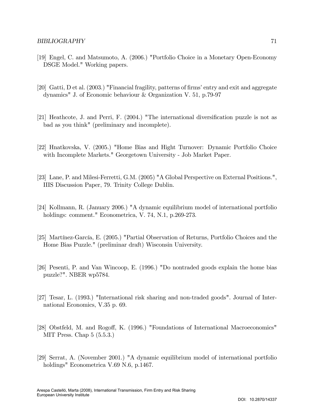- [19] Engel, C. and Matsumoto, A. (2006.) "Portfolio Choice in a Monetary Open-Economy DSGE Model." Working papers.
- [20] Gatti, D et al. (2003.) "Financial fragility, patterns of firms' entry and exit and aggregate dynamics" J. of Economic behaviour & Organization V. 51, p.79-97
- $[21]$  Heathcote, J. and Perri, F.  $(2004)$  "The international diversification puzzle is not as bad as you think" (preliminary and incomplete).
- [22] Hnatkovska, V. (2005.) "Home Bias and Hight Turnover: Dynamic Portfolio Choice with Incomplete Markets." Georgetown University - Job Market Paper.
- [23] Lane, P. and Milesi-Ferretti, G.M. (2005) "A Global Perspective on External Positions.", IIIS Discussion Paper, 79. Trinity College Dublin.
- [24] Kollmann, R. (January 2006.) "A dynamic equilibrium model of international portfolio holdings: comment." Econometrica, V. 74, N.1, p.269-273.
- [25] Martínez-García, E. (2005.) "Partial Observation of Returns, Portfolio Choices and the Home Bias Puzzle." (preliminar draft) Wisconsin University.
- [26] Pesenti, P. and Van Wincoop, E. (1996.) "Do nontraded goods explain the home bias puzzle?". NBER wp5784.
- [27] Tesar, L. (1993.) "International risk sharing and non-traded goods". Journal of International Economics, V.35 p. 69.
- [28] Obstfeld, M. and Rogoff, K. (1996.) "Foundations of International Macroeconomics" MIT Press. Chap 5 (5.5.3.)
- [29] Serrat, A. (November 2001.) "A dynamic equilibrium model of international portfolio holdings" Econometrica V.69 N.6, p.1467.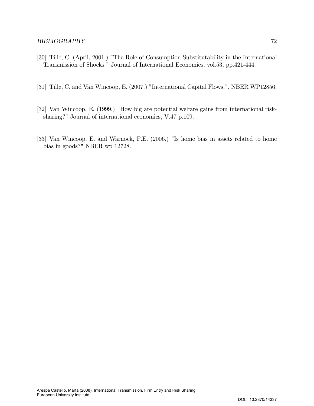- [30] Tille, C. (April, 2001.) "The Role of Consumption Substitutability in the International Transmission of Shocks." Journal of International Economics, vol.53, pp.421-444.
- [31] Tille, C. and Van Wincoop, E. (2007.) "International Capital Flows.", NBER WP12856.
- [32] Van Wincoop, E. (1999.) "How big are potential welfare gains from international risksharing?" Journal of international economics, V.47 p.109.
- [33] Van Wincoop, E. and Warnock, F.E. (2006.) "Is home bias in assets related to home bias in goods?" NBER wp 12728.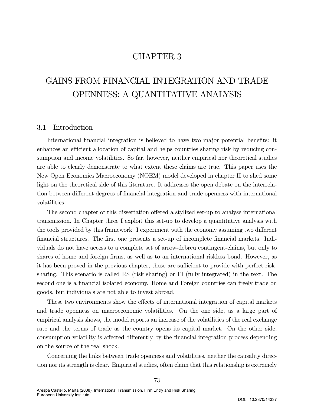## CHAPTER 3

# GAINS FROM FINANCIAL INTEGRATION AND TRADE OPENNESS: A QUANTITATIVE ANALYSIS

## 3.1 Introduction

International financial integration is believed to have two major potential benefits: it enhances an efficient allocation of capital and helps countries sharing risk by reducing consumption and income volatilities. So far, however, neither empirical nor theoretical studies are able to clearly demonstrate to what extent these claims are true. This paper uses the New Open Economics Macroeconomy (NOEM) model developed in chapter II to shed some light on the theoretical side of this literature. It addresses the open debate on the interrelation between different degrees of financial integration and trade openness with international volatilities.

The second chapter of this dissertation offered a stylized set-up to analyse international transmission. In Chapter three I exploit this set-up to develop a quantitative analysis with the tools provided by this framework. I experiment with the economy assuming two different Önancial structures. The Örst one presents a set-up of incomplete Önancial markets. Individuals do not have access to a complete set of arrow-debreu contingent-claims, but only to shares of home and foreign firms, as well as to an international riskless bond. However, as it has been proved in the previous chapter, these are sufficient to provide with perfect-risksharing. This scenario is called RS (risk sharing) or FI (fully integrated) in the text. The second one is a financial isolated economy. Home and Foreign countries can freely trade on goods, but individuals are not able to invest abroad.

These two environments show the effects of international integration of capital markets and trade openness on macroeconomic volatilities. On the one side, as a large part of empirical analysis shows, the model reports an increase of the volatilities of the real exchange rate and the terms of trade as the country opens its capital market. On the other side, consumption volatility is affected differently by the financial integration process depending on the source of the real shock.

Concerning the links between trade openness and volatilities, neither the causality direction nor its strength is clear. Empirical studies, often claim that this relationship is extremely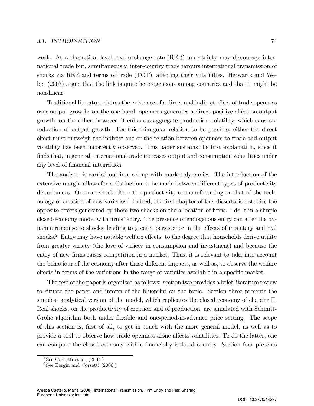#### 3.1. INTRODUCTION 74

weak. At a theoretical level, real exchange rate (RER) uncertainty may discourage international trade but, simultaneously, inter-country trade favours international transmission of shocks via RER and terms of trade  $(TOT)$ , affecting their volatilities. Herwartz and Weber (2007) argue that the link is quite heterogeneous among countries and that it might be non-linear.

Traditional literature claims the existence of a direct and indirect effect of trade openness over output growth: on the one hand, openness generates a direct positive effect on output growth; on the other, however, it enhances aggregate production volatility, which causes a reduction of output growth. For this triangular relation to be possible, either the direct effect must outweigh the indirect one or the relation between openness to trade and output volatility has been incorrectly observed. This paper sustains the Örst explanation, since it finds that, in general, international trade increases output and consumption volatilities under any level of financial integration.

The analysis is carried out in a set-up with market dynamics. The introduction of the extensive margin allows for a distinction to be made between different types of productivity disturbances. One can shock either the productivity of manufacturing or that of the technology of creation of new varieties.<sup>1</sup> Indeed, the first chapter of this dissertation studies the opposite effects generated by these two shocks on the allocation of firms. I do it in a simple closed-economy model with firms' entry. The presence of endogenous entry can alter the dynamic response to shocks, leading to greater persistence in the effects of monetary and real shocks.<sup>2</sup> Entry may have notable welfare effects, to the degree that households derive utility from greater variety (the love of variety in consumption and investment) and because the entry of new firms raises competition in a market. Thus, it is relevant to take into account the behaviour of the economy after these different impacts, as well as, to observe the welfare effects in terms of the variations in the range of varieties available in a specific market.

The rest of the paper is organized as follows: section two provides a brief literature review to situate the paper and inform of the blueprint on the topic. Section three presents the simplest analytical version of the model, which replicates the closed economy of chapter II. Real shocks, on the productivity of creation and of production, are simulated with Schmitt-Grohé algorithm both under flexible and one-period-in-advance price setting. The scope of this section is, Örst of all, to get in touch with the more general model, as well as to provide a tool to observe how trade openness alone affects volatilities. To do the latter, one can compare the closed economy with a financially isolated country. Section four presents

<sup>&</sup>lt;sup>1</sup>See Corsetti et al.  $(2004.)$ 

<sup>&</sup>lt;sup>2</sup>See Bergin and Corsetti  $(2006.)$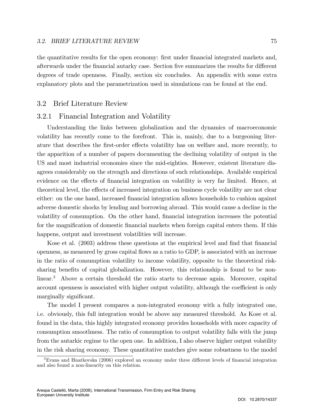the quantitative results for the open economy: first under financial integrated markets and, afterwards under the financial autarky case. Section five summarizes the results for different degrees of trade openness. Finally, section six concludes. An appendix with some extra explanatory plots and the parametrization used in simulations can be found at the end.

## 3.2 Brief Literature Review

## 3.2.1 Financial Integration and Volatility

Understanding the links between globalization and the dynamics of macroeconomic volatility has recently come to the forefront. This is, mainly, due to a burgeoning literature that describes the first-order effects volatility has on welfare and, more recently, to the apparition of a number of papers documenting the declining volatility of output in the US and most industrial economies since the mid-eighties. However, existent literature disagrees considerably on the strength and directions of such relationships. Available empirical evidence on the effects of financial integration on volatility is very far limited. Hence, at theoretical level, the effects of increased integration on business cycle volatility are not clear either: on the one hand, increased financial integration allows households to cushion against adverse domestic shocks by lending and borrowing abroad. This would cause a decline in the volatility of consumption. On the other hand, financial integration increases the potential for the magnification of domestic financial markets when foreign capital enters them. If this happens, output and investment volatilities will increase.

Kose et al. (2003) address these questions at the empirical level and find that financial openness, as measured by gross capital áows as a ratio to GDP, is associated with an increase in the ratio of consumption volatility to income volatility, opposite to the theoretical risksharing benefits of capital globalization. However, this relationship is found to be nonlinear.<sup>3</sup> Above a certain threshold the ratio starts to decrease again. Moreover, capital account openness is associated with higher output volatility, although the coefficient is only marginally significant.

The model I present compares a non-integrated economy with a fully integrated one, i.e. obviously, this full integration would be above any measured threshold. As Kose et al. found in the data, this highly integrated economy provides households with more capacity of consumption smoothness. The ratio of consumption to output volatility falls with the jump from the autarkic regime to the open one. In addition, I also observe higher output volatility in the risk sharing economy. These quantitative matches give some robustness to the model

<sup>&</sup>lt;sup>3</sup>Evans and Hnatkovska (2006) explored an economy under three different levels of financial integration and also found a non-linearity on this relation.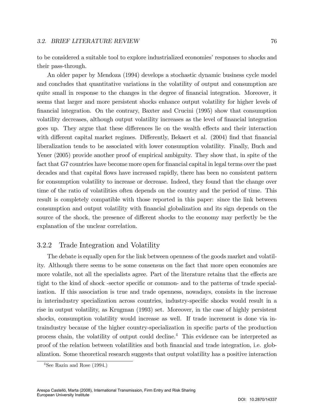to be considered a suitable tool to explore industrialized economies' responses to shocks and their pass-through.

An older paper by Mendoza (1994) develops a stochastic dynamic business cycle model and concludes that quantitative variations in the volatility of output and consumption are quite small in response to the changes in the degree of financial integration. Moreover, it seems that larger and more persistent shocks enhance output volatility for higher levels of Önancial integration. On the contrary, Baxter and Crucini (1995) show that consumption volatility decreases, although output volatility increases as the level of financial integration goes up. They argue that these differences lie on the wealth effects and their interaction with different capital market regimes. Differently, Bekaert et al. (2004) find that financial liberalization tends to be associated with lower consumption volatility. Finally, Buch and Yener (2005) provide another proof of empirical ambiguity. They show that, in spite of the fact that G7 countries have become more open for financial capital in legal terms over the past decades and that capital áows have increased rapidly, there has been no consistent pattern for consumption volatility to increase or decrease. Indeed, they found that the change over time of the ratio of volatilities often depends on the country and the period of time. This result is completely compatible with those reported in this paper: since the link between consumption and output volatility with Önancial globalization and its sign depends on the source of the shock, the presence of different shocks to the economy may perfectly be the explanation of the unclear correlation.

## 3.2.2 Trade Integration and Volatility

The debate is equally open for the link between openness of the goods market and volatility. Although there seems to be some consensus on the fact that more open economies are more volatile, not all the specialists agree. Part of the literature retains that the effects are tight to the kind of shock -sector specific or common- and to the patterns of trade specialization. If this association is true and trade openness, nowadays, consists in the increase in interindustry specialization across countries, industry-specific shocks would result in a rise in output volatility, as Krugman (1993) set. Moreover, in the case of highly persistent shocks, consumption volatility would increase as well. If trade increment is done via intraindustry because of the higher country-specialization in specific parts of the production process chain, the volatility of output could decline.<sup>4</sup> This evidence can be interpreted as proof of the relation between volatilities and both Önancial and trade integration, i.e. globalization. Some theoretical research suggests that output volatility has a positive interaction

 $^4{\rm{See}}$  Razin and Rose (1994.)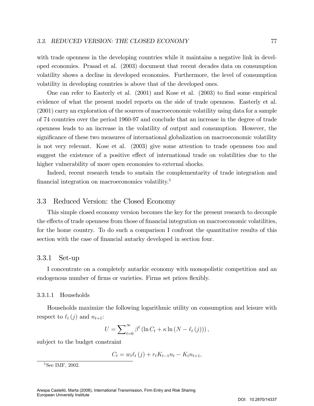with trade openness in the developing countries while it maintains a negative link in developed economies. Prasad et al. (2003) document that recent decades data on consumption volatility shows a decline in developed economies. Furthermore, the level of consumption volatility in developing countries is above that of the developed ones.

One can refer to Easterly et al. (2001) and Kose et al. (2003) to find some empirical evidence of what the present model reports on the side of trade openness. Easterly et al. (2001) carry an exploration of the sources of macroeconomic volatility using data for a sample of 74 countries over the period 1960-97 and conclude that an increase in the degree of trade openness leads to an increase in the volatility of output and consumption. However, the significance of these two measures of international globalization on macroeconomic volatility is not very relevant. Kose et al. (2003) give some attention to trade openness too and suggest the existence of a positive effect of international trade on volatilities due to the higher vulnerability of more open economies to external shocks.

Indeed, recent research tends to sustain the complementarity of trade integration and financial integration on macroeconomics volatility.<sup>5</sup>

## 3.3 Reduced Version: the Closed Economy

This simple closed economy version becomes the key for the present research to decouple the effects of trade openness from those of financial integration on macroeconomic volatilities, for the home country. To do such a comparison I confront the quantitative results of this section with the case of financial autarky developed in section four.

## 3.3.1 Set-up

I concentrate on a completely autarkic economy with monopolistic competition and an endogenous number of firms or varieties. Firms set prices flexibly.

#### 3.3.1.1 Households

Households maximize the following logarithmic utility on consumption and leisure with respect to  $\ell_t (j)$  and  $n_{t+1}$ :

$$
U = \sum_{t=0}^{\infty} \beta^t \left( \ln C_t + \kappa \ln \left( N - \ell_t \left( j \right) \right) \right),
$$

subject to the budget constraint

$$
C_t = w_t \ell_t(j) + r_t K_{t-1} n_t - K_t n_{t+1},
$$

<sup>&</sup>lt;sup>5</sup>See IMF, 2002.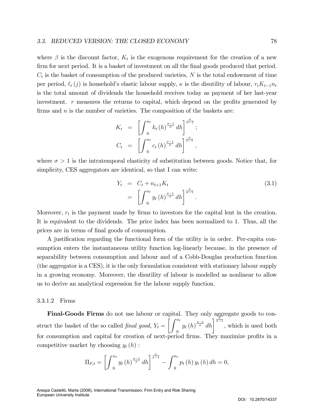where  $\beta$  is the discount factor,  $K_t$  is the exogenous requirement for the creation of a new firm for next period. It is a basket of investment on all the final goods produced that period.  $C_t$  is the basket of consumption of the produced varieties, N is the total endowment of time per period,  $\ell_t(j)$  is household's elastic labour supply,  $\kappa$  is the disutility of labour,  $r_tK_{t-1}n_t$ is the total amount of dividends the household receives today as payment of her last-year investment.  $r$  measures the returns to capital, which depend on the profits generated by firms and  $n$  is the number of varieties. The composition of the baskets are:

$$
K_t = \left[ \int_0^{n_t} k_t(h)^{\frac{\sigma-1}{\sigma}} dh \right]^{\frac{\sigma}{\sigma-1}};
$$
  

$$
C_t = \left[ \int_0^{n_t} c_t(h)^{\frac{\sigma-1}{\sigma}} dh \right]^{\frac{\sigma}{\sigma-1}},
$$

where  $\sigma > 1$  is the intratemporal elasticity of substitution between goods. Notice that, for simplicity, CES aggregators are identical, so that I can write:

$$
Y_t = C_t + n_{t+1} K_t
$$
  
=  $\left[ \int_0^{n_t} y_t (h)^{\frac{\sigma - 1}{\sigma}} dh \right]^{\frac{\sigma}{\sigma - 1}}$ . (3.1)

Moreover,  $r_t$  is the payment made by firms to investors for the capital lent in the creation. It is equivalent to the dividends. The price index has been normalized to 1. Thus, all the prices are in terms of final goods of consumption.

A justification regarding the functional form of the utility is in order. Per-capita consumption enters the instantaneous utility function log-linearly because, in the presence of separability between consumption and labour and of a Cobb-Douglas production function (the aggregator is a CES), it is the only formulation consistent with stationary labour supply in a growing economy. Moreover, the disutility of labour is modelled as nonlinear to allow us to derive an analytical expression for the labour supply function.

#### 3.3.1.2 Firms

Final-Goods Firms do not use labour or capital. They only aggregate goods to construct the basket of the so called *final good*,  $Y_t =$  $\int f^{n_t}$  $\overline{0}$  $y_t(h)^{\frac{\sigma-1}{\sigma}}$  $\frac{1}{\sigma}$  dh  $\frac{d}{\sigma-1}$ , which is used both for consumption and capital for creation of next-period firms. They maximize profits in a competitive market by choosing  $y_t(h)$ :

$$
\Pi_{F,t} = \left[ \int_0^{n_t} y_t(h)^{\frac{\sigma-1}{\sigma}} dh \right]^{\frac{\sigma}{\sigma-1}} - \int_0^{n_t} p_t(h) y_t(h) dh = 0,
$$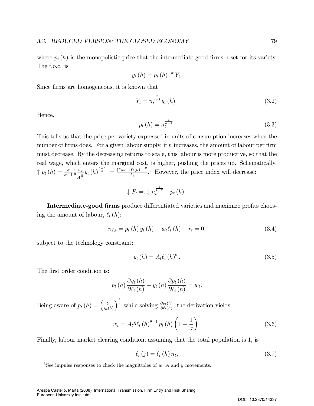where  $p_t(h)$  is the monopolistic price that the intermediate-good firms h set for its variety. The f.o.c. is

$$
y_t(h) = p_t(h)^{-\sigma} Y_t.
$$

Since firms are homogeneous, it is known that

$$
Y_t = n_t^{\frac{\sigma}{\sigma - 1}} y_t \left( h \right). \tag{3.2}
$$

Hence,

$$
p_t(h) = n_t^{\frac{1}{\sigma - 1}}.
$$
\n(3.3)

This tells us that the price per variety expressed in units of consumption increases when the number of firms does. For a given labour supply, if  $n$  increases, the amount of labour per firm must decrease. By the decreasing returns to scale, this labour is more productive, so that the real wage, which enters the marginal cost, is higher, pushing the prices up. Schematically,  $\uparrow p_t(h) = \frac{\sigma}{\sigma - 1}$ 1  $\theta$  $w_t$  $A_t^{\frac{1}{\theta}}$  $y_t\left(h\right)^{\frac{1-\theta}{\theta}}=\frac{\uparrow \uparrow w_t~~\downarrow \ell_t(h)^{1-\theta}}{A_t}$  $\frac{\mu_t(h)^{1-\nu}}{A_t}$ <sup>6</sup> However, the price index will decrease:

$$
\downarrow P_t = \downarrow \downarrow n_t^{\frac{1}{1-\sigma}} \uparrow p_t(h).
$$

Intermediate-good firms produce differentiated varieties and maximize profits choosing the amount of labour,  $\ell_t (h)$ :

$$
\pi_{I,t} = p_t(h) y_t(h) - w_t \ell_t(h) - r_t = 0,
$$
\n(3.4)

subject to the technology constraint:

$$
y_t(h) = A_t \ell_t(h)^{\theta}.
$$
\n(3.5)

The first order condition is:

$$
p_t(h)\frac{\partial y_t(h)}{\partial \ell_t(h)} + y_t(h)\frac{\partial p_t(h)}{\partial \ell_t(h)} = w_t.
$$

Being aware of  $p_t(h) = \left(\frac{Y_t}{u_t(l)}\right)$  $y_t(h)$  $\int_{0}^{\frac{1}{\sigma}}$  while solving  $\frac{\partial p_t(h)}{\partial \ell_t(h)}$ , the derivation yields:

$$
w_t = A_t \theta \ell_t (h)^{\theta - 1} p_t (h) \left( 1 - \frac{1}{\sigma} \right). \tag{3.6}
$$

Finally, labour market clearing condition, assuming that the total population is 1, is

$$
\ell_t(j) = \ell_t(h) n_t,\tag{3.7}
$$

<sup>&</sup>lt;sup>6</sup>See impulse responses to check the magnitudes of w, A and y movements.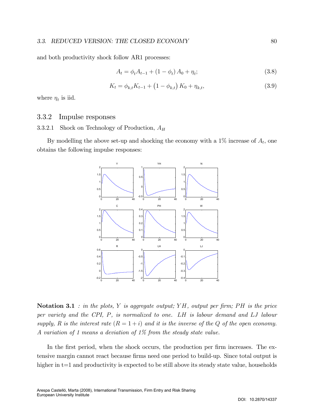and both productivity shock follow AR1 processes:

$$
A_t = \phi_t A_{t-1} + (1 - \phi_t) A_0 + \eta_t; \tag{3.8}
$$

$$
K_t = \phi_{k,t} K_{t-1} + (1 - \phi_{k,t}) K_0 + \eta_{k,t},
$$
\n(3.9)

where  $\eta_t$  is iid.

## 3.3.2 Impulse responses

## 3.3.2.1 Shock on Technology of Production,  $A_H$

By modelling the above set-up and shocking the economy with a  $1\%$  increase of  $A_t$ , one obtains the following impulse responses:



**Notation 3.1** : in the plots, Y is aggregate output; YH, output per firm; PH is the price per variety and the CPI, P, is normalized to one. LH is labour demand and LJ labour supply, R is the interest rate  $(R = 1 + i)$  and it is the inverse of the Q of the open economy. A variation of 1 means a deviation of 1% from the steady state value.

In the first period, when the shock occurs, the production per firm increases. The extensive margin cannot react because firms need one period to build-up. Since total output is higher in t=1 and productivity is expected to be still above its steady state value, households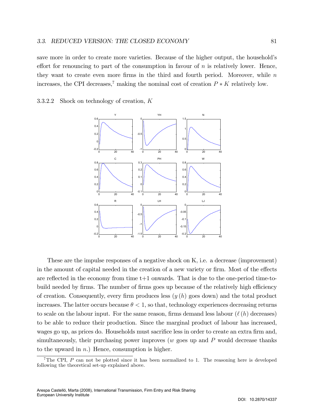save more in order to create more varieties. Because of the higher output, the household's effort for renouncing to part of the consumption in favour of  $n$  is relatively lower. Hence, they want to create even more firms in the third and fourth period. Moreover, while  $n$ increases, the CPI decreases,<sup>7</sup> making the nominal cost of creation  $P * K$  relatively low.

3.3.2.2 Shock on technology of creation, K



These are the impulse responses of a negative shock on K, i.e. a decrease (improvement) in the amount of capital needed in the creation of a new variety or firm. Most of the effects are reflected in the economy from time  $t+1$  onwards. That is due to the one-period time-tobuild needed by firms. The number of firms goes up because of the relatively high efficiency of creation. Consequently, every firm produces less  $(y(h)$  goes down) and the total product increases. The latter occurs because  $\theta < 1$ , so that, technology experiences decreasing returns to scale on the labour input. For the same reason, firms demand less labour  $(\ell(h)$  decreases) to be able to reduce their production. Since the marginal product of labour has increased, wages go up, as prices do. Households must sacrifice less in order to create an extra firm and, simultaneously, their purchasing power improves  $(w$  goes up and  $P$  would decrease thanks to the upward in  $n$ .) Hence, consumption is higher.

<sup>&</sup>lt;sup>7</sup>The CPI, P can not be plotted since it has been normalized to 1. The reasoning here is developed following the theoretical set-up explained above.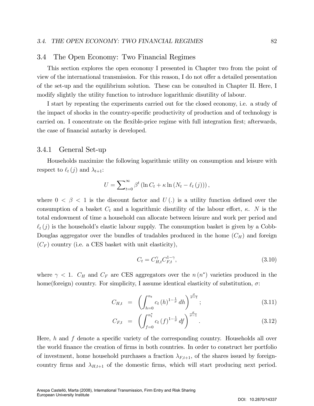#### 3.4 The Open Economy: Two Financial Regimes

This section explores the open economy I presented in Chapter two from the point of view of the international transmission. For this reason, I do not offer a detailed presentation of the set-up and the equilibrium solution. These can be consulted in Chapter II. Here, I modify slightly the utility function to introduce logarithmic disutility of labour.

I start by repeating the experiments carried out for the closed economy, i.e. a study of the impact of shocks in the country-specific productivity of production and of technology is carried on. I concentrate on the flexible-price regime with full integration first; afterwards, the case of financial autarky is developed.

## 3.4.1 General Set-up

Households maximize the following logarithmic utility on consumption and leisure with respect to  $\ell_t (j)$  and  $\lambda_{t+1}$ :

$$
U = \sum_{t=0}^{\infty} \beta^t \left( \ln C_t + \kappa \ln \left( N_t - \ell_t(j) \right) \right),
$$

where  $0 < \beta < 1$  is the discount factor and  $U(.)$  is a utility function defined over the consumption of a basket  $C_t$  and a logarithmic disutility of the labour effort,  $\kappa$ . N is the total endowment of time a household can allocate between leisure and work per period and  $\ell_t(j)$  is the household's elastic labour supply. The consumption basket is given by a Cobb-Douglas aggregator over the bundles of tradables produced in the home  $(C_H)$  and foreign  $(C_F)$  country (i.e. a CES basket with unit elasticity),

$$
C_t = C_{H,t}^{\gamma} C_{F,t}^{1-\gamma},\tag{3.10}
$$

where  $\gamma$  < 1.  $C_H$  and  $C_F$  are CES aggregators over the  $n(n^*)$  varieties produced in the home(foreign) country. For simplicity, I assume identical elasticity of substitution,  $\sigma$ :

$$
C_{H,t} = \left( \int_{h=0}^{n_t} c_t (h)^{1-\frac{1}{\sigma}} dh \right)^{\frac{\sigma}{\sigma-1}}; \tag{3.11}
$$

$$
C_{F,t} = \left( \int_{f=0}^{n_t^*} c_t (f)^{1-\frac{1}{\sigma}} df \right)^{\frac{\sigma}{\sigma-1}}.
$$
 (3.12)

Here,  $h$  and  $f$  denote a specific variety of the corresponding country. Households all over the world finance the creation of firms in both countries. In order to construct her portfolio of investment, home household purchases a fraction  $\lambda_{F,t+1}$ , of the shares issued by foreigncountry firms and  $\lambda_{H,t+1}$  of the domestic firms, which will start producing next period.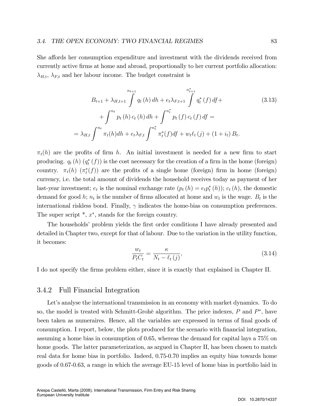She affords her consumption expenditure and investment with the dividends received from currently active Örms at home and abroad, proportionally to her current portfolio allocation:  $\lambda_{H,t}$ ,  $\lambda_{F,t}$  and her labour income. The budget constraint is

$$
B_{t+1} + \lambda_{H,t+1} \int_{t+1}^{n_{t+1}} q_t(h) \, dh + e_t \lambda_{F,t+1} \int_{t+1}^{n_{t+1}^*} q_t^*(f) \, df +
$$
\n
$$
+ \int_{t+1}^{n_t} p_t(h) \, c_t(h) \, dh + \int_{t+1}^{n_t^*} p_t(f) \, c_t(f) \, df =
$$
\n
$$
= \lambda_{H,t} \int_{t+1}^{n_t} \pi_t(h) \, dh + e_t \lambda_{F,t} \int_{t+1}^{n_t^*} \pi_t^*(f) \, df + w_t \ell_t(j) + (1 + i_t) \, B_t.
$$
\n(3.13)

 $\pi_t(h)$  are the profits of firm h. An initial investment is needed for a new firm to start producing.  $q_t(h)$   $(q_t^*(f))$  is the cost necessary for the creation of a firm in the home (foreign) country.  $\pi_t(h)$  ( $\pi_t^*(f)$ ) are the profits of a single home (foreign) firm in home (foreign) currency, i.e. the total amount of dividends the household receives today as payment of her last-year investment;  $e_t$  is the nominal exchange rate  $(p_t(h) = e_t p_t^*(h))$ ;  $c_t(h)$ , the domestic demand for good h;  $n_t$  is the number of firms allocated at home and  $w_t$  is the wage.  $B_t$  is the international riskless bond. Finally,  $\gamma$  indicates the home-bias on consumption preferences. The super script  $^*$ ,  $x^*$ , stands for the foreign country.

The households' problem yields the first order conditions I have already presented and detailed in Chapter two, except for that of labour. Due to the variation in the utility function, it becomes:

$$
\frac{w_t}{P_t C_t} = \frac{\kappa}{N_t - \ell_t(j)},\tag{3.14}
$$

I do not specify the firms problem either, since it is exactly that explained in Chapter II.

## 3.4.2 Full Financial Integration

Let's analyse the international transmission in an economy with market dynamics. To do so, the model is treated with Schmitt-Grohè algorithm. The price indexes,  $P$  and  $P^*$ , have been taken as numeraires. Hence, all the variables are expressed in terms of final goods of consumption. I report, below, the plots produced for the scenario with financial integration, assuming a home bias in consumption of 0.65, whereas the demand for capital lays a 75% on home goods. The latter parameterization, as argued in Chapter II, has been chosen to match real data for home bias in portfolio. Indeed, 0.75-0.70 implies an equity bias towards home goods of 0.67-0.63, a range in which the average EU-15 level of home bias in portfolio laid in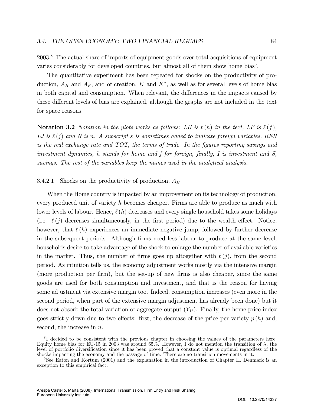2003.<sup>8</sup> The actual share of imports of equipment goods over total acquisitions of equipment varies considerably for developed countries, but almost all of them show home bias<sup>9</sup>.

The quantitative experiment has been repeated for shocks on the productivity of production,  $A_H$  and  $A_F$ , and of creation, K and  $K^*$ , as well as for several levels of home bias in both capital and consumption. When relevant, the differences in the impacts caused by these different levels of bias are explained, although the graphs are not included in the text for space reasons.

**Notation 3.2** Notation in the plots works as follows: LH is  $\ell(h)$  in the text, LF is  $\ell(f)$ , LJ is  $\ell(j)$  and N is n. A subscript s is sometimes added to indicate foreign variables, RER is the real exchange rate and TOT, the terms of trade. In the Ögures reporting savings and investment dynamics, h stands for home and f for foreign, finally, I is investment and  $S$ , savings. The rest of the variables keep the names used in the analytical analysis.

#### 3.4.2.1 Shocks on the productivity of production,  $A_H$

When the Home country is impacted by an improvement on its technology of production, every produced unit of variety h becomes cheaper. Firms are able to produce as much with lower levels of labour. Hence,  $\ell(h)$  decreases and every single household takes some holidays (i.e.  $\ell(j)$  decreases simultaneously, in the first period) due to the wealth effect. Notice, however, that  $\ell(h)$  experiences an immediate negative jump, followed by further decrease in the subsequent periods. Although firms need less labour to produce at the same level, households desire to take advantage of the shock to enlarge the number of available varieties in the market. Thus, the number of firms goes up altogether with  $\ell (j)$ , from the second period. As intuition tells us, the economy adjustment works mostly via the intensive margin (more production per firm), but the set-up of new firms is also cheaper, since the same goods are used for both consumption and investment, and that is the reason for having some adjustment via extensive margin too. Indeed, consumption increases (even more in the second period, when part of the extensive margin adjustment has already been done) but it does not absorb the total variation of aggregate output  $(Y_H)$ . Finally, the home price index goes strictly down due to two effects: first, the decrease of the price per variety  $p(h)$  and, second, the increase in  $n$ .

<sup>&</sup>lt;sup>8</sup>I decided to be consistent with the previous chapter in choosing the values of the parameters here. Equity home bias for EU-15 in 2003 was around 65%. However, I do not mention the transition of  $\lambda$ , the level of portfolio diversification since it has been proved that a constant value is optimal regardless of the shocks impacting the economy and the passage of time. There are no transition movements in it.

<sup>&</sup>lt;sup>9</sup>See Eaton and Kortum (2001) and the explanation in the introduction of Chapter II. Denmark is an exception to this empirical fact.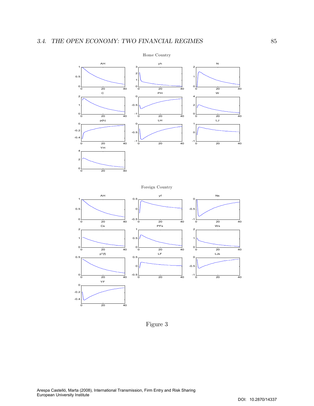

Foreign Country



Figure 3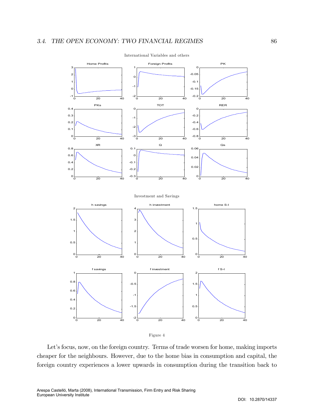

International Variables and others



Let's focus, now, on the foreign country. Terms of trade worsen for home, making imports cheaper for the neighbours. However, due to the home bias in consumption and capital, the foreign country experiences a lower upwards in consumption during the transition back to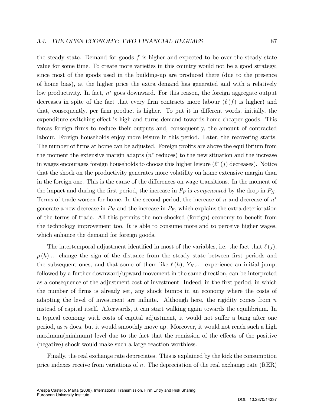the steady state. Demand for goods  $f$  is higher and expected to be over the steady state value for some time. To create more varieties in this country would not be a good strategy, since most of the goods used in the building-up are produced there (due to the presence of home bias), at the higher price the extra demand has generated and with a relatively low productivity. In fact,  $n^*$  goes downward. For this reason, the foreign aggregate output decreases in spite of the fact that every firm contracts more labour  $(\ell(f))$  is higher) and that, consequently, per firm product is higher. To put it in different words, initially, the expenditure switching effect is high and turns demand towards home cheaper goods. This forces foreign firms to reduce their outputs and, consequently, the amount of contracted labour. Foreign households enjoy more leisure in this period. Later, the recovering starts. The number of firms at home can be adjusted. Foreign profits are above the equilibrium from the moment the extensive margin adapts  $(n^*$  reduces) to the new situation and the increase in wages encourages foreign households to choose this higher leisure  $(\ell^*(j)$  decreases). Notice that the shock on the productivity generates more volatility on home extensive margin than in the foreign one. This is the cause of the differences on wage transitions. In the moment of the impact and during the first period, the increase in  $P_F$  is *compensated* by the drop in  $P_H$ . Terms of trade worsen for home. In the second period, the increase of  $n$  and decrease of  $n^*$ generate a new decrease in  $P_H$  and the increase in  $P_F$ , which explains the extra deterioration

of the terms of trade. All this permits the non-shocked (foreign) economy to benefit from the technology improvement too. It is able to consume more and to perceive higher wages, which enhance the demand for foreign goods.

The intertemporal adjustment identified in most of the variables, i.e. the fact that  $\ell(j)$ ,  $p(h)$ ... change the sign of the distance from the steady state between first periods and the subsequent ones, and that some of them like  $\ell(h)$ ,  $Y_H,...$  experience an initial jump, followed by a further downward/upward movement in the same direction, can be interpreted as a consequence of the adjustment cost of investment. Indeed, in the first period, in which the number of Örms is already set, any shock bumps in an economy where the costs of adapting the level of investment are infinite. Although here, the rigidity comes from  $n$ instead of capital itself. Afterwards, it can start walking again towards the equilibrium. In a typical economy with costs of capital adjustment, it would not suffer a bang after one period, as  $n$  does, but it would smoothly move up. Moreover, it would not reach such a high  $\text{maximum}(\text{minimum})$  level due to the fact that the remission of the effects of the positive (negative) shock would make such a large reaction worthless.

Finally, the real exchange rate depreciates. This is explained by the kick the consumption price indexes receive from variations of n. The depreciation of the real exchange rate  $(RER)$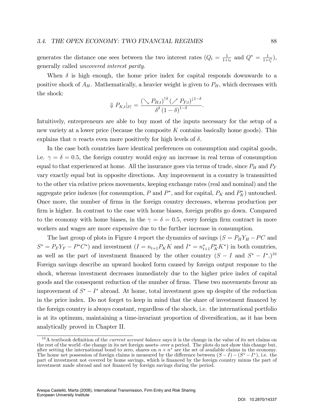generates the distance one sees between the two interest rates  $(Q_t = \frac{1}{1+t})$  $\frac{1}{1+i}$  and  $Q^* = \frac{1}{1+i}$  $\frac{1}{1+i_t^*}),$ generally called uncovered interest parity.

When  $\delta$  is high enough, the home price index for capital responds downwards to a positive shock of  $A_H$ . Mathematically, a heavier weight is given to  $P_H$ , which decreases with the shock:

$$
\Downarrow P_{K,t}|_{\delta \uparrow} = \frac{\left(\bigvee F_{H,t}\right)^{\uparrow \delta} \left(\bigwedge F_{F,t}\right)^{\downarrow 1-\delta}}{\delta^{\delta} \left(1-\delta\right)^{1-\delta}}.
$$

Intuitively, entrepreneurs are able to buy most of the inputs necessary for the setup of a new variety at a lower price (because the composite K contains basically home goods). This explains that *n* reacts even more positively for high levels of  $\delta$ .

In the case both countries have identical preferences on consumption and capital goods, i.e.  $\gamma = \delta = 0.5$ , the foreign country would enjoy an increase in real terms of consumption equal to that experienced at home. All the insurance goes via terms of trade, since  $P_H$  and  $P_F$ vary exactly equal but in opposite directions. Any improvement in a country is transmitted to the other via relative prices movements, keeping exchange rates (real and nominal) and the aggregate price indexes (for consumption, P and  $P^*$ , and for capital,  $P_K$  and  $P_K^*$ ) untouched. Once more, the number of Örms in the foreign country decreases, whereas production per firm is higher. In contrast to the case with home biases, foreign profits go down. Compared to the economy with home biases, in the  $\gamma = \delta = 0.5$ , every foreign firm contract in more workers and wages are more expensive due to the further increase in consumption.

The last group of plots in Figure 4 report the dynamics of savings  $(S = P_H Y_H - PC$  and  $S^* = P_F Y_F - P^* C^*$  and investment  $(I = n_{t+1} P_K K$  and  $I^* = n_{t+1}^* P_K^* K^*$  in both countries, as well as the part of investment financed by the other country  $(S - I \text{ and } S^* - I^*)^{10}$ Foreign savings describe an upward hooked form caused by foreign output response to the shock, whereas investment decreases immediately due to the higher price index of capital goods and the consequent reduction of the number of Örms. These two movements favour an improvement of  $S^* - I^*$  abroad. At home, total investment goes up despite of the reduction in the price index. Do not forget to keep in mind that the share of investment financed by the foreign country is always constant, regardless of the shock, i.e. the international portfolio is at its optimum, maintaining a time-invariant proportion of diversification, as it has been analytically proved in Chapter II.

 $10A$  textbook definition of the *current account balance* says it is the change in the value of its net claims on the rest of the world -the change in its net foreign assets- over a period. The plots do not show this change but, after setting the international bond to zero, shares on  $n + n^*$  are the set of available claims in the economy. The home net possession of foreign claims is measured by the difference between  $(S-I) - (S^* - I^*)$ , i.e. the part of investment not covered by home savings, which is financed by the foreign country minus the part of investment made abroad and not financed by foreign savings during the period.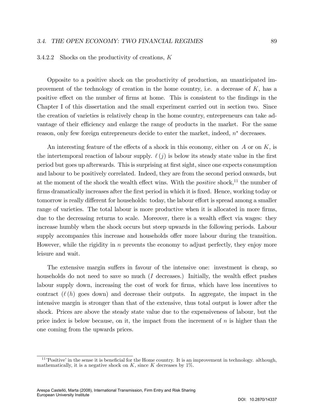#### 3.4.2.2 Shocks on the productivity of creations, K

Opposite to a positive shock on the productivity of production, an unanticipated improvement of the technology of creation in the home country, i.e. a decrease of  $K$ , has a positive effect on the number of firms at home. This is consistent to the findings in the Chapter I of this dissertation and the small experiment carried out in section two. Since the creation of varieties is relatively cheap in the home country, entrepreneurs can take advantage of their efficiency and enlarge the range of products in the market. For the same reason, only few foreign entrepreneurs decide to enter the market, indeed,  $n^*$  decreases.

An interesting feature of the effects of a shock in this economy, either on  $A$  or on  $K$ , is the intertemporal reaction of labour supply.  $\ell(j)$  is below its steady state value in the first period but goes up afterwards. This is surprising at Örst sight, since one expects consumption and labour to be positively correlated. Indeed, they are from the second period onwards, but at the moment of the shock the wealth effect wins. With the *positive* shock,<sup>11</sup> the number of firms dramatically increases after the first period in which it is fixed. Hence, working today or tomorrow is really different for households: today, the labour effort is spread among a smaller range of varieties. The total labour is more productive when it is allocated in more firms, due to the decreasing returns to scale. Moreover, there is a wealth effect via wages: they increase humbly when the shock occurs but steep upwards in the following periods. Labour supply accompanies this increase and households offer more labour during the transition. However, while the rigidity in  $n$  prevents the economy to adjust perfectly, they enjoy more leisure and wait.

The extensive margin suffers in favour of the intensive one: investment is cheap, so households do not need to save so much  $(I$  decreases.) Initially, the wealth effect pushes labour supply down, increasing the cost of work for firms, which have less incentives to contract  $(\ell(h)$  goes down) and decrease their outputs. In aggregate, the impact in the intensive margin is stronger than that of the extensive, thus total output is lower after the shock. Prices are above the steady state value due to the expensiveness of labour, but the price index is below because, on it, the impact from the increment of  $n$  is higher than the one coming from the upwards prices.

 $11$ <sup>1</sup>Positive' in the sense it is beneficial for the Home country. It is an improvement in technology. although, mathematically, it is a negative shock on K, since K decreases by  $1\%$ .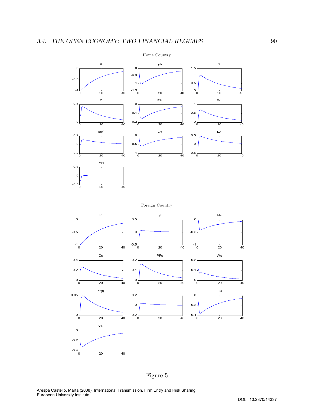

Foreign Country



Figure 5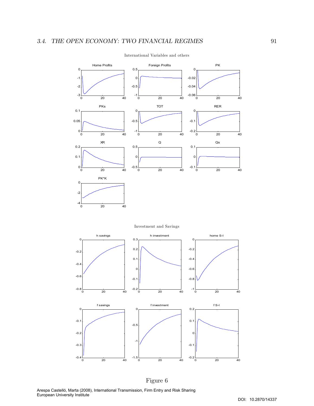

International Variables and others

Investment and Savings



Arespa Castelló, Marta (2008), International Transmission, Firm Entry and Risk Sharing European University Institute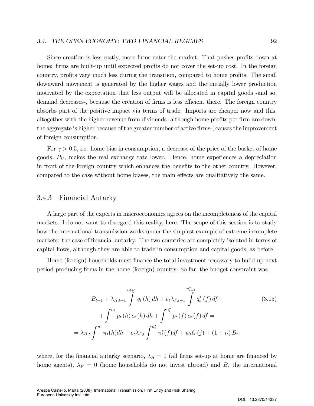Since creation is less costly, more firms enter the market. That pushes profits down at home: firms are built-up until expected profits do not cover the set-up cost. In the foreign country, profits vary much less during the transition, compared to home profits. The small downward movement is generated by the higher wages and the initially lower production motivated by the expectation that less output will be allocated in capital goods -and so, demand decreases-, because the creation of firms is less efficient there. The foreign country absorbs part of the positive impact via terms of trade. Imports are cheaper now and this, altogether with the higher revenue from dividends -although home profits per firm are down. the aggregate is higher because of the greater number of active firms-, causes the improvement of foreign consumption.

For  $\gamma > 0.5$ , i.e. home bias in consumption, a decrease of the price of the basket of home goods,  $P_H$ , makes the real exchange rate lower. Hence, home experiences a depreciation in front of the foreign country which enhances the benefits to the other country. However, compared to the case without home biases, the main effects are qualitatively the same.

## 3.4.3 Financial Autarky

A large part of the experts in macroeconomics agrees on the incompleteness of the capital markets. I do not want to disregard this reality, here. The scope of this section is to study how the international transmission works under the simplest example of extreme incomplete markets: the case of financial autarky. The two countries are completely isolated in terms of capital áows, although they are able to trade in consumption and capital goods, as before.

Home (foreign) households must finance the total investment necessary to build up next period producing Örms in the home (foreign) country. So far, the budget constraint was

$$
B_{t+1} + \lambda_{H,t+1} \int_{0}^{n_{t+1}} q_t(h) \, dh + e_t \lambda_{F,t+1} \int_{0}^{n_{t+1}^*} q_t^*(f) \, df +
$$
\n
$$
+ \int_{0}^{n_t} p_t(h) \, c_t(h) \, dh + \int_{0}^{n_t^*} p_t(f) \, c_t(f) \, df =
$$
\n
$$
= \lambda_{H,t} \int_{0}^{n_t} \pi_t(h) \, dh + e_t \lambda_{F,t} \int_{0}^{n_t^*} \pi_t^*(f) \, df + w_t \ell_t(j) + (1 + i_t) \, B_t,
$$
\n(3.15)

where, for the financial autarky scenario,  $\lambda_H = 1$  (all firms set-up at home are financed by home agents),  $\lambda_F = 0$  (home households do not invest abroad) and B, the international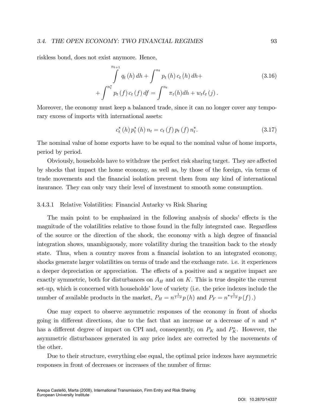#### 3.4. THE OPEN ECONOMY: TWO FINANCIAL REGIMES 93

riskless bond, does not exist anymore. Hence,

$$
\int_{0}^{n_{t+1}} q_t(h) \, dh + \int_{0}^{n_t} p_t(h) \, c_t(h) \, dh + \int_{0}^{n_t} p_t(f) \, c_t(f) \, df = \int_{0}^{n_t} \pi_t(h) \, dh + w_t \ell_t(j).
$$
\n(3.16)

Moreover, the economy must keep a balanced trade, since it can no longer cover any temporary excess of imports with international assets:

$$
c_{t}^{*}\left(h\right)p_{t}^{*}\left(h\right)n_{t}=c_{t}\left(f\right)p_{t}\left(f\right)n_{t}^{*}.
$$
\n(3.17)

The nominal value of home exports have to be equal to the nominal value of home imports, period by period.

Obviously, households have to withdraw the perfect risk sharing target. They are affected by shocks that impact the home economy, as well as, by those of the foreign, via terms of trade movements and the Önancial isolation prevent them from any kind of international insurance. They can only vary their level of investment to smooth some consumption.

#### 3.4.3.1 Relative Volatilities: Financial Autarky vs Risk Sharing

The main point to be emphasized in the following analysis of shocks' effects is the magnitude of the volatilities relative to those found in the fully integrated case. Regardless of the source or the direction of the shock, the economy with a high degree of Önancial integration shows, unambiguously, more volatility during the transition back to the steady state. Thus, when a country moves from a financial isolation to an integrated economy, shocks generate larger volatilities on terms of trade and the exchange rate. i.e. it experiences a deeper depreciation or appreciation. The effects of a positive and a negative impact are exactly symmetric, both for disturbances on  $A_H$  and on K. This is true despite the current set-up, which is concerned with households' love of variety (i.e. the price indexes include the number of available products in the market,  $P_H = n^{\frac{1}{1-\sigma}} p(h)$  and  $P_F = n^{*\frac{1}{1-\sigma}} p(f)$ .

One may expect to observe asymmetric responses of the economy in front of shocks going in different directions, due to the fact that an increase or a decrease of n and  $n^*$ has a different degree of impact on CPI and, consequently, on  $P_K$  and  $P_K^*$ . However, the asymmetric disturbances generated in any price index are corrected by the movements of the other.

Due to their structure, everything else equal, the optimal price indexes have asymmetric responses in front of decreases or increases of the number of firms: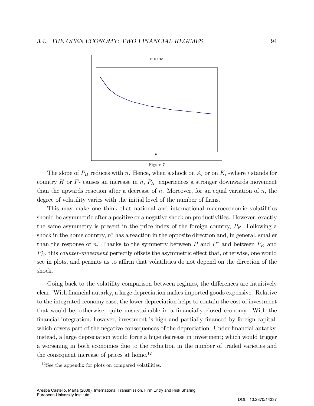

The slope of  $P_H$  reduces with n. Hence, when a shock on  $A_i$  or on  $K_i$  -where i stands for country  $H$  or  $F$ - causes an increase in  $n$ ,  $P_H$  experiences a stronger downwards movement than the upwards reaction after a decrease of n. Moreover, for an equal variation of  $n$ , the degree of volatility varies with the initial level of the number of firms.

This may make one think that national and international macroeconomic volatilities should be asymmetric after a positive or a negative shock on productivities. However, exactly the same asymmetry is present in the price index of the foreign country,  $P_F$ . Following a shock in the home country,  $n^*$  has a reaction in the opposite direction and, in general, smaller than the response of *n*. Thanks to the symmetry between  $P$  and  $P^*$  and between  $P_K$  and  $P_K^*$ , this *counter-movement* perfectly offsets the asymmetric effect that, otherwise, one would see in plots, and permits us to affirm that volatilities do not depend on the direction of the shock.

Going back to the volatility comparison between regimes, the differences are intuitively clear. With Önancial autarky, a large depreciation makes imported goods expensive. Relative to the integrated economy case, the lower depreciation helps to contain the cost of investment that would be, otherwise, quite unsustainable in a financially closed economy. With the Önancial integration, however, investment is high and partially Önanced by foreign capital, which covers part of the negative consequences of the depreciation. Under financial autarky, instead, a large depreciation would force a huge decrease in investment; which would trigger a worsening in both economies due to the reduction in the number of traded varieties and the consequent increase of prices at home.<sup>12</sup>

 $12$ See the appendix for plots on compared volatilities.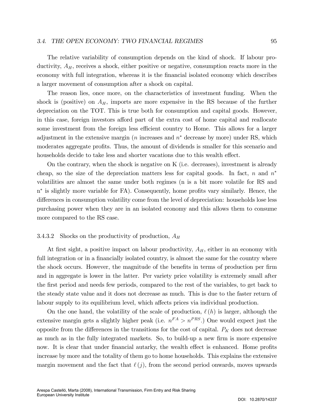#### 3.4. THE OPEN ECONOMY: TWO FINANCIAL REGIMES 95

The relative variability of consumption depends on the kind of shock. If labour productivity,  $A_H$ , receives a shock, either positive or negative, consumption reacts more in the economy with full integration, whereas it is the financial isolated economy which describes a larger movement of consumption after a shock on capital.

The reason lies, once more, on the characteristics of investment funding. When the shock is (positive) on  $A_H$ , imports are more expensive in the RS because of the further depreciation on the TOT. This is true both for consumption and capital goods. However, in this case, foreign investors afford part of the extra cost of home capital and reallocate some investment from the foreign less efficient country to Home. This allows for a larger adjustment in the extensive margin ( $n$  increases and  $n^*$  decrease by more) under RS, which moderates aggregate profits. Thus, the amount of dividends is smaller for this scenario and households decide to take less and shorter vacations due to this wealth effect.

On the contrary, when the shock is negative on K (i.e. decreases), investment is already cheap, so the size of the depreciation matters less for capital goods. In fact, n and  $n^*$ volatilities are almost the same under both regimes (n is a bit more volatile for RS and n<sup>\*</sup> is slightly more variable for FA). Consequently, home profits vary similarly. Hence, the differences in consumption volatility come from the level of depreciation: households lose less purchasing power when they are in an isolated economy and this allows them to consume more compared to the RS case.

## 3.4.3.2 Shocks on the productivity of production,  $A_H$

At first sight, a positive impact on labour productivity,  $A_H$ , either in an economy with full integration or in a financially isolated country, is almost the same for the country where the shock occurs. However, the magnitude of the benefits in terms of production per firm and in aggregate is lower in the latter. Per variety price volatility is extremely small after the first period and needs few periods, compared to the rest of the variables, to get back to the steady state value and it does not decrease as much. This is due to the faster return of labour supply to its equilibrium level, which affects prices via individual production.

On the one hand, the volatility of the scale of production,  $\ell(h)$  is larger, although the extensive margin gets a slightly higher peak (i.e.  $n<sup>FA</sup> > n<sup>PRS</sup>$ .) One would expect just the opposite from the differences in the transitions for the cost of capital.  $P_K$  does not decrease as much as in the fully integrated markets. So, to build-up a new firm is more expensive now. It is clear that under financial autarky, the wealth effect is enhanced. Home profits increase by more and the totality of them go to home households. This explains the extensive margin movement and the fact that  $\ell (j)$ , from the second period onwards, moves upwards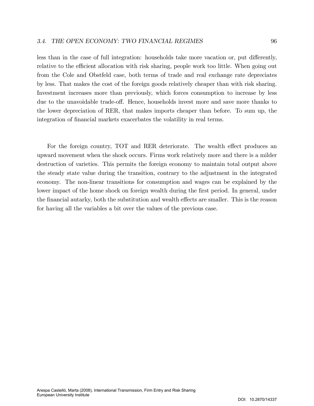less than in the case of full integration: households take more vacation or, put differently, relative to the efficient allocation with risk sharing, people work too little. When going out from the Cole and Obstfeld case, both terms of trade and real exchange rate depreciates by less. That makes the cost of the foreign goods relatively cheaper than with risk sharing. Investment increases more than previously, which forces consumption to increase by less due to the unavoidable trade-off. Hence, households invest more and save more thanks to the lower depreciation of RER, that makes imports cheaper than before. To sum up, the integration of financial markets exacerbates the volatility in real terms.

For the foreign country, TOT and RER deteriorate. The wealth effect produces an upward movement when the shock occurs. Firms work relatively more and there is a milder destruction of varieties. This permits the foreign economy to maintain total output above the steady state value during the transition, contrary to the adjustment in the integrated economy. The non-linear transitions for consumption and wages can be explained by the lower impact of the home shock on foreign wealth during the first period. In general, under the financial autarky, both the substitution and wealth effects are smaller. This is the reason for having all the variables a bit over the values of the previous case.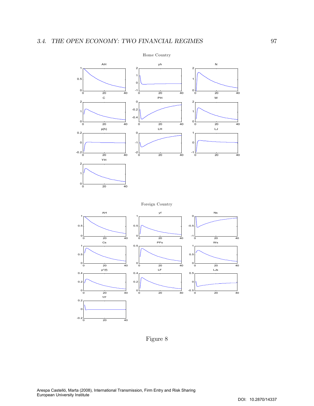

Figure 8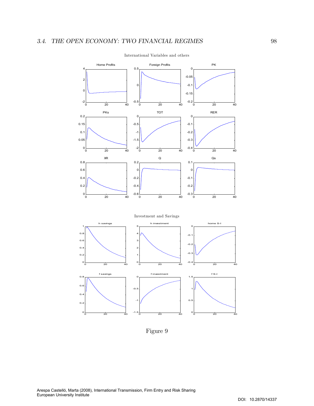

International Variables and others

Figure 9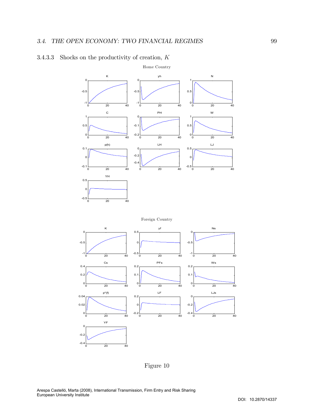

# 3.4.3.3 Shocks on the productivity of creation,  $K$





Figure 10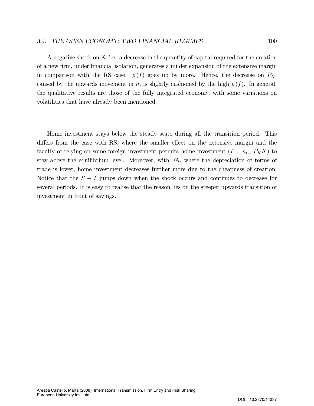#### 3.4. THE OPEN ECONOMY: TWO FINANCIAL REGIMES 100

A negative shock on K, i.e. a decrease in the quantity of capital required for the creation of a new Örm, under Önancial isolation, generates a milder expansion of the extensive margin in comparison with the RS case.  $p(f)$  goes up by more. Hence, the decrease on  $P_K$ , caused by the upwards movement in n, is slightly cushioned by the high  $p(f)$ . In general, the qualitative results are those of the fully integrated economy, with some variations on volatilities that have already been mentioned.

Home investment stays below the steady state during all the transition period. This differs from the case with RS, where the smaller effect on the extensive margin and the faculty of relying on some foreign investment permits home investment  $(I = n_{t+1}P_KK)$  to stay above the equilibrium level. Moreover, with FA, where the depreciation of terms of trade is lower, home investment decreases further more due to the cheapness of creation. Notice that the  $S - I$  jumps down when the shock occurs and continues to decrease for several periods. It is easy to realise that the reason lies on the steeper upwards transition of investment in front of savings.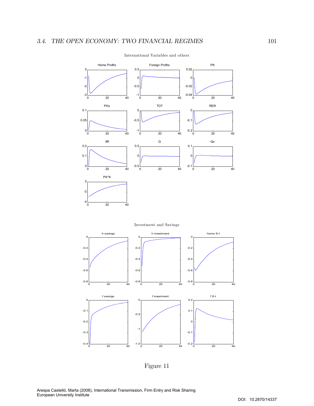

International Variables and others



 $-0.4$   $0$   $20$   $40$ <sup>0</sup> <sup>20</sup> <sup>40</sup> -1.5  $-0.2\frac{1}{0}$   $\frac{1}{20}$   $\frac{1}{40}$ -0.1

Figure 11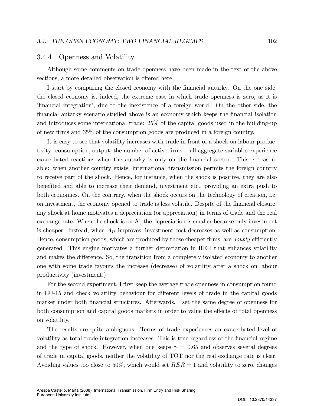### 3.4.4 Openness and Volatility

Although some comments on trade openness have been made in the text of the above sections, a more detailed observation is offered here.

I start by comparing the closed economy with the financial autarky. On the one side, the closed economy is, indeed, the extreme case in which trade openness is zero, as it is financial integration, due to the inexistence of a foreign world. On the other side, the Önancial autarky scenario studied above is an economy which keeps the Önancial isolation and introduces some international trade: 25% of the capital goods used in the building-up of new Örms and 35% of the consumption goods are produced in a foreign country.

It is easy to see that volatility increases with trade in front of a shock on labour productivity: consumption, output, the number of active firms... all aggregate variables experience exacerbated reactions when the autarky is only on the financial sector. This is reasonable: when another country exists, international transmission permits the foreign country to receive part of the shock. Hence, for instance, when the shock is positive, they are also benefited and able to increase their demand, investment etc., providing an extra push to both economies. On the contrary, when the shock occurs on the technology of creation, i.e. on investment, the economy opened to trade is less volatile. Despite of the financial closure, any shock at home motivates a depreciation (or appreciation) in terms of trade and the real exchange rate. When the shock is on  $K$ , the depreciation is smaller because only investment is cheaper. Instead, when  $A_H$  improves, investment cost decreases as well as consumption. Hence, consumption goods, which are produced by those cheaper firms, are *doubly* efficiently generated. This engine motivates a further depreciation in RER that enhances volatility and makes the difference. So, the transition from a completely isolated economy to another one with some trade favours the increase (decrease) of volatility after a shock on labour productivity (investment.)

For the second experiment, I first keep the average trade openness in consumption found in EU-15 and check volatility behaviour for different levels of trade in the capital goods market under both financial structures. Afterwards, I set the same degree of openness for both consumption and capital goods markets in order to value the effects of total openness on volatility.

The results are quite ambiguous. Terms of trade experiences an exacerbated level of volatility as total trade integration increases. This is true regardless of the financial regime and the type of shock. However, when one keeps  $\gamma = 0.65$  and observes several degrees of trade in capital goods, neither the volatility of TOT nor the real exchange rate is clear. Avoiding values too close to 50%, which would set  $RER = 1$  and volatility to zero, changes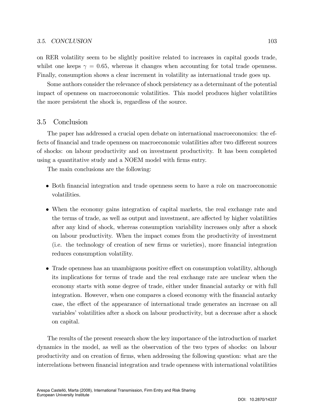on RER volatility seem to be slightly positive related to increases in capital goods trade, whilst one keeps  $\gamma = 0.65$ , whereas it changes when accounting for total trade openness. Finally, consumption shows a clear increment in volatility as international trade goes up.

Some authors consider the relevance of shock persistency as a determinant of the potential impact of openness on macroeconomic volatilities. This model produces higher volatilities the more persistent the shock is, regardless of the source.

### 3.5 Conclusion

The paper has addressed a crucial open debate on international macroeconomics: the effects of financial and trade openness on macroeconomic volatilities after two different sources of shocks: on labour productivity and on investment productivity. It has been completed using a quantitative study and a NOEM model with firms entry.

The main conclusions are the following:

- Both financial integration and trade openness seem to have a role on macroeconomic volatilities.
- When the economy gains integration of capital markets, the real exchange rate and the terms of trade, as well as output and investment, are affected by higher volatilities after any kind of shock, whereas consumption variability increases only after a shock on labour productivity. When the impact comes from the productivity of investment (i.e. the technology of creation of new Örms or varieties), more Önancial integration reduces consumption volatility.
- Trade openness has an unambiguous positive effect on consumption volatility, although its implications for terms of trade and the real exchange rate are unclear when the economy starts with some degree of trade, either under Önancial autarky or with full integration. However, when one compares a closed economy with the financial autarky case, the effect of the appearance of international trade generates an increase on all variables' volatilities after a shock on labour productivity, but a decrease after a shock on capital.

The results of the present research show the key importance of the introduction of market dynamics in the model, as well as the observation of the two types of shocks: on labour productivity and on creation of Örms, when addressing the following question: what are the interrelations between Önancial integration and trade openness with international volatilities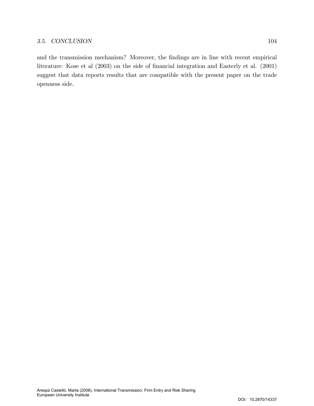and the transmission mechanism? Moreover, the findings are in line with recent empirical literature: Kose et al (2003) on the side of financial integration and Easterly et al. (2001) suggest that data reports results that are compatible with the present paper on the trade openness side.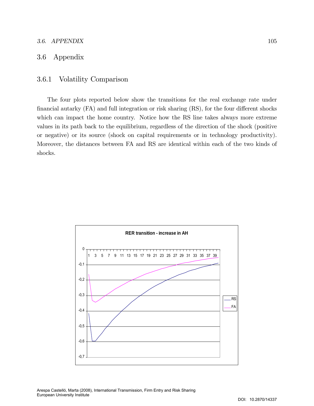### 3.6. APPENDIX 105

# 3.6 Appendix

# 3.6.1 Volatility Comparison

The four plots reported below show the transitions for the real exchange rate under financial autarky  $(FA)$  and full integration or risk sharing  $(RS)$ , for the four different shocks which can impact the home country. Notice how the RS line takes always more extreme values in its path back to the equilibrium, regardless of the direction of the shock (positive or negative) or its source (shock on capital requirements or in technology productivity). Moreover, the distances between FA and RS are identical within each of the two kinds of shocks.

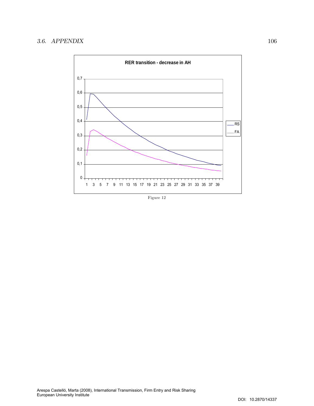

Figure 12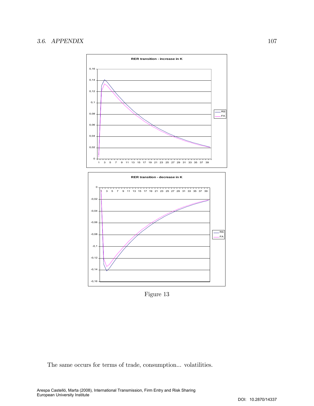



Figure 13

The same occurs for terms of trade, consumption... volatilities.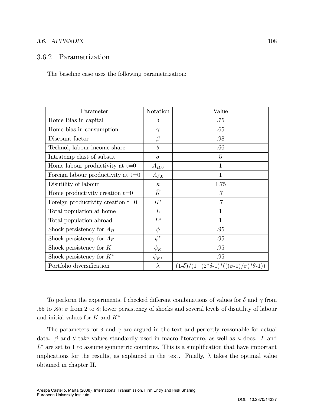### 3.6. APPENDIX 108

# 3.6.2 Parametrization

The baseline case uses the following parametrization:

| Parameter                            | Notation     | Value                                                        |
|--------------------------------------|--------------|--------------------------------------------------------------|
| Home Bias in capital                 | $\delta$     | .75                                                          |
| Home bias in consumption             | $\gamma$     | .65                                                          |
| Discount factor                      | β            | .98                                                          |
| Technol, labour income share         | $\theta$     | .66                                                          |
| Intratemp elast of substit           | $\sigma$     | 5                                                            |
| Home labour productivity at $t=0$    | $A_{H,0}$    | $\mathbf{1}$                                                 |
| Foreign labour productivity at $t=0$ | $A_{F,0}$    | $\mathbf{1}$                                                 |
| Disutility of labour                 | $\kappa$     | 1.75                                                         |
| Home productivity creation $t=0$     | $\bar{K}$    | $.7\,$                                                       |
| Foreign productivity creation $t=0$  | $\bar K^*$   | $.7\,$                                                       |
| Total population at home             | L            | 1                                                            |
| Total population abroad              | $L^*$        | $\mathbf{1}$                                                 |
| Shock persistency for $A_H$          | $\phi$       | .95                                                          |
| Shock persistency for $A_F$          | $\phi^*$     | .95                                                          |
| Shock persistency for $K$            | $\phi_K$     | .95                                                          |
| Shock persistency for $K^*$          | $\phi_{K^*}$ | .95                                                          |
| Portfolio diversification            | $\lambda$    | $(1-\delta)/(1+(2*\delta-1)*(((\sigma-1)/\sigma)*\theta-1))$ |

To perform the experiments, I checked different combinations of values for  $\delta$  and  $\gamma$  from .55 to .85;  $\sigma$  from 2 to 8; lower persistency of shocks and several levels of disutility of labour and initial values for  $K$  and  $K^*$ .

The parameters for  $\delta$  and  $\gamma$  are argued in the text and perfectly reasonable for actual data.  $\beta$  and  $\theta$  take values standardly used in macro literature, as well as  $\kappa$  does. L and  $L^*$  are set to 1 to assume symmetric countries. This is a simplification that have important implications for the results, as explained in the text. Finally,  $\lambda$  takes the optimal value obtained in chapter II.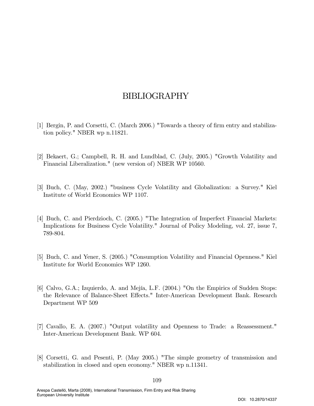# BIBLIOGRAPHY

- [1] Bergin, P. and Corsetti, C. (March 2006.) "Towards a theory of firm entry and stabilization policy." NBER wp n.11821.
- [2] Bekaert, G.; Campbell, R. H. and Lundblad, C. (July, 2005.) "Growth Volatility and Financial Liberalization." (new version of) NBER WP 10560.
- [3] Buch, C. (May, 2002.) "business Cycle Volatility and Globalization: a Survey." Kiel Institute of World Economics WP 1107.
- [4] Buch, C. and Pierdzioch, C. (2005.) "The Integration of Imperfect Financial Markets: Implications for Business Cycle Volatility." Journal of Policy Modeling, vol. 27, issue 7, 789-804.
- [5] Buch, C. and Yener, S. (2005.) "Consumption Volatility and Financial Openness." Kiel Institute for World Economics WP 1260.
- [6] Calvo, G.A.; Izquierdo, A. and Mejía, L.F. (2004.) "On the Empirics of Sudden Stops: the Relevance of Balance-Sheet Effects." Inter-American Development Bank. Research Department WP 509
- [7] Cavallo, E. A. (2007.) "Output volatility and Openness to Trade: a Reassessment." Inter-American Development Bank. WP 604.
- [8] Corsetti, G. and Pesenti, P. (May 2005.) "The simple geometry of transmission and stabilization in closed and open economy." NBER wp n.11341.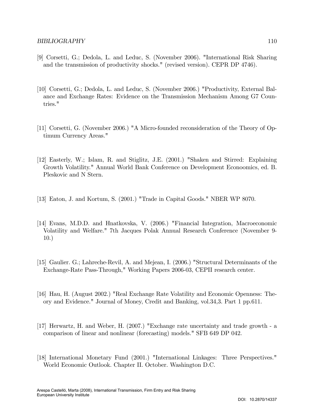- [9] Corsetti, G.; Dedola, L. and Leduc, S. (November 2006). "International Risk Sharing and the transmission of productivity shocks." (revised version). CEPR DP 4746).
- [10] Corsetti, G.; Dedola, L. and Leduc, S. (November 2006.) "Productivity, External Balance and Exchange Rates: Evidence on the Transmission Mechanism Among G7 Countries."
- [11] Corsetti, G. (November 2006.) "A Micro-founded reconsideration of the Theory of Optimum Currency Areas."
- [12] Easterly, W.; Islam, R. and Stiglitz, J.E. (2001.) "Shaken and Stirred: Explaining Growth Volatility." Annual World Bank Conference on Development Econoomics, ed. B. Pleskovic and N Stern.
- [13] Eaton, J. and Kortum, S. (2001.) "Trade in Capital Goods." NBER WP 8070.
- [14] Evans, M.D.D. and Hnatkovska, V. (2006.) "Financial Integration, Macroeconomic Volatility and Welfare." 7th Jacques Polak Annual Research Conference (November 9- 10.)
- [15] Gaulier. G.; Lahreche-Revil, A. and Mejean, I. (2006.) "Structural Determinants of the Exchange-Rate Pass-Through," Working Papers 2006-03, CEPII research center.
- [16] Hau, H. (August 2002.) "Real Exchange Rate Volatility and Economic Openness: Theory and Evidence." Journal of Money, Credit and Banking, vol.34,3. Part 1 pp.611.
- [17] Herwartz, H. and Weber, H. (2007.) "Exchange rate uncertainty and trade growth a comparison of linear and nonlinear (forecasting) models." SFB 649 DP 042.
- [18] International Monetary Fund (2001.) "International Linkages: Three Perspectives." World Economic Outlook. Chapter II. October. Washington D.C.